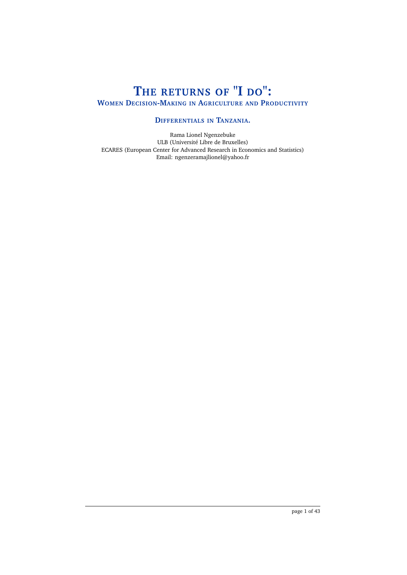# **THE RETURNS OF "I DO": WOMEN DECISION-MAKING IN AGRICULTURE AND PRODUCTIVITY**

# **DIFFERENTIALS IN TANZANIA.**

Rama Lionel Ngenzebuke ULB (Université Libre de Bruxelles) ECARES (European Center for Advanced Research in Economics and Statistics) Email: ngenzeramajlionel@yahoo.fr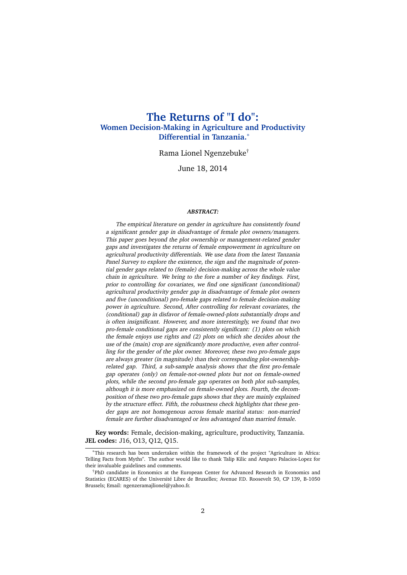# **The Returns of "I do": Women Decision-Making in Agriculture and Productivity Differential in Tanzania.**<sup>∗</sup>

Rama Lionel Ngenzebuke†

June 18, 2014

#### **ABSTRACT:**

The empirical literature on gender in agriculture has consistently found a significant gender gap in disadvantage of female plot owners/managers. This paper goes beyond the plot ownership or management-related gender gaps and investigates the returns of female empowerment in agriculture on agricultural productivity differentials. We use data from the latest Tanzania Panel Survey to explore the existence, the sign and the magnitude of potential gender gaps related to (female) decision-making across the whole value chain in agriculture. We bring to the fore a number of key findings. First, prior to controlling for covariates, we find one significant (unconditional) agricultural productivity gender gap in disadvantage of female plot owners and five (unconditional) pro-female gaps related to female decision-making power in agriculture. Second, After controlling for relevant covariates, the (conditional) gap in disfavor of female-owned-plots substantially drops and is often insignificant. However, and more interestingly, we found that two pro-female conditional gaps are consistently significant: (1) plots on which the female enjoys use rights and (2) plots on which she decides about the use of the (main) crop are significantly more productive, even after controlling for the gender of the plot owner. Moreover, these two pro-female gaps are always greater (in magnitude) than their corresponding plot-ownershiprelated gap. Third, a sub-sample analysis shows that the first pro-female gap operates (only) on female-not-owned plots but not on female-owned plots, while the second pro-female gap operates on both plot sub-samples, although it is more emphasized on female-owned plots. Fourth, the decomposition of these two pro-female gaps shows that they are mainly explained by the structure effect. Fifth, the robustness check highlights that these gender gaps are not homogenous across female marital status: non-married female are further disadvantaged or less advantaged than married female.

**Key words:** Female, decision-making, agriculture, productivity, Tanzania. **JEL codes:** J16, O13, Q12, Q15.

<sup>∗</sup>This research has been undertaken within the framework of the project "Agriculture in Africa: Telling Facts from Myths". The author would like to thank Talip Kilic and Amparo Palacios-Lopez for their invaluable guidelines and comments.

<sup>†</sup>PhD candidate in Economics at the European Center for Advanced Research in Economics and Statistics (ECARES) of the Université Libre de Bruxelles; Avenue F.D. Roosevelt 50, CP 139, B-1050 Brussels; Email: ngenzeramajlionel@yahoo.fr.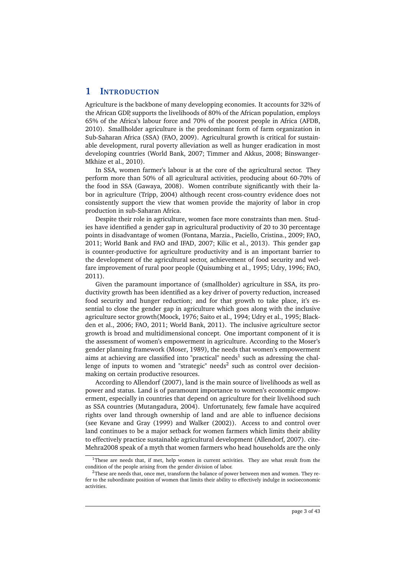# **1 INTRODUCTION**

Agriculture is the backbone of many developping economies. It accounts for 32% of the African GDP, supports the livelihoods of 80% of the African population, employs 65% of the Africa's labour force and 70% of the poorest people in Africa (AFDB, 2010). Smallholder agriculture is the predominant form of farm organization in Sub-Saharan Africa (SSA) (FAO, 2009). Agricultural growth is critical for sustainable development, rural poverty alleviation as well as hunger eradication in most developing countries (World Bank, 2007; Timmer and Akkus, 2008; Binswanger-Mkhize et al., 2010).

In SSA, women farmer's labour is at the core of the agricultural sector. They perform more than 50% of all agricultural activities, producing about 60-70% of the food in SSA (Gawaya, 2008). Women contribute significantly with their labor in agriculture (Tripp, 2004) although recent cross-country evidence does not consistently support the view that women provide the majority of labor in crop production in sub-Saharan Africa.

Despite their role in agriculture, women face more constraints than men. Studies have identified a gender gap in agricultural productivity of 20 to 30 percentage points in disadvantage of women (Fontana, Marzia., Paciello, Cristina., 2009; FAO, 2011; World Bank and FAO and IFAD, 2007; Kilic et al., 2013). This gender gap is counter-productive for agriculture productivity and is an important barrier to the development of the agricultural sector, achievement of food security and welfare improvement of rural poor people (Quisumbing et al., 1995; Udry, 1996; FAO, 2011).

Given the paramount importance of (smallholder) agriculture in SSA, its productivity growth has been identified as a key driver of poverty reduction, increased food security and hunger reduction; and for that growth to take place, it's essential to close the gender gap in agriculture which goes along with the inclusive agriculture sector growth(Moock, 1976; Saito et al., 1994; Udry et al., 1995; Blackden et al., 2006; FAO, 2011; World Bank, 2011). The inclusive agriculture sector growth is broad and multidimensional concept. One important component of it is the assessment of women's empowerment in agriculture. According to the Moser's gender planning framework (Moser, 1989), the needs that women's empowerment aims at achieving are classified into "practical" needs<sup>1</sup> such as adressing the challenge of inputs to women and "strategic" needs $^2$  such as control over decisionmaking on certain productive resources.

According to Allendorf (2007), land is the main source of livelihoods as well as power and status. Land is of paramount importance to women's economic empowerment, especially in countries that depend on agriculture for their livelihood such as SSA countries (Mutangadura, 2004). Unfortunately, few famale have acquired rights over land through ownership of land and are able to influence decisions (see Kevane and Gray (1999) and Walker (2002)). Access to and control over land continues to be a major setback for women farmers which limits their ability to effectively practice sustainable agricultural development (Allendorf, 2007). cite-Mehra2008 speak of a myth that women farmers who head households are the only

<sup>&</sup>lt;sup>1</sup>These are needs that, if met, help women in current activities. They are what result from the condition of the people arising from the gender division of labor.

 $2$ These are needs that, once met, transform the balance of power between men and women. They refer to the subordinate position of women that limits their ability to effectively indulge in socioeconomic activities.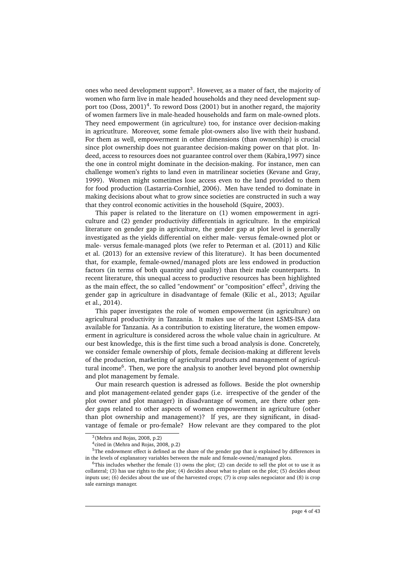ones who need development support<sup>3</sup>. However, as a mater of fact, the majority of women who farm live in male headed households and they need development support too (Doss, 2001)<sup>4</sup>. To reword Doss (2001) but in another regard, the majority of women farmers live in male-headed households and farm on male-owned plots. They need empowerment (in agriculture) too, for instance over decision-making in agricutlture. Moreover, some female plot-owners also live with their husband. For them as well, empowerment in other dimensions (than ownership) is crucial since plot ownership does not guarantee decision-making power on that plot. Indeed, access to resources does not guarantee control over them (Kabira,1997) since the one in control might dominate in the decision-making. For instance, men can challenge women's rights to land even in matrilinear societies (Kevane and Gray, 1999). Women might sometimes lose access even to the land provided to them for food production (Lastarria-Cornhiel, 2006). Men have tended to dominate in making decisions about what to grow since societies are constructed in such a way that they control economic activities in the household (Squire, 2003).

This paper is related to the literature on (1) women empowerment in agriculture and (2) gender productivity differentials in agriculture. In the empirical literature on gender gap in agriculture, the gender gap at plot level is generally investigated as the yields differential on either male- versus female-owned plot or male- versus female-managed plots (we refer to Peterman et al. (2011) and Kilic et al. (2013) for an extensive review of this literature). It has been documented that, for example, female-owned/managed plots are less endowed in production factors (in terms of both quantity and quality) than their male counterparts. In recent literature, this unequal access to productive resources has been highlighted as the main effect, the so called "endowment" or "composition" effect<sup>5</sup>, driving the gender gap in agriculture in disadvantage of female (Kilic et al., 2013; Aguilar et al., 2014).

This paper investigates the role of women empowerment (in agriculture) on agricultural productivity in Tanzania. It makes use of the latest LSMS-ISA data available for Tanzania. As a contribution to existing literature, the women empowerment in agriculture is considered across the whole value chain in agriculture. At our best knowledge, this is the first time such a broad analysis is done. Concretely, we consider female ownership of plots, female decision-making at different levels of the production, marketing of agricultural products and management of agricultural income<sup>6</sup>. Then, we pore the analysis to another level beyond plot ownership and plot management by female.

Our main research question is adressed as follows. Beside the plot ownership and plot management-related gender gaps (i.e. irrespective of the gender of the plot owner and plot manager) in disadvantage of women, are there other gender gaps related to other aspects of women empowerment in agriculture (other than plot ownership and management)? If yes, are they significant, in disadvantage of female or pro-female? How relevant are they compared to the plot

 $3$ (Mehra and Rojas, 2008, p.2)

<sup>4</sup> cited in (Mehra and Rojas, 2008, p.2)

 $5$ The endowment effect is defined as the share of the gender gap that is explained by differences in in the levels of explanatory variables between the male and female-owned/managed plots.

 $6$ This includes whether the female (1) owns the plot; (2) can decide to sell the plot ot to use it as collateral; (3) has use rights to the plot; (4) decides about what to plant on the plot; (5) decides about inputs use; (6) decides about the use of the harvested crops; (7) is crop sales negociator and (8) is crop sale earnings manager.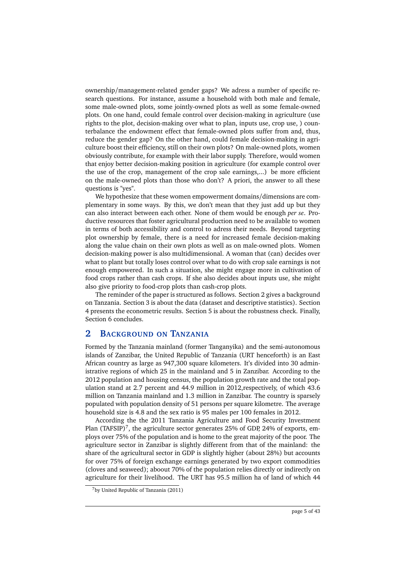ownership/management-related gender gaps? We adress a number of specific research questions. For instance, assume a household with both male and female, some male-owned plots, some jointly-owned plots as well as some female-owned plots. On one hand, could female control over decision-making in agriculture (use rights to the plot, decision-making over what to plan, inputs use, crop use, ) counterbalance the endowment effect that female-owned plots suffer from and, thus, reduce the gender gap? On the other hand, could female decision-making in agriculture boost their efficiency, still on their own plots? On male-owned plots, women obviously contribute, for example with their labor supply. Therefore, would women that enjoy better decision-making position in agriculture (for example control over the use of the crop, management of the crop sale earnings,...) be more efficient on the male-owned plots than those who don't? A priori, the answer to all these questions is "yes".

We hypothesize that these women empowerment domains/dimensions are complementary in some ways. By this, we don't mean that they just add up but they can also interact between each other. None of them would be enough *per se*. Productive resources that foster agricultural production need to be available to women in terms of both accessibility and control to adress their needs. Beyond targeting plot ownership by female, there is a need for increased female decision-making along the value chain on their own plots as well as on male-owned plots. Women decision-making power is also multidimensional. A woman that (can) decides over what to plant but totally loses control over what to do with crop sale earnings is not enough empowered. In such a situation, she might engage more in cultivation of food crops rather than cash crops. If she also decides about inputs use, she might also give priority to food-crop plots than cash-crop plots.

The reminder of the paper is structured as follows. Section 2 gives a background on Tanzania. Section 3 is about the data (dataset and descriptive statistics). Section 4 presents the econometric results. Section 5 is about the robustness check. Finally, Section 6 concludes.

# **2 BACKGROUND ON TANZANIA**

Formed by the Tanzania mainland (former Tanganyika) and the semi-autonomous islands of Zanzibar, the United Republic of Tanzania (URT henceforth) is an East African country as large as 947,300 square kilometers. It's divided into 30 administrative regions of which 25 in the mainland and 5 in Zanzibar. According to the 2012 population and housing census, the population growth rate and the total population stand at 2.7 percent and 44.9 million in 2012,respectively, of which 43.6 million on Tanzania mainland and 1.3 million in Zanzibar. The country is sparsely populated with population density of 51 persons per square kilometre. The average household size is 4.8 and the sex ratio is 95 males per 100 females in 2012.

According the the 2011 Tanzania Agriculture and Food Security Investment Plan (TAFSIP)<sup>7</sup>, the agriculture sector generates 25% of GDP, 24% of exports, employs over 75% of the population and is home to the great majority of the poor. The agriculture sector in Zanzibar is slightly different from that of the mainland: the share of the agricultural sector in GDP is slightly higher (about 28%) but accounts for over 75% of foreign exchange earnings generated by two export commodities (cloves and seaweed); aboout 70% of the population relies directly or indirectly on agriculture for their livelihood. The URT has 95.5 million ha of land of which 44

<sup>7</sup>by United Republic of Tanzania (2011)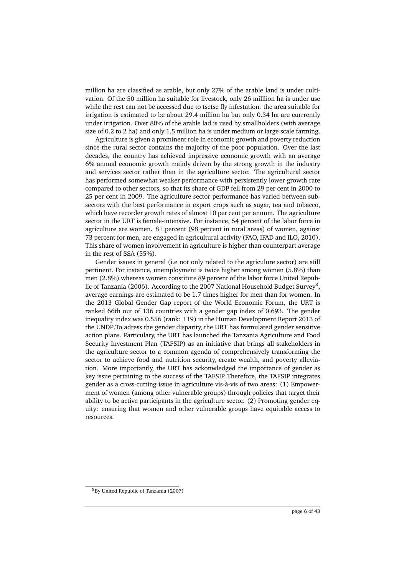million ha are classified as arable, but only 27% of the arable land is under cultivation. Of the 50 million ha suitable for livestock, only 26 milllion ha is under use while the rest can not be accessed due to tsetse fly infestation. the area suitable for irrigation is estimated to be about 29.4 million ha but only 0.34 ha are currrently under irrigation. Over 80% of the arable lad is used by smallholders (with average size of 0.2 to 2 ha) and only 1.5 million ha is under medium or large scale farming.

Agriculture is given a prominent role in economic growth and poverty reduction since the rural sector contains the majority of the poor population. Over the last decades, the country has achieved impressive economic growth with an average 6% annual economic growth mainly driven by the strong growth in the industry and services sector rather than in the agriculture sector. The agricultural sector has performed somewhat weaker performance with persistently lower growth rate compared to other sectors, so that its share of GDP fell from 29 per cent in 2000 to 25 per cent in 2009. The agriculture sector performance has varied between subsectors with the best performance in export crops such as sugar, tea and tobacco, which have recorder growth rates of almost 10 per cent per annum. The agriculture sector in the URT is female-intensive. For instance, 54 percent of the labor force in agriculture are women. 81 percent (98 percent in rural areas) of women, against 73 percent for men, are engaged in agricultural activity (FAO, IFAD and ILO, 2010). This share of women involvement in agriculture is higher than counterpart average in the rest of SSA (55%).

Gender issues in general (i.e not only related to the agriculure sector) are still pertinent. For instance, unemployment is twice higher among women (5.8%) than men (2.8%) whereas women constitute 89 percent of the labor force United Republic of Tanzania (2006). According to the 2007 National Household Budget Survey $^8,$ average earnings are estimated to be 1.7 times higher for men than for women. In the 2013 Global Gender Gap report of the World Economic Forum, the URT is ranked 66th out of 136 countries with a gender gap index of 0.693. The gender inequality index was 0.556 (rank: 119) in the Human Development Report 2013 of the UNDP.To adress the gender disparity, the URT has formulated gender sensitive action plans. Particulary, the URT has launched the Tanzania Agriculture and Food Security Investment Plan (TAFSIP) as an initiative that brings all stakeholders in the agriculture sector to a common agenda of comprehensively transforming the sector to achieve food and nutrition security, create wealth, and poverty alleviation. More importantly, the URT has ackonwledged the importance of gender as key issue pertaining to the success of the TAFSIP. Therefore, the TAFSIP integrates gender as a cross-cutting issue in agriculture vis-à-vis of two areas: (1) Empowerment of women (among other vulnerable groups) through policies that target their ability to be active participants in the agriculture sector. (2) Promoting gender equity: ensuring that women and other vulnerable groups have equitable access to resources.

<sup>8</sup>By United Republic of Tanzania (2007)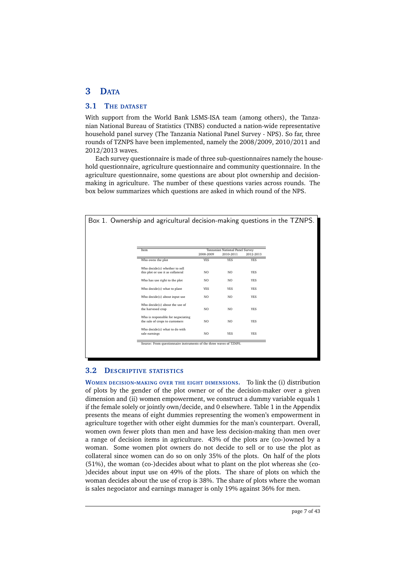# **3 DATA**

## **3.1 THE DATASET**

With support from the World Bank LSMS-ISA team (among others), the Tanzanian National Bureau of Statistics (TNBS) conducted a nation-wide representative household panel survey (The Tanzania National Panel Survey - NPS). So far, three rounds of TZNPS have been implemented, namely the 2008/2009, 2010/2011 and 2012/2013 waves.

Each survey questionnaire is made of three sub-questionnaires namely the household questionnaire, agriculture questionnaire and community questionnaire. In the agriculture questionnaire, some questions are about plot ownership and decisionmaking in agriculture. The number of these questions varies across rounds. The box below summarizes which questions are asked in which round of the NPS.

| Box 1. Ownership and agricultural decision-making questions in the TZNPS. |                |                                              |            |  |
|---------------------------------------------------------------------------|----------------|----------------------------------------------|------------|--|
|                                                                           |                |                                              |            |  |
| Item                                                                      | 2008-2009      | Tanzanian National Panel Survey<br>2010-2011 | 2012-2013  |  |
| Who owns the plot                                                         | <b>YES</b>     | <b>YES</b>                                   | <b>YES</b> |  |
| Who decide(s) whether to sell                                             |                |                                              |            |  |
| this plot or use it as collateral                                         | N <sub>O</sub> | N <sub>O</sub>                               | <b>YES</b> |  |
| Who has use right to the plot                                             | N <sub>O</sub> | N <sub>O</sub>                               | <b>YES</b> |  |
| Who decide(s) what to plant                                               | <b>YES</b>     | <b>YES</b>                                   | <b>YES</b> |  |
| Who decide(s) about input use                                             | NO.            | NO.                                          | <b>YES</b> |  |
| Who decide(s) about the use of<br>the harvesed crop                       | N <sub>O</sub> | NO.                                          | <b>YES</b> |  |
| Who is responsible for negociating<br>the sale of crops to customers      | N <sub>O</sub> | NO.                                          | <b>YES</b> |  |
| Who decide(s) what to do with<br>sale earnings                            | N <sub>O</sub> | <b>YES</b>                                   | <b>YES</b> |  |

# **3.2 DESCRIPTIVE STATISTICS**

**WOMEN DECISION-MAKING OVER THE EIGHT DIMENSIONS.** To link the (i) distribution of plots by the gender of the plot owner or of the decision-maker over a given dimension and (ii) women empowerment, we construct a dummy variable equals 1 if the female solely or jointly own/decide, and 0 elsewhere. Table 1 in the Appendix presents the means of eight dummies representing the women's empowerment in agriculture together with other eight dummies for the man's counterpart. Overall, women own fewer plots than men and have less decision-making than men over a range of decision items in agriculture. 43% of the plots are (co-)owned by a woman. Some women plot owners do not decide to sell or to use the plot as collateral since women can do so on only 35% of the plots. On half of the plots (51%), the woman (co-)decides about what to plant on the plot whereas she (co- )decides about input use on 49% of the plots. The share of plots on which the woman decides about the use of crop is 38%. The share of plots where the woman is sales negociator and earnings manager is only 19% against 36% for men.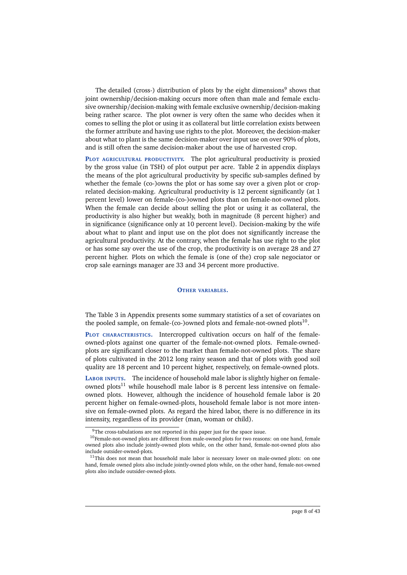The detailed (cross-) distribution of plots by the eight dimensions $^9$  shows that joint ownership/decision-making occurs more often than male and female exclusive ownership/decision-making with female exclusive ownership/decision-making being rather scarce. The plot owner is very often the same who decides when it comes to selling the plot or using it as collateral but little correlation exists between the former attribute and having use rights to the plot. Moreover, the decision-maker about what to plant is the same decision-maker over input use on over 90% of plots, and is still often the same decision-maker about the use of harvested crop.

**PLOT AGRICULTURAL PRODUCTIVITY.** The plot agricultural productivity is proxied by the gross value (in TSH) of plot output per acre. Table 2 in appendix displays the means of the plot agricultural productivity by specific sub-samples defined by whether the female (co-)owns the plot or has some say over a given plot or croprelated decision-making. Agricultural productivity is 12 percent significantly (at 1 percent level) lower on female-(co-)owned plots than on female-not-owned plots. When the female can decide about selling the plot or using it as collateral, the productivity is also higher but weakly, both in magnitude (8 percent higher) and in significance (significance only at 10 percent level). Decision-making by the wife about what to plant and input use on the plot does not significantly increase the agricultural productivity. At the contrary, when the female has use right to the plot or has some say over the use of the crop, the productivity is on average 28 and 27 percent higher. Plots on which the female is (one of the) crop sale negociator or crop sale earnings manager are 33 and 34 percent more productive.

#### **OTHER VARIABLES.**

The Table 3 in Appendix presents some summary statistics of a set of covariates on the pooled sample, on female-(co-)owned plots and female-not-owned plots<sup>10</sup>.

**PLOT CHARACTERISTICS.** Intercropped cultivation occurs on half of the femaleowned-plots against one quarter of the female-not-owned plots. Female-ownedplots are significantl closer to the market than female-not-owned plots. The share of plots cultivated in the 2012 long rainy season and that of plots with good soil quality are 18 percent and 10 percent higher, respectively, on female-owned plots.

**LABOR INPUTS.** The incidence of household male labor is slightly higher on femaleowned plots<sup>11</sup> while househodl male labor is 8 percent less intensive on femaleowned plots. However, although the incidence of household female labor is 20 percent higher on female-owned-plots, household female labor is not more intensive on female-owned plots. As regard the hired labor, there is no difference in its intensity, regardless of its provider (man, woman or child).

 $9$ The cross-tabulations are not reported in this paper just for the space issue.

<sup>&</sup>lt;sup>10</sup>Female-not-owned plots are different from male-owned plots for two reasons: on one hand, female owned plots also include jointly-owned plots while, on the other hand, female-not-owned plots also include outsider-owned-plots.

 $11$ This does not mean that household male labor is necessary lower on male-owned plots: on one hand, female owned plots also include jointly-owned plots while, on the other hand, female-not-owned plots also include outsider-owned-plots.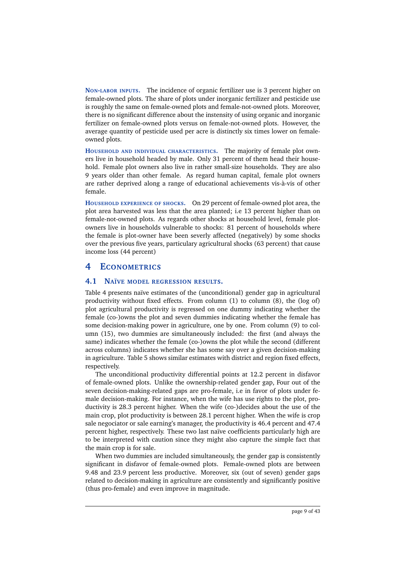**NON-LABOR INPUTS.** The incidence of organic fertilizer use is 3 percent higher on female-owned plots. The share of plots under inorganic fertilizer and pesticide use is roughly the same on female-owned plots and female-not-owned plots. Moreover, there is no significant difference about the instensity of using organic and inorganic fertilizer on female-owned plots versus on female-not-owned plots. However, the average quantity of pesticide used per acre is distinctly six times lower on femaleowned plots.

**HOUSEHOLD AND INDIVIDUAL CHARACTERISTICS.** The majority of female plot owners live in household headed by male. Only 31 percent of them head their household. Female plot owners also live in rather small-size households. They are also 9 years older than other female. As regard human capital, female plot owners are rather deprived along a range of educational achievements vis-à-vis of other female.

**HOUSEHOLD EXPERIENCE OF SHOCKS.** On 29 percent of female-owned plot area, the plot area harvested was less that the area planted; i.e 13 percent higher than on female-not-owned plots. As regards other shocks at household level, female plotowners live in households vulnerable to shocks: 81 percent of households where the female is plot-owner have been severly affected (negatively) by some shocks over the previous five years, particulary agricultural shocks (63 percent) that cause income loss (44 percent)

# **4 ECONOMETRICS**

## **4.1 NAÏVE MODEL REGRESSION RESULTS.**

Table 4 presents naïve estimates of the (unconditional) gender gap in agricultural productivity without fixed effects. From column  $(1)$  to column  $(8)$ , the  $(\log of)$ plot agricultural productivity is regressed on one dummy indicating whether the female (co-)owns the plot and seven dummies indicating whether the female has some decision-making power in agriculture, one by one. From column (9) to column (15), two dummies are simultaneously included: the first (and always the same) indicates whether the female (co-)owns the plot while the second (different across columns) indicates whether she has some say over a given decision-making in agriculture. Table 5 shows similar estimates with district and region fixed effects, respectively.

The unconditional productivity differential points at 12.2 percent in disfavor of female-owned plots. Unlike the ownership-related gender gap, Four out of the seven decision-making-related gaps are pro-female, i.e in favor of plots under female decision-making. For instance, when the wife has use rights to the plot, productivity is 28.3 percent higher. When the wife (co-)decides about the use of the main crop, plot productivity is between 28.1 percent higher. When the wife is crop sale negociator or sale earning's manager, the productivity is 46.4 percent and 47.4 percent higher, respectively. These two last naïve coefficients particularly high are to be interpreted with caution since they might also capture the simple fact that the main crop is for sale.

When two dummies are included simultaneously, the gender gap is consistently significant in disfavor of female-owned plots. Female-owned plots are between 9.48 and 23.9 percent less productive. Moreover, six (out of seven) gender gaps related to decision-making in agriculture are consistently and significantly positive (thus pro-female) and even improve in magnitude.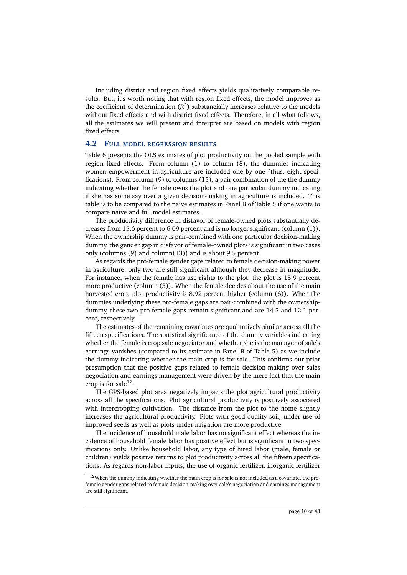Including district and region fixed effects yields qualitatively comparable results. But, it's worth noting that with region fixed effects, the model improves as the coefficient of determination  $(R^2)$  substancially increases relative to the models without fixed effects and with district fixed effects. Therefore, in all what follows, all the estimates we will present and interpret are based on models with region fixed effects.

#### **4.2 FULL MODEL REGRESSION RESULTS**

Table 6 presents the OLS estimates of plot productivity on the pooled sample with region fixed effects. From column (1) to column (8), the dummies indicating women empowerment in agriculture are included one by one (thus, eight specifications). From column (9) to columns (15), a pair combination of the the dummy indicating whether the female owns the plot and one particular dummy indicating if she has some say over a given decision-making in agriculture is included. This table is to be compared to the naïve estimates in Panel B of Table 5 if one wants to compare naïve and full model estimates.

The productivity difference in disfavor of female-owned plots substantially decreases from 15.6 percent to 6.09 percent and is no longer significant (column (1)). When the ownership dummy is pair-combined with one particular decision-making dummy, the gender gap in disfavor of female-owned plots is significant in two cases only (columns (9) and column(13)) and is about 9.5 percent.

As regards the pro-female gender gaps related to female decision-making power in agriculture, only two are still significant although they decrease in magnitude. For instance, when the female has use rights to the plot, the plot is 15.9 percent more productive (column (3)). When the female decides about the use of the main harvested crop, plot productivity is 8.92 percent higher (column (6)). When the dummies underlying these pro-female gaps are pair-combined with the ownershipdummy, these two pro-female gaps remain significant and are 14.5 and 12.1 percent, respectively.

The estimates of the remaining covariates are qualitatively similar across all the fifteen specifications. The statistical significance of the dummy variables indicating whether the female is crop sale negociator and whether she is the manager of sale's earnings vanishes (compared to its estimate in Panel B of Table 5) as we include the dummy indicating whether the main crop is for sale. This confirms our prior presumption that the positive gaps related to female decision-making over sales negociation and earnings management were driven by the mere fact that the main crop is for sale $^{12}$ .

The GPS-based plot area negatively impacts the plot agricultural productivity across all the specifications. Plot agricultural productivity is positively associated with intercropping cultivation. The distance from the plot to the home slightly increases the agricultural productivity. Plots with good-quality soil, under use of improved seeds as well as plots under irrigation are more productive.

The incidence of household male labor has no significant effect whereas the incidence of household female labor has positive effect but is significant in two specifications only. Unlike household labor, any type of hired labor (male, female or children) yields positive returns to plot productivity across all the fifteen specifications. As regards non-labor inputs, the use of organic fertilizer, inorganic fertilizer

 $12$ When the dummy indicating whether the main crop is for sale is not included as a covariate, the profemale gender gaps related to female decision-making over sale's negociation and earnings management are still significant.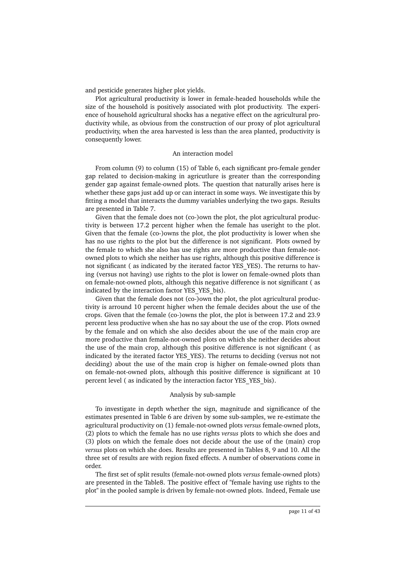and pesticide generates higher plot yields.

Plot agricultural productivity is lower in female-headed households while the size of the household is positively associated with plot productivity. The experience of household agricultural shocks has a negative effect on the agricultural productivity while, as obvious from the construction of our proxy of plot agricultural productivity, when the area harvested is less than the area planted, productivity is consequently lower.

#### An interaction model

From column (9) to column (15) of Table 6, each significant pro-female gender gap related to decision-making in agricutlure is greater than the corresponding gender gap against female-owned plots. The question that naturally arises here is whether these gaps just add up or can interact in some ways. We investigate this by fitting a model that interacts the dummy variables underlying the two gaps. Results are presented in Table 7.

Given that the female does not (co-)own the plot, the plot agricultural productivity is between 17.2 percent higher when the female has useright to the plot. Given that the female (co-)owns the plot, the plot productivity is lower when she has no use rights to the plot but the difference is not significant. Plots owned by the female to which she also has use rights are more productive than female-notowned plots to which she neither has use rights, although this positive difference is not significant ( as indicated by the iterated factor YES\_YES). The returns to having (versus not having) use rights to the plot is lower on female-owned plots than on female-not-owned plots, although this negative difference is not significant ( as indicated by the interaction factor YES YES bis).

Given that the female does not (co-)own the plot, the plot agricultural productivity is arround 10 percent higher when the female decides about the use of the crops. Given that the female (co-)owns the plot, the plot is between 17.2 and 23.9 percent less productive when she has no say about the use of the crop. Plots owned by the female and on which she also decides about the use of the main crop are more productive than female-not-owned plots on which she neither decides about the use of the main crop, although this positive difference is not significant ( as indicated by the iterated factor YES\_YES). The returns to deciding (versus not not deciding) about the use of the main crop is higher on female-owned plots than on female-not-owned plots, although this positive difference is significant at 10 percent level ( as indicated by the interaction factor YES\_YES\_bis).

#### Analysis by sub-sample

To investigate in depth whether the sign, magnitude and significance of the estimates presented in Table 6 are driven by some sub-samples, we re-estimate the agricultural productivity on (1) female-not-owned plots *versus* female-owned plots, (2) plots to which the female has no use rights *versus* plots to which she does and (3) plots on which the female does not decide about the use of the (main) crop *versus* plots on which she does. Results are presented in Tables 8, 9 and 10. All the three set of results are with region fixed effects. A number of observations come in order.

The first set of split results (female-not-owned plots *versus* female-owned plots) are presented in the Table8. The positive effect of "female having use rights to the plot" in the pooled sample is driven by female-not-owned plots. Indeed, Female use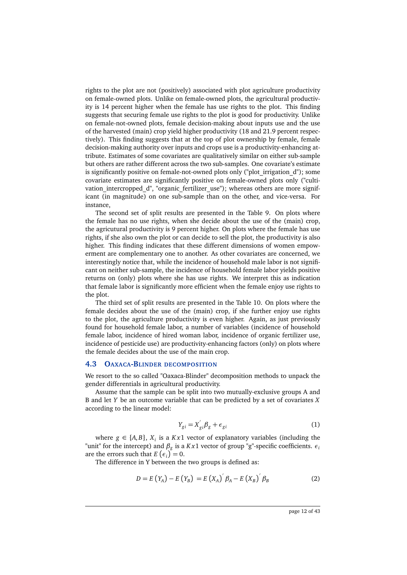rights to the plot are not (positively) associated with plot agriculture productivity on female-owned plots. Unlike on female-owned plots, the agricultural productivity is 14 percent higher when the female has use rights to the plot. This finding suggests that securing female use rights to the plot is good for productivity. Unlike on female-not-owned plots, female decision-making about inputs use and the use of the harvested (main) crop yield higher productivity (18 and 21.9 percent respectively). This finding suggests that at the top of plot ownership by female, female decision-making authority over inputs and crops use is a productivity-enhancing attribute. Estimates of some covariates are qualitatively similar on either sub-sample but others are rather different across the two sub-samples. One covariate's estimate is significantly positive on female-not-owned plots only ("plot\_irrigation\_d"); some covariate estimates are significantly positive on female-owned plots only ("cultivation intercropped d", "organic fertilizer use"); whereas others are more significant (in magnitude) on one sub-sample than on the other, and vice-versa. For instance,

The second set of split results are presented in the Table 9. On plots where the female has no use rights, when she decide about the use of the (main) crop, the agricutural productivity is 9 percent higher. On plots where the female has use rights, if she also own the plot or can decide to sell the plot, the productivity is also higher. This finding indicates that these different dimensions of women empowerment are complementary one to another. As other covariates are concerned, we interestingly notice that, while the incidence of household male labor is not significant on neither sub-sample, the incidence of household female labor yields positive returns on (only) plots where she has use rights. We interpret this as indication that female labor is significantly more efficient when the female enjoy use rights to the plot.

The third set of split results are presented in the Table 10. On plots where the female decides about the use of the (main) crop, if she further enjoy use rights to the plot, the agriculture productivity is even higher. Again, as just previously found for household female labor, a number of variables (incidence of household female labor, incidence of hired woman labor, incidence of organic fertilizer use, incidence of pesticide use) are productivity-enhancing factors (only) on plots where the female decides about the use of the main crop.

#### **4.3 OAXACA-BLINDER DECOMPOSITION**

We resort to the so called "Oaxaca-Blinder" decomposition methods to unpack the gender differentials in agricultural productivity.

Assume that the sample can be split into two mutually-exclusive groups A and B and let *Y* be an outcome variable that can be predicted by a set of covariates *X* according to the linear model:

$$
Y_{gi} = X'_{gi} \beta_g + \epsilon_{gi} \tag{1}
$$

where  $g \in \{A, B\}$ ,  $X_i$  is a  $Kx1$  vector of explanatory variables (including the "unit" for the intercept) and *β<sup>g</sup>* is a *K x*1 vector of group "g"-specific coefficients. *ε<sup>i</sup>* are the errors such that  $E\left(\epsilon_i\right) = 0$ .

The difference in Y between the two groups is defined as:

$$
D = E(Y_A) - E(Y_B) = E(X_A)^{'} \beta_A - E(X_B)^{'} \beta_B
$$
 (2)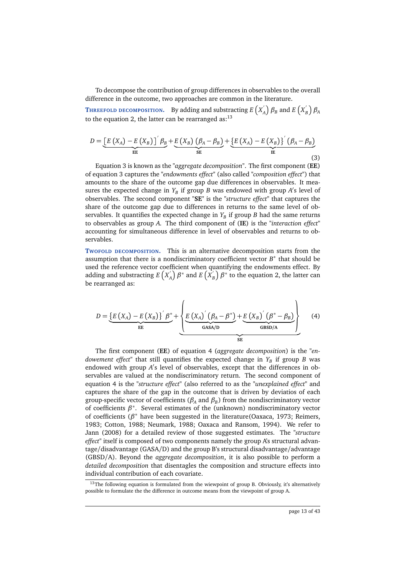To decompose the contribution of group differences in observables to the overall difference in the outcome, two approaches are common in the literature.

**T**HREEFOLD DECOMPOSITION. By adding and substracting  $E\left(X\right)$  $\beta_B$  and  $E\left(X_B^{\dagger}\right)$  $\binom{A}{B}$   $\beta_A$ to the equation 2, the latter can be rearranged as: $^{13}$ 

$$
D = \underbrace{\left[E\left(X_A\right) - E\left(X_B\right)\right]'\beta_B}_{EE} + \underbrace{E\left(X_B\right)\left(\beta_A - \beta_B\right)}_{SE} + \underbrace{\left\{E\left(X_A\right) - E\left(X_B\right)\right\}'\left(\beta_A - \beta_B\right)}_{IE}
$$
\n(3)

Equation 3 is known as the *"aggregate decomposition"*. The first component (**EE**) of equation 3 captures the *"endowments effect"* (also called *"composition effect"*) that amounts to the share of the outcome gap due differences in observables. It measures the expected change in  $Y_B$  if group *B* was endowed with group *A*'s level of observables. The second component "**SE**" is the *"structure effect"* that captures the share of the outcome gap due to differences in returns to the same level of observables. It quantifies the expected change in *Y<sup>B</sup>* if group *B* had the same returns to observables as group *A*. The third component of (**IE**) is the *"interaction effect"* accounting for simultaneous difference in level of observables and returns to observables.

**TWOFOLD DECOMPOSITION.** This is an alternative decomposition starts from the assumption that there is a nondiscriminatory coefficient vector *B*<sup>∗</sup> that should be used the reference vector coefficient when quantifying the endowments effect. By adding and substracting  $E(X)$  $\binom{X}{A}$   $\beta^*$  and  $E\left(\vec{X}_1\right)$  $\binom{b}{B}$   $\beta^*$  to the equation 2, the latter can be rearranged as:

$$
D = \underbrace{\left\{E\left(X_A\right) - E\left(X_B\right)\right\}^{\prime} \beta^*}_{\text{EE}} + \underbrace{\left\{E\left(X_A\right)^{\prime} \left(\beta_A - \beta^*\right) + \underbrace{E\left(X_B\right)^{\prime} \left(\beta^* - \beta_B\right)}_{\text{GBSD/A}}\right\}}_{\text{SE}} \tag{4}
$$

The first component (**EE**) of equation 4 (*aggregate decomposition*) is the *"endowement effect"* that still quantifies the expected change in *Y<sup>B</sup>* if group *B* was endowed with group A's level of observables, except that the differences in observables are valued at the nondiscriminatory return. The second component of equation 4 is the *"structure effect"* (also referred to as the *"unexplained effect"* and captures the share of the gap in the outcome that is driven by deviatios of each group-specific vector of coefficients (*β<sup>A</sup>* and *β<sup>B</sup>* ) from the nondiscriminatory vector of coefficients  $\beta^*$ . Several estimates of the (unknown) nondiscriminatory vector of coefficients (*β* <sup>∗</sup> have been suggested in the literature(Oaxaca, 1973; Reimers, 1983; Cotton, 1988; Neumark, 1988; Oaxaca and Ransom, 1994). We refer to Jann (2008) for a detailed review of those suggested estimates. The *"structure effect"* itself is composed of two components namely the group A's structural advantage/disadvantage (GASA/D) and the group B's structural disadvantage/advantage (GBSD/A). Beyond the *aggregate decomposition*, it is also possible to perform a *detailed decomposition* that disentagles the composition and structure effects into individual contribution of each covariate.

<sup>&</sup>lt;sup>13</sup>The following equation is formulated from the wiewpoint of group B. Obviously, it's alternatively possible to formulate the the difference in outcome means from the viewpoint of group A.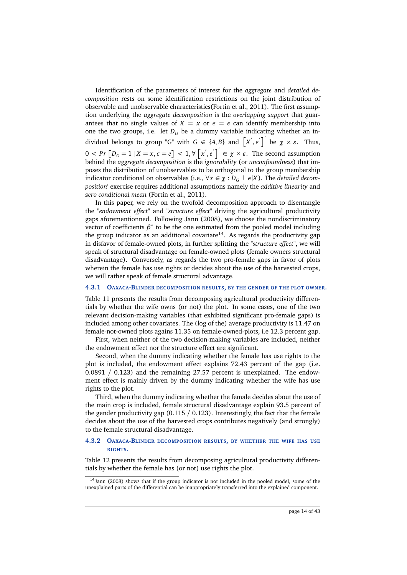Identification of the parameters of interest for the *aggregate* and *detailed decomposition* rests on some identification restrictions on the joint distribution of observable and unobservable characteristics(Fortin et al., 2011). The first assumption underlying the *aggregate decomposition* is the *overlapping support* that guarantees that no single values of  $X = x$  or  $\epsilon = e$  can identify membership into one the two groups, i.e. let  $D_G$  be a dummy variable indicating whether an individual belongs to group "G" with  $G \in \{A, B\}$  and  $\left[X', \epsilon'\right]'$  be  $\chi \times \varepsilon$ . Thus,  $0 < Pr \left[ D_G = 1 | X = x, \epsilon = e \right] < 1, \forall \left[ x', e' \right]^2 \in \mathcal{X} \times \epsilon$ . The second assumption behind the *aggregate decomposition* is the *ignorability* (or *unconfoundness*) that imposes the distribution of unobservables to be orthogonal to the group membership indicator conditional on observables (i.e.,  $\forall x \in \chi : D_G \perp \epsilon | X$ ). The *detailed decomposition*' exercise requires additional assumptions namely the *additive linearity* and *zero conditional mean* (Fortin et al., 2011).

In this paper, we rely on the twofold decomposition approach to disentangle the *"endowment effect"* and *"structure effect"* driving the agricultural productivity gaps aforementionned. Following Jann (2008), we choose the nondiscriminatory vector of coefficients  $\beta^*$  to be the one estimated from the pooled model including the group indicator as an additional covariate<sup>14</sup>. As regards the productivity gap in disfavor of female-owned plots, in further splitting the *"structure effect"*, we will speak of structural disadvantage on female-owned plots (female owners structural disadvantage). Conversely, as regards the two pro-female gaps in favor of plots wherein the female has use rights or decides about the use of the harvested crops, we will rather speak of female structural advantage.

#### **4.3.1 OAXACA-BLINDER DECOMPOSITION RESULTS, BY THE GENDER OF THE PLOT OWNER.**

Table 11 presents the results from decomposing agricultural productivity differentials by whether the wife owns (or not) the plot. In some cases, one of the two relevant decision-making variables (that exhibited significant pro-female gaps) is included among other covariates. The (log of the) average productivity is 11.47 on female-not-owned plots agains 11.35 on female-owned-plots, i.e 12.3 percent gap.

First, when neither of the two decision-making variables are included, neither the endowment effect nor the structure effect are significant.

Second, when the dummy indicating whether the female has use rights to the plot is included, the endowment effect explains 72.43 percent of the gap (i.e. 0.0891 / 0.123) and the remaining 27.57 percent is unexplained. The endowment effect is mainly driven by the dummy indicating whether the wife has use rights to the plot.

Third, when the dummy indicating whether the female decides about the use of the main crop is included, female structural disadvantage explain 93.5 percent of the gender productivity gap  $(0.115 / 0.123)$ . Interestingly, the fact that the female decides about the use of the harvested crops contributes negatively (and strongly) to the female structural disadvantage.

#### **4.3.2 OAXACA-BLINDER DECOMPOSITION RESULTS, BY WHETHER THE WIFE HAS USE RIGHTS.**

Table 12 presents the results from decomposing agricultural productivity differentials by whether the female has (or not) use rights the plot.

<sup>&</sup>lt;sup>14</sup>Jann (2008) shows that if the group indicator is not included in the pooled model, some of the unexplained parts of the differential can be inappropriately transferred into the explained component.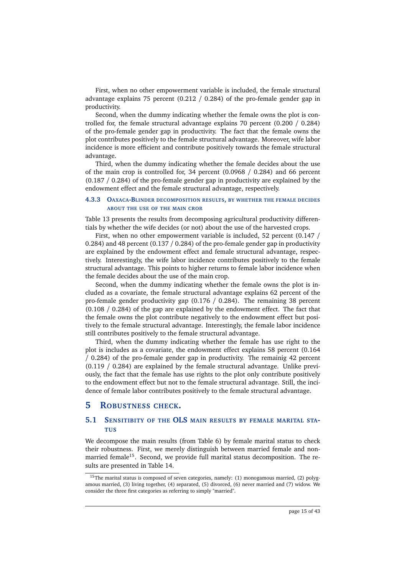First, when no other empowerment variable is included, the female structural advantage explains 75 percent (0.212 / 0.284) of the pro-female gender gap in productivity.

Second, when the dummy indicating whether the female owns the plot is controlled for, the female structural advantage explains 70 percent (0.200 / 0.284) of the pro-female gender gap in productivity. The fact that the female owns the plot contributes positively to the female structural advantage. Moreover, wife labor incidence is more efficient and contribute positively towards the female structural advantage.

Third, when the dummy indicating whether the female decides about the use of the main crop is controlled for, 34 percent (0.0968 / 0.284) and 66 percent (0.187 / 0.284) of the pro-female gender gap in productivity are explained by the endowment effect and the female structural advantage, respectively.

#### **4.3.3 OAXACA-BLINDER DECOMPOSITION RESULTS, BY WHETHER THE FEMALE DECIDES ABOUT THE USE OF THE MAIN CROP.**

Table 13 presents the results from decomposing agricultural productivity differentials by whether the wife decides (or not) about the use of the harvested crops.

First, when no other empowerment variable is included, 52 percent (0.147 / 0.284) and 48 percent (0.137 / 0.284) of the pro-female gender gap in productivity are explained by the endowment effect and female structural advantage, respectively. Interestingly, the wife labor incidence contributes positively to the female structural advantage. This points to higher returns to female labor incidence when the female decides about the use of the main crop.

Second, when the dummy indicating whether the female owns the plot is included as a covariate, the female structural advantage explains 62 percent of the pro-female gender productivity gap (0.176 / 0.284). The remaining 38 percent (0.108 / 0.284) of the gap are explained by the endowment effect. The fact that the female owns the plot contribute negatively to the endowment effect but positively to the female structural advantage. Interestingly, the female labor incidence still contributes positively to the female structural advantage.

Third, when the dummy indicating whether the female has use right to the plot is includes as a covariate, the endowment effect explains 58 percent (0.164 / 0.284) of the pro-female gender gap in productivity. The remainig 42 percent (0.119 / 0.284) are explained by the female structural advantage. Unlike previously, the fact that the female has use rights to the plot only contribute positively to the endowment effect but not to the female structural advantage. Still, the incidence of female labor contributes positively to the female structural advantage.

# **5 ROBUSTNESS CHECK.**

## **5.1 SENSITIBITY OF THE OLS MAIN RESULTS BY FEMALE MARITAL STA-TUS**

We decompose the main results (from Table 6) by female marital status to check their robustness. First, we merely distinguish between married female and nonmarried female<sup>15</sup>. Second, we provide full marital status decomposition. The results are presented in Table 14.

<sup>&</sup>lt;sup>15</sup>The marital status is composed of seven categories, namely: (1) monogamous married, (2) polygamous married, (3) living together, (4) separated, (5) divorced, (6) never married and (7) widow. We consider the three first categories as referring to simply "married".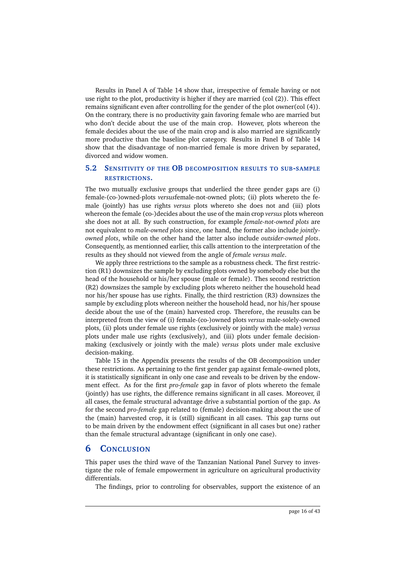Results in Panel A of Table 14 show that, irrespective of female having or not use right to the plot, productivity is higher if they are married (col (2)). This effect remains significant even after controlling for the gender of the plot owner(col (4)). On the contrary, there is no productivity gain favoring female who are married but who don't decide about the use of the main crop. However, plots whereon the female decides about the use of the main crop and is also married are significantly more productive than the baseline plot category. Results in Panel B of Table 14 show that the disadvantage of non-married female is more driven by separated, divorced and widow women.

# **5.2 SENSITIVITY OF THE OB DECOMPOSITION RESULTS TO SUB-SAMPLE RESTRICTIONS.**

The two mutually exclusive groups that underlied the three gender gaps are (i) female-(co-)owned-plots *versus*female-not-owned plots; (ii) plots whereto the female (jointly) has use rights *versus* plots whereto she does not and (iii) plots whereon the female (co-)decides about the use of the main crop *versus* plots whereon she does not at all. By such construction, for example *female-not-owned plots* are not equivalent to *male-owned plots* since, one hand, the former also include *jointlyowned plots*, while on the other hand the latter also include *outsider-owned plots*. Consequently, as mentionned earlier, this calls attention to the interpretation of the results as they should not viewed from the angle of *female versus male*.

We apply three restrictions to the sample as a robustness check. The first restriction (R1) downsizes the sample by excluding plots owned by somebody else but the head of the household or his/her spouse (male or female). Thes second restriction (R2) downsizes the sample by excluding plots whereto neither the household head nor his/her spouse has use rights. Finally, the third restriction (R3) downsizes the sample by excluding plots whereon neither the household head, nor his/her spouse decide about the use of the (main) harvested crop. Therefore, the reusults can be interpreted from the view of (i) female-(co-)owned plots *versus* male-solely-owned plots, (ii) plots under female use rights (exclusively or jointly with the male) *versus* plots under male use rights (exclusively), and (iii) plots under female decisionmaking (exclusively or jointly with the male) *versus* plots under male exclusive decision-making.

Table 15 in the Appendix presents the results of the OB decomposition under these restrictions. As pertaining to the first gender gap against female-owned plots, it is statistically significant in only one case and reveals to be driven by the endowment effect. As for the first *pro-female* gap in favor of plots whereto the female (jointly) has use rights, the difference remains significant in all cases. Moreover, il all cases, the female structural advantage drive a substantial portion of the gap. As for the second *pro-female* gap related to (female) decision-making about the use of the (main) harvested crop, it is (still) significant in all cases. This gap turns out to be main driven by the endowment effect (significant in all cases but one) rather than the female structural advantage (significant in only one case).

# **6 CONCLUSION**

This paper uses the third wave of the Tanzanian National Panel Survey to investigate the role of female empowerment in agriculture on agricultural productivity differentials.

The findings, prior to controling for observables, support the existence of an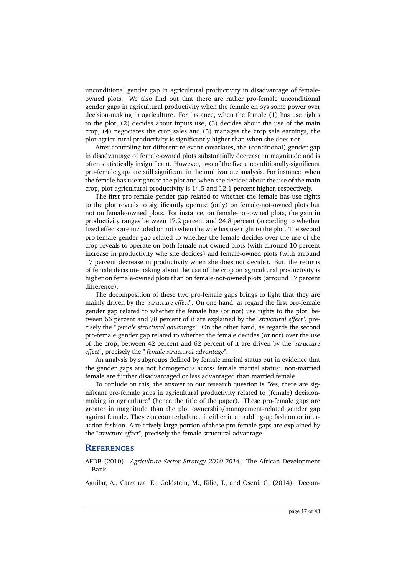unconditional gender gap in agricultural productivity in disadvantage of femaleowned plots. We also find out that there are rather pro-female unconditional gender gaps in agricultural productivity when the female enjoys some power over decision-making in agriculture. For instance, when the female (1) has use rights to the plot, (2) decides about inputs use, (3) decides about the use of the main crop, (4) negociates the crop sales and (5) manages the crop sale earnings, the plot agricultural productivity is significantly higher than when she does not.

After controling for different relevant covariates, the (conditional) gender gap in disadvantage of female-owned plots substantially decrease in magnitude and is often statistically insignificant. However, two of the five unconditionally-significant pro-female gaps are still significant in the multivariate analysis. For instance, when the female has use rights to the plot and when she decides about the use of the main crop, plot agricultural productivity is 14.5 and 12.1 percent higher, respectively.

The first pro-female gender gap related to whether the female has use rights to the plot reveals to significantly operate (only) on female-not-owned plots but not on female-owned plots. For instance, on female-not-owned plots, the gain in productivity ranges between 17.2 percent and 24.8 percent (according to whether fixed effects are included or not) when the wife has use right to the plot. The second pro-female gender gap related to whether the female decides over the use of the crop reveals to operate on both female-not-owned plots (with arround 10 percent increase in productivity whe she decides) and female-owned plots (with arround 17 percent decrease in productivity when she does not decide). But, the returns of female decision-making about the use of the crop on agricultural productivity is higher on female-owned plots than on female-not-owned plots (arround 17 percent difference).

The decomposition of these two pro-female gaps brings to light that they are mainly driven by the *"structure effect"*. On one hand, as regard the first pro-female gender gap related to whether the female has (or not) use rights to the plot, between 66 percent and 78 percent of it are explained by the *"structural effect"*, precisely the *" female structural advantage"*. On the other hand, as regards the second pro-female gender gap related to whether the female decides (or not) over the use of the crop, between 42 percent and 62 percent of it are driven by the *"structure effect"*, precisely the *" female structural advantage"*.

An analysis by subgroups defined by female marital status put in evidence that the gender gaps are not homogenous across female marital status: non-married female are further disadvantaged or less advantaged than married female.

To conlude on this, the answer to our research question is "Yes, there are significant pro-female gaps in agricultural productivity related to (female) decisionmaking in agriculture" (hence the title of the paper). These pro-female gaps are greater in magnitude than the plot ownership/management-related gender gap against female. They can counterbalance it either in an adding-up fashion or interaction fashion. A relatively large portion of these pro-female gaps are explained by the *"structure effect"*, precisely the female structural advantage.

### **REFERENCES**

AFDB (2010). *Agriculture Sector Strategy 2010-2014*. The African Development Bank.

Aguilar, A., Carranza, E., Goldstein, M., Kilic, T., and Oseni, G. (2014). Decom-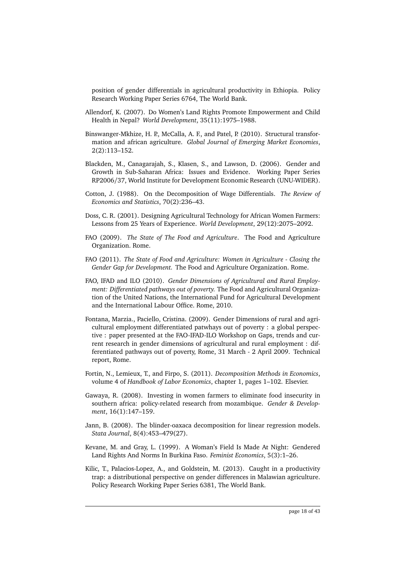position of gender differentials in agricultural productivity in Ethiopia. Policy Research Working Paper Series 6764, The World Bank.

- Allendorf, K. (2007). Do Women's Land Rights Promote Empowerment and Child Health in Nepal? *World Development*, 35(11):1975–1988.
- Binswanger-Mkhize, H. P., McCalla, A. F., and Patel, P. (2010). Structural transformation and african agriculture. *Global Journal of Emerging Market Economies*, 2(2):113–152.
- Blackden, M., Canagarajah, S., Klasen, S., and Lawson, D. (2006). Gender and Growth in Sub-Saharan Africa: Issues and Evidence. Working Paper Series RP2006/37, World Institute for Development Economic Research (UNU-WIDER).
- Cotton, J. (1988). On the Decomposition of Wage Differentials. *The Review of Economics and Statistics*, 70(2):236–43.
- Doss, C. R. (2001). Designing Agricultural Technology for African Women Farmers: Lessons from 25 Years of Experience. *World Development*, 29(12):2075–2092.
- FAO (2009). *The State of The Food and Agriculture*. The Food and Agriculture Organization. Rome.
- FAO (2011). *The State of Food and Agriculture: Women in Agriculture Closing the Gender Gap for Development.* The Food and Agriculture Organization. Rome.
- FAO, IFAD and ILO (2010). *Gender Dimensions of Agricultural and Rural Employment: Differentiated pathways out of poverty.* The Food and Agricultural Organization of the United Nations, the International Fund for Agricultural Development and the International Labour Office. Rome, 2010.
- Fontana, Marzia., Paciello, Cristina. (2009). Gender Dimensions of rural and agricultural employment differentiated patwhays out of poverty : a global perspective : paper presented at the FAO-IFAD-ILO Workshop on Gaps, trends and current research in gender dimensions of agricultural and rural employment : differentiated pathways out of poverty, Rome, 31 March - 2 April 2009. Technical report, Rome.
- Fortin, N., Lemieux, T., and Firpo, S. (2011). *Decomposition Methods in Economics*, volume 4 of *Handbook of Labor Economics*, chapter 1, pages 1–102. Elsevier.
- Gawaya, R. (2008). Investing in women farmers to eliminate food insecurity in southern africa: policy-related research from mozambique. *Gender & Development*, 16(1):147–159.
- Jann, B. (2008). The blinder-oaxaca decomposition for linear regression models. *Stata Journal*, 8(4):453–479(27).
- Kevane, M. and Gray, L. (1999). A Woman's Field Is Made At Night: Gendered Land Rights And Norms In Burkina Faso. *Feminist Economics*, 5(3):1–26.
- Kilic, T., Palacios-Lopez, A., and Goldstein, M. (2013). Caught in a productivity trap: a distributional perspective on gender differences in Malawian agriculture. Policy Research Working Paper Series 6381, The World Bank.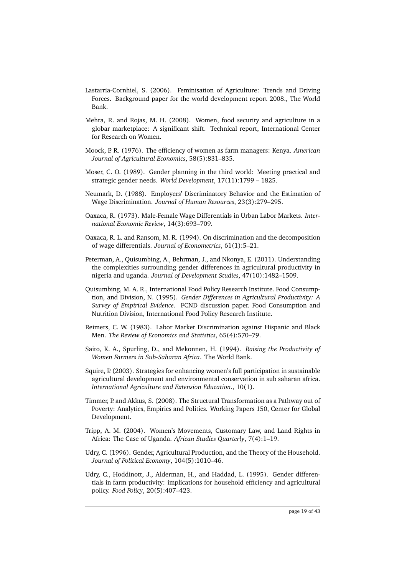- Lastarria-Cornhiel, S. (2006). Feminisation of Agriculture: Trends and Driving Forces. Background paper for the world development report 2008., The World Bank.
- Mehra, R. and Rojas, M. H. (2008). Women, food security and agriculture in a globar marketplace: A significant shift. Technical report, International Center for Research on Women.
- Moock, P. R. (1976). The efficiency of women as farm managers: Kenya. *American Journal of Agricultural Economics*, 58(5):831–835.
- Moser, C. O. (1989). Gender planning in the third world: Meeting practical and strategic gender needs. *World Development*, 17(11):1799 – 1825.
- Neumark, D. (1988). Employers' Discriminatory Behavior and the Estimation of Wage Discrimination. *Journal of Human Resources*, 23(3):279–295.
- Oaxaca, R. (1973). Male-Female Wage Differentials in Urban Labor Markets. *International Economic Review*, 14(3):693–709.
- Oaxaca, R. L. and Ransom, M. R. (1994). On discrimination and the decomposition of wage differentials. *Journal of Econometrics*, 61(1):5–21.
- Peterman, A., Quisumbing, A., Behrman, J., and Nkonya, E. (2011). Understanding the complexities surrounding gender differences in agricultural productivity in nigeria and uganda. *Journal of Development Studies*, 47(10):1482–1509.
- Quisumbing, M. A. R., International Food Policy Research Institute. Food Consumption, and Division, N. (1995). *Gender Differences in Agricultural Productivity: A Survey of Empirical Evidence*. FCND discussion paper. Food Consumption and Nutrition Division, International Food Policy Research Institute.
- Reimers, C. W. (1983). Labor Market Discrimination against Hispanic and Black Men. *The Review of Economics and Statistics*, 65(4):570–79.
- Saito, K. A., Spurling, D., and Mekonnen, H. (1994). *Raising the Productivity of Women Farmers in Sub-Saharan Africa*. The World Bank.
- Squire, P. (2003). Strategies for enhancing women's full participation in sustainable agricultural development and environmental conservation in sub saharan africa. *International Agriculture and Extension Education.*, 10(1).
- Timmer, P. and Akkus, S. (2008). The Structural Transformation as a Pathway out of Poverty: Analytics, Empirics and Politics. Working Papers 150, Center for Global Development.
- Tripp, A. M. (2004). Women's Movements, Customary Law, and Land Rights in Africa: The Case of Uganda. *African Studies Quarterly*, 7(4):1–19.
- Udry, C. (1996). Gender, Agricultural Production, and the Theory of the Household. *Journal of Political Economy*, 104(5):1010–46.
- Udry, C., Hoddinott, J., Alderman, H., and Haddad, L. (1995). Gender differentials in farm productivity: implications for household efficiency and agricultural policy. *Food Policy*, 20(5):407–423.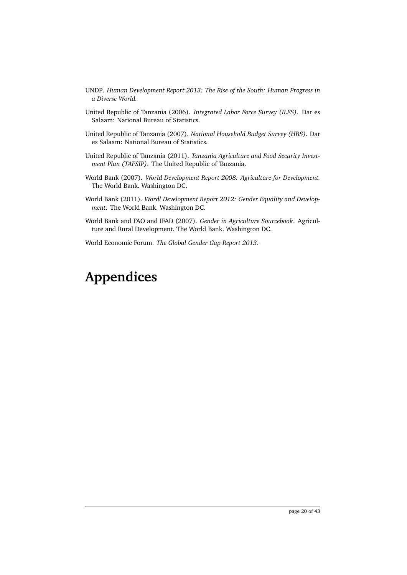- UNDP. *Human Development Report 2013: The Rise of the South: Human Progress in a Diverse World.*
- United Republic of Tanzania (2006). *Integrated Labor Force Survey (ILFS)*. Dar es Salaam: National Bureau of Statistics.
- United Republic of Tanzania (2007). *National Household Budget Survey (HBS)*. Dar es Salaam: National Bureau of Statistics.
- United Republic of Tanzania (2011). *Tanzania Agriculture and Food Security Investment Plan (TAFSIP)*. The United Republic of Tanzania.
- World Bank (2007). *World Development Report 2008: Agriculture for Development.* The World Bank. Washington DC.
- World Bank (2011). *Wordl Development Report 2012: Gender Equality and Development*. The World Bank. Washington DC.
- World Bank and FAO and IFAD (2007). *Gender in Agriculture Sourcebook*. Agriculture and Rural Development. The World Bank. Washington DC.

World Economic Forum. *The Global Gender Gap Report 2013*.

# **Appendices**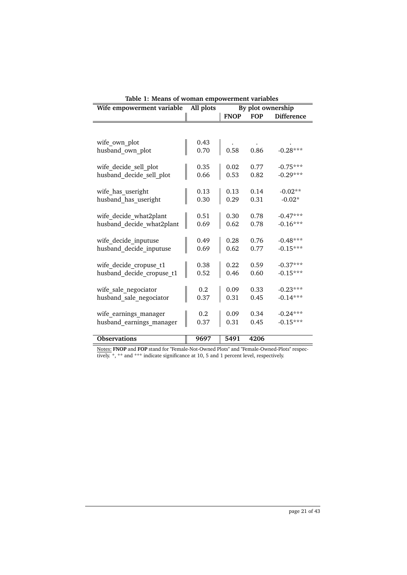| Wife empowerment variable         | All plots    |             |            | By plot ownership |
|-----------------------------------|--------------|-------------|------------|-------------------|
|                                   |              | <b>FNOP</b> | <b>FOP</b> | <b>Difference</b> |
|                                   |              |             |            |                   |
| wife own plot<br>husband own plot | 0.43<br>0.70 | 0.58        | 0.86       | $-0.28***$        |
| wife_decide_sell_plot             | 0.35         | 0.02        | 0.77       | $-0.75***$        |
| husband decide sell plot          | 0.66         | 0.53        | 0.82       | $-0.29***$        |
| wife_has_useright                 | 0.13         | 0.13        | 0.14       | $-0.02**$         |
| husband has useright              | 0.30         | 0.29        | 0.31       | $-0.02*$          |
| wife decide what2plant            | 0.51         | 0.30        | 0.78       | $-0.47***$        |
| husband decide what2plant         | 0.69         | 0.62        | 0.78       | $-0.16***$        |
| wife_decide_inputuse              | 0.49         | 0.28        | 0.76       | $-0.48***$        |
| husband decide inputuse           | 0.69         | 0.62        | 0.77       | $-0.15***$        |
| wife_decide_cropuse_t1            | 0.38         | 0.22        | 0.59       | $-0.37***$        |
| husband decide cropuse t1         | 0.52         | 0.46        | 0.60       | $-0.15***$        |
| wife sale negociator              | 0.2          | 0.09        | 0.33       | $-0.23***$        |
| husband sale negociator           | 0.37         | 0.31        | 0.45       | $-0.14***$        |
| wife earnings manager             | 0.2          | 0.09        | 0.34       | $-0.24***$        |
| husband earnings manager          | 0.37         | 0.31        | 0.45       | $-0.15***$        |
| <b>Observations</b>               | 9697         | 5491        | 4206       |                   |

|  |  |  | Table 1: Means of woman empowerment variables |  |
|--|--|--|-----------------------------------------------|--|
|--|--|--|-----------------------------------------------|--|

Notes: **FNOP** and **FOP** stand for "Female-Not-Owned Plots" and "Female-Owned-Plots" respectively. \*, \*\* and \*\*\* indicate significance at 10, 5 and 1 percent level, respectively.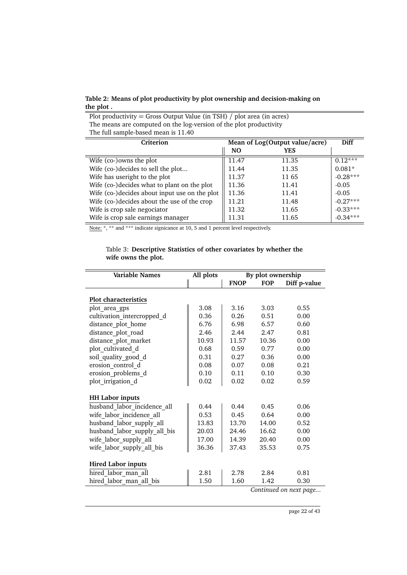**Table 2: Means of plot productivity by plot ownership and decision-making on the plot .**

Plot productivity = Gross Output Value (in TSH) / plot area (in acres)

The means are computed on the log-version of the plot productivity The full sample-based mean is 11.40 **Criterion Mean of Log(Output value/acre) Diff NO YES** Wife (co-)owns the plot  $\frac{11.47}{11.47}$  11.35  $\frac{10.12***}{11.35}$ Wife (co-)decides to sell the plot...  $\begin{array}{|l|l|}\n\hline\n11.44 & 11.35 & 0.081* \\
\hline\n11.37 & 11.65 & -0.28***\n\end{array}$ Wife has useright to the plot  $\parallel$  11.37 11.65 Wife (co-)decides what to plant on the plot  $\parallel$  11.36 11.41  $\parallel$  -0.05 Wife (co-)decides about input use on the plot  $\parallel$  11.36 11.41  $\parallel$  -0.05 Wife (co-)decides about the use of the crop  $\parallel$  11.21 11.48  $\parallel$  -0.27\*\*\* Wife is crop sale negociator  $\parallel$  11.32 11.65  $\parallel$  -0.33\*\*\* Wife is crop sale earnings manager  $\parallel$  11.31 11.65  $\parallel$  -0.34\*\*\*

Note: \*, \*\* and \*\*\* indicate signicance at 10, 5 and 1 percent level respectively.

Table 3: **Descriptive Statistics of other covariates by whether the wife owns the plot.**

| Variable Names               | All plots |             | By plot ownership |                        |
|------------------------------|-----------|-------------|-------------------|------------------------|
|                              |           | <b>FNOP</b> | <b>FOP</b>        | Diff p-value           |
|                              |           |             |                   |                        |
| <b>Plot characteristics</b>  |           |             |                   |                        |
| plot area gps                | 3.08      | 3.16        | 3.03              | 0.55                   |
| cultivation intercropped d   | 0.36      | 0.26        | 0.51              | 0.00                   |
| distance plot home           | 6.76      | 6.98        | 6.57              | 0.60                   |
| distance_plot_road           | 2.46      | 2.44        | 2.47              | 0.81                   |
| distance plot market         | 10.93     | 11.57       | 10.36             | 0.00                   |
| plot cultivated d            | 0.68      | 0.59        | 0.77              | 0.00                   |
| soil_quality_good_d          | 0.31      | 0.27        | 0.36              | 0.00                   |
| erosion control d            | 0.08      | 0.07        | 0.08              | 0.21                   |
| erosion problems d           | 0.10      | 0.11        | 0.10              | 0.30                   |
| plot irrigation d            | 0.02      | 0.02        | 0.02              | 0.59                   |
| <b>HH Labor inputs</b>       |           |             |                   |                        |
| husband labor incidence all  | 0.44      | 0.44        | 0.45              | 0.06                   |
| wife labor incidence all     | 0.53      | 0.45        | 0.64              | 0.00                   |
| husband_labor_supply_all     | 13.83     | 13.70       | 14.00             | 0.52                   |
| husband labor supply all bis | 20.03     | 24.46       | 16.62             | 0.00                   |
| wife_labor_supply_all        | 17.00     | 14.39       | 20.40             | 0.00                   |
| wife labor supply all bis    | 36.36     | 37.43       | 35.53             | 0.75                   |
| <b>Hired Labor inputs</b>    |           |             |                   |                        |
| hired_labor_man_all          | 2.81      | 2.78        | 2.84              | 0.81                   |
| hired labor man all bis      | 1.50      | 1.60        | 1.42              | 0.30                   |
|                              |           |             |                   | Continued on next page |

page 22 of 43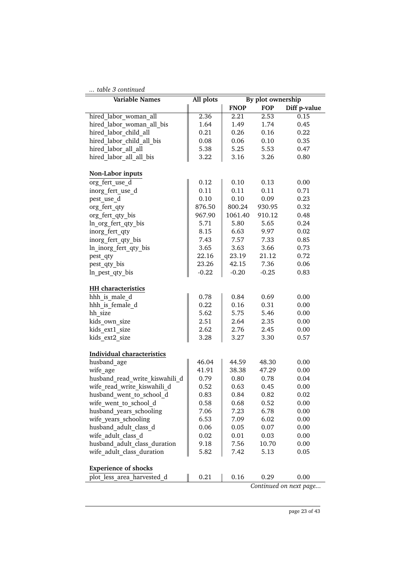# *... table 3 continued*

| table 3 continued                 |           |             |                   |                        |
|-----------------------------------|-----------|-------------|-------------------|------------------------|
| Variable Names                    | All plots |             | By plot ownership |                        |
|                                   |           | <b>FNOP</b> | <b>FOP</b>        | Diff p-value           |
| hired_labor_woman_all             | 2.36      | 2.21        | 2.53              | 0.15                   |
| hired labor woman all bis         | 1.64      | 1.49        | 1.74              | 0.45                   |
| hired labor child all             | 0.21      | 0.26        | 0.16              | 0.22                   |
| hired labor child all bis         | 0.08      | 0.06        | 0.10              | 0.35                   |
| hired labor all all               | 5.38      | 5.25        | 5.53              | 0.47                   |
| hired labor all all bis           | 3.22      | 3.16        | 3.26              | 0.80                   |
| Non-Labor inputs                  |           |             |                   |                        |
| org fert use d                    | 0.12      | 0.10        | 0.13              | 0.00                   |
| inorg_fert_use_d                  | 0.11      | 0.11        | 0.11              | 0.71                   |
| pest use d                        | 0.10      | 0.10        | 0.09              | 0.23                   |
| org fert qty                      | 876.50    | 800.24      | 930.95            | 0.32                   |
| org fert qty bis                  | 967.90    | 1061.40     | 910.12            | 0.48                   |
| ln_org_fert_qty_bis               | 5.71      | 5.80        | 5.65              | 0.24                   |
| inorg fert qty                    | 8.15      | 6.63        | 9.97              | 0.02                   |
| inorg fert qty bis                | 7.43      | 7.57        | 7.33              | 0.85                   |
| ln_inorg_fert_qty_bis             | 3.65      | 3.63        | 3.66              | 0.73                   |
| pest_qty                          | 22.16     | 23.19       | 21.12             | 0.72                   |
|                                   | 23.26     | 42.15       | 7.36              | 0.06                   |
| pest_qty_bis                      | $-0.22$   |             | $-0.25$           |                        |
| ln_pest_qty_bis                   |           | $-0.20$     |                   | 0.83                   |
| HH characteristics                |           |             |                   |                        |
| hhh is male d                     | 0.78      | 0.84        | 0.69              | 0.00                   |
| hhh is female d                   | 0.22      | 0.16        | 0.31              | 0.00                   |
| hh size                           | 5.62      | 5.75        | 5.46              | 0.00                   |
| kids own size                     | 2.51      | 2.64        | 2.35              | 0.00                   |
| kids ext1 size                    | 2.62      | 2.76        | 2.45              | 0.00                   |
| kids ext2 size                    | 3.28      | 3.27        | 3.30              | 0.57                   |
| <b>Individual characteristics</b> |           |             |                   |                        |
| husband age                       | 46.04     | 44.59       | 48.30             | 0.00                   |
| wife age                          | 41.91     | 38.38       | 47.29             | 0.00                   |
| husband_read_write_kiswahili_d    | 0.79      | 0.80        | 0.78              | 0.04                   |
| wife read write kiswahili d       | 0.52      | 0.63        | 0.45              | 0.00                   |
| husband_went_to_school_d          | 0.83      | 0.84        | 0.82              | 0.02                   |
| wife went to school d             | 0.58      | 0.68        | 0.52              | 0.00                   |
| husband_years schooling           | 7.06      | 7.23        | 6.78              | 0.00                   |
| wife years schooling              | 6.53      | 7.09        | 6.02              | 0.00                   |
| husband_adult_class_d             | 0.06      | 0.05        | 0.07              | 0.00                   |
| wife adult class d                | 0.02      | 0.01        | 0.03              | 0.00                   |
| husband adult class duration      | 9.18      | 7.56        | 10.70             | 0.00                   |
| wife adult class duration         | 5.82      | 7.42        | 5.13              | 0.05                   |
|                                   |           |             |                   |                        |
| <b>Experience of shocks</b>       |           |             |                   |                        |
| plot less area harvested d        | 0.21      | 0.16        | 0.29              | 0.00                   |
|                                   |           |             |                   | Continued on next page |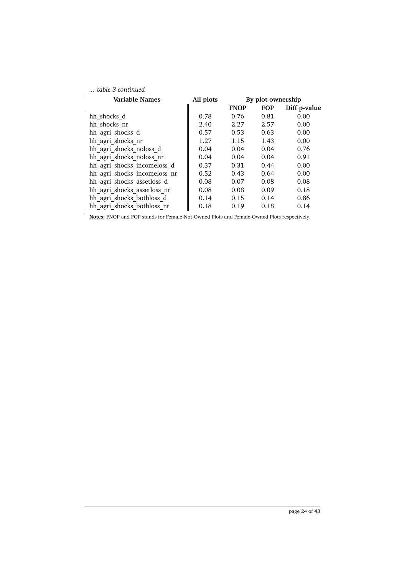|  | table 3 continued |
|--|-------------------|
|  |                   |

| <b>Variable Names</b>                                                          | All plots |                                 | By plot ownership |              |
|--------------------------------------------------------------------------------|-----------|---------------------------------|-------------------|--------------|
|                                                                                |           | <b>FNOP</b>                     | <b>FOP</b>        | Diff p-value |
| hh shocks d                                                                    | 0.78      | 0.76                            | 0.81              | 0.00         |
| hh shocks nr                                                                   | 2.40      | 2.27                            | 2.57              | 0.00         |
| hh agri shocks d                                                               | 0.57      | 0.53                            | 0.63              | 0.00         |
| hh agri shocks nr                                                              | 1.27      | 1.15                            | 1.43              | 0.00         |
| hh agri shocks noloss d                                                        | 0.04      | 0.04                            | 0.04              | 0.76         |
| hh agri shocks noloss nr                                                       | 0.04      | 0.04                            | 0.04              | 0.91         |
| hh agri shocks incomeloss d                                                    | 0.37      | 0.31                            | 0.44              | 0.00         |
| hh agri shocks incomeloss nr                                                   | 0.52      | 0.43                            | 0.64              | 0.00         |
| hh agri shocks assetloss d                                                     | 0.08      | 0.07                            | 0.08              | 0.08         |
| hh agri shocks assetloss nr                                                    | 0.08      | 0.08                            | 0.09              | 0.18         |
| hh agri shocks bothloss d                                                      | 0.14      | 0.15                            | 0.14              | 0.86         |
| hh agri shocks bothloss nr                                                     | 0.18      | 0.19                            | 0.18              | 0.14         |
| $1 \text{ mod } 1$ $1 \text{ mod } 1$ $1 \text{ mod } 1$<br>T1170D<br>$\cdots$ | 1.721     | 1 <sub>m</sub><br>$\sim$ $\sim$ | 1.721             | $\cdots$     |

**Notes:** FNOP and FOP stands for Female-Not-Owned Plots and Female-Owned Plots respectively.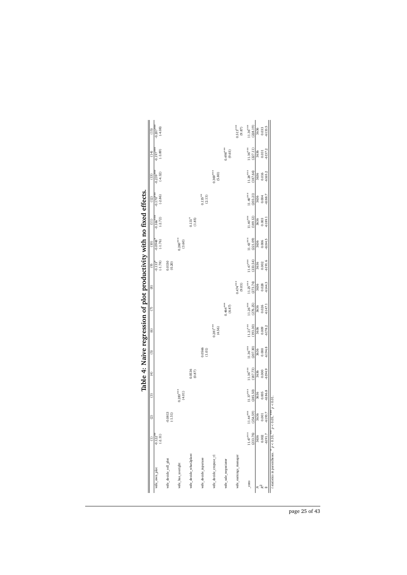|                                                                       | $-0.207$ ***<br>$(-4.08)$<br>(15)<br>$(-3.89)$<br>(14)             |                       |                      |                                |                      |                        | $0.498***$<br>(9.65) | $0.513***$<br>$(9.87)$ | $11.36***$<br>(228.19)<br>$11.36***$<br>(227.11) | 3636<br>3636 | 6133.5<br>0.033<br>$-6137.2$<br>0.031 |                                                            |
|-----------------------------------------------------------------------|--------------------------------------------------------------------|-----------------------|----------------------|--------------------------------|----------------------|------------------------|----------------------|------------------------|--------------------------------------------------|--------------|---------------------------------------|------------------------------------------------------------|
|                                                                       | $-0.197$ <sup>**</sup><br>$-0.239**$<br>$(-4.32)$<br>(13)          |                       |                      |                                |                      | $0.369***$<br>(5.80)   |                      |                        | $11.28^{\ast\ast\ast}$<br>(187.64)               | 3636         | 6165.2<br>0.016                       |                                                            |
|                                                                       | $-0.170***$<br>$(-2.86)$<br>$(12)$                                 |                       |                      |                                | $0.135***$<br>(2.13) |                        |                      |                        | $11.40***$<br>203.21                             | 3636         | -6188.7<br>0.004                      |                                                            |
| Table 4: Naive regression of plot productivity with no fixed effects. | $-0.166***$<br>$(-2.72)$<br>$\begin{array}{c} (11) \\ \end{array}$ |                       |                      | $0.131$ <sup>*</sup><br>(1.85) |                      |                        |                      |                        | $11.40***$<br>(189.12)                           | 3636         | -6189.1<br>0.003                      |                                                            |
|                                                                       | $-0.0948$ <sup>*</sup><br>$\boxed{0}$                              |                       | $0.260***$<br>(3.60) |                                |                      |                        |                      |                        | $11.43***$<br>(221.09)                           | 3636         | -6184.5<br>0.006                      |                                                            |
|                                                                       | $-0.133$ <sup>*</sup><br>(-1.78)<br>$\circ$                        | 0.0150<br>(0.20)      |                      |                                |                      |                        |                      |                        | $11.47***$<br>(233.54)                           | 3636         | 6191.6<br>0.002                       |                                                            |
|                                                                       | $\circ$                                                            |                       |                      |                                |                      |                        |                      | $0.474***$<br>(9.03)   | $11.25***$<br>(273.74)                           | 3636         | $-6144.3$<br>0.028                    |                                                            |
|                                                                       | $\circ$                                                            |                       |                      |                                |                      |                        | $0.464***$<br>(8.87) |                        | $11.26***$<br>(276.25)                           | 3636         | $-6147.1$<br>0.026                    |                                                            |
|                                                                       | $\circ$                                                            |                       |                      |                                |                      | $0.281***$<br>(4.56)   |                      |                        | $11.21^{\,\ast\ast\ast}$<br>(193.30)             | 3636         | $-6178.2$<br>0.009                    |                                                            |
|                                                                       | $\overline{5}$                                                     |                       |                      |                                | $0.0566$<br>$(1.01)$ |                        |                      |                        | $11.36***$<br>(207.30)                           | 3636         | $-6194.8$<br>0.000                    |                                                            |
|                                                                       | $\oplus$                                                           |                       |                      | $0.0536$<br>$(0.87)$           |                      |                        |                      |                        | $11.36***$<br>(187.73)                           | 3636         | 6194.9<br>0.000                       |                                                            |
|                                                                       | $\circ$                                                            |                       | $0.283***$<br>(4.01) |                                |                      |                        |                      |                        | $11.37***$<br>(285.50)                           | 3636         | $-6186.8$<br>0.005                    |                                                            |
|                                                                       | $\circ$                                                            | $-0.0813$<br>(1.51)   |                      |                                |                      |                        |                      |                        | $11.44***$<br>(254.59)                           | 3636         | $-6193.7$<br>0.001                    | $\leq 0.05$ , *** $p \leq 0.01$ .                          |
|                                                                       | $-0.122$ <sup>*</sup><br>$(-2.31)$                                 |                       |                      |                                |                      |                        |                      |                        | $11.47***$<br>(233.76)                           | 3636         | $-6191.7$<br>0.002                    |                                                            |
|                                                                       | wife_own_plot                                                      | wife_decide_sell_plot | wife_has_useright    | wife_decide_what2plant         | wife_decide_inputuse | wife_decide_cropuse_t1 | wife_sale_negociator | wife_earnings_manager  | cons                                             |              |                                       | t statistics in parentheses. $^*$ $p < 0.10$ , $^{**}$ $p$ |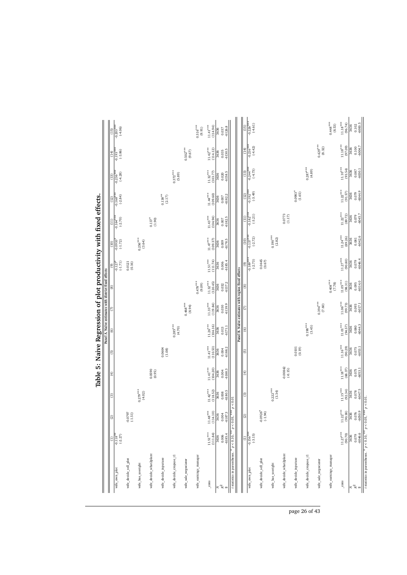|                                                                              |                                               |                                      |                               |                                  |                                                         | Panel A. Naïve estimates with district fixed effects $(7)$ $(8)$ $(9)$ |                              |                                                                      |                                                  |                                                                |                                 |                                 |                                        |                                           |                                    |
|------------------------------------------------------------------------------|-----------------------------------------------|--------------------------------------|-------------------------------|----------------------------------|---------------------------------------------------------|------------------------------------------------------------------------|------------------------------|----------------------------------------------------------------------|--------------------------------------------------|----------------------------------------------------------------|---------------------------------|---------------------------------|----------------------------------------|-------------------------------------------|------------------------------------|
|                                                                              | Ξ                                             | ∥ଷ                                   | ြ                             | ∣€                               | ∥ତ                                                      |                                                                        |                              |                                                                      | $\parallel$ s                                    | s                                                              | a                               | $\sqrt{\frac{2}{2}}$            | $\sqrt{13}$                            | $\frac{1}{(14)}$                          | $\sqrt{\frac{15}{2}}$              |
| wife_own_plot                                                                | $(-2.27)$<br>$-0.118$ <sup>*</sup>            |                                      |                               |                                  |                                                         |                                                                        |                              |                                                                      | $-0.127$ <sup>*</sup>                            | $\frac{1}{(1.72)}$                                             | $-0.164***$                     | $\frac{0.168***}{(-2.84)}$      | $-0.236***$<br>(4.28)                  | 698'6-)<br>****861'0                      | $-0.203***$<br>(-4.06)             |
| wife_decide_sell_plot                                                        |                                               | $-0.0797$<br>(-1.51)                 |                               |                                  |                                                         |                                                                        |                              |                                                                      | $0.0121$<br>$(0.16)$                             |                                                                |                                 |                                 |                                        |                                           |                                    |
| wife_has_useright                                                            |                                               |                                      | $0.279***$<br>(4.02)          |                                  |                                                         |                                                                        |                              |                                                                      |                                                  | $0.256***$<br>(3.64)                                           |                                 |                                 |                                        |                                           |                                    |
| wife_decide_what2plant                                                       |                                               |                                      |                               | 0.0590<br>(0.95)                 |                                                         |                                                                        |                              |                                                                      |                                                  |                                                                | $0.137$ <sup>*</sup>            |                                 |                                        |                                           |                                    |
| wife_decide_inputuse                                                         |                                               |                                      |                               |                                  | $0.0604$<br>$(1.08)$                                    |                                                                        |                              |                                                                      |                                                  |                                                                |                                 | $0.138^{**}$<br>(2.17)          |                                        |                                           |                                    |
| wife_decide_cropuse_t1                                                       |                                               |                                      |                               |                                  |                                                         | $0.285***$<br>(4.70)                                                   |                              |                                                                      |                                                  |                                                                |                                 |                                 | $0.372***$<br>(5.89)                   |                                           |                                    |
| wife_sale_negociator                                                         |                                               |                                      |                               |                                  |                                                         |                                                                        | $0.468***$<br>(8.94)         |                                                                      |                                                  |                                                                |                                 |                                 |                                        | $0.502***$<br>(9.67)                      |                                    |
| wife_earnings_manager                                                        |                                               |                                      |                               |                                  |                                                         |                                                                        |                              | $0.478***$<br>(9.09)                                                 |                                                  |                                                                |                                 |                                 |                                        |                                           | $0.516***$<br>(9.91)               |
| $\frac{\text{cons}}{\text{cons}}$                                            | $11.51***$<br>(111.84)                        | $11.48***$<br>(114.10)               | $11.42***$<br>(118.52)        | $11.41***$<br>(104.20)           | $11.41***$<br>(110.53)                                  | $11.26^{\text{\tiny\textup{300}}\star\text{100}}$<br>(104.16)          | $11.33***$<br>(119.84)       | $11.32^{\text{\tiny{34}}\text{\tiny{34}}\text{\tiny{4}}$<br>(120.45) | $11.51***$<br>(111.74)                           | $11.47^{\tiny\textstyle\textrm{\tiny{343}}\times}$<br>(109.37) | $11.43***$<br>(104.94)          | $11.44***$<br>(109.60)          | $11.32***$<br>(103.77)                 | $11.42***$<br>(114.12)                    | $11.41***$<br>(114.94)             |
| $\mathbb{R}^2$<br>z                                                          | $0.006$<br>-6185.4<br>3636                    | $0.004$<br>$-6187.3$<br>3636         | $0.008$<br>-6180.5<br>3636    | $0.004$<br>$-6188.3$<br>3636     | $-6188.2$<br>0.004<br>3636                              | $0.013$<br>$-6171.1$<br>3636                                           | $0.030$<br>$-6139.9$<br>3636 | $0.032$<br>$-6137.2$<br>3636                                         | $0.006$<br>-6185.4<br>3636                       | $0.009$<br>$-6178.5$<br>3636                                   | $-6182.5$<br>$0.007$<br>3636    | $0.007$<br>-6182.2<br>3636      | $-6158.5$<br>0.020<br>3636             | $0.035$<br>$-6130.5$<br>3636              | $0.037$<br>$-6126.8$<br>3636       |
| t statistics in parentheses.                                                 | * $p < 0.10$ , ** $p < 0.05$ , *** $p < 0.01$ |                                      |                               |                                  |                                                         | Panel B. Naïve estimates with region fixed effects                     |                              |                                                                      |                                                  |                                                                |                                 |                                 |                                        |                                           |                                    |
|                                                                              |                                               | $\widehat{\omega}$                   | ම                             | E)                               | ල                                                       | $\widehat{\circ}$                                                      | $\epsilon$                   | $\circledcirc$                                                       |                                                  |                                                                |                                 |                                 |                                        |                                           |                                    |
| wife_own_plot                                                                | $\frac{\overline{11}}{\overline{1156}}$       |                                      |                               |                                  |                                                         |                                                                        |                              |                                                                      | $\frac{1}{(9)}$<br>$\frac{189^{***}}{189^{***}}$ | $\frac{(10)}{0.137}$<br>$(-2.72)$                              | $\frac{(11)}{0.182}$<br>(-3.21) | $\frac{(12)}{0.192^{***}}$      | $\frac{(13)}{-0.244}$ ***<br>$(-4.73)$ | $\frac{(14)}{-0.216}$<br>(4.42)           | $\frac{(15)}{-0.226}$<br>$(-4.61)$ |
| wife_decide_sell_plot                                                        |                                               | $-0.0926$ <sup>*</sup><br>(-1.94)    |                               |                                  |                                                         |                                                                        |                              |                                                                      | $0.0445$<br>$(0.67)$                             |                                                                |                                 |                                 |                                        |                                           |                                    |
| wife_has_useright                                                            |                                               |                                      | $0.222***$<br>(3.34)          |                                  |                                                         |                                                                        |                              |                                                                      |                                                  | $0.190***$<br>(2.82)                                           |                                 |                                 |                                        |                                           |                                    |
| wife_decide_what2plant                                                       |                                               |                                      |                               | $-0.00842$<br>$(-0.15)$          |                                                         |                                                                        |                              |                                                                      |                                                  |                                                                | $0.0773$<br>(1.17)              |                                 |                                        |                                           |                                    |
| wife_decide_inputuse                                                         |                                               |                                      |                               |                                  | (6100                                                   |                                                                        |                              |                                                                      |                                                  |                                                                |                                 | $0.0983$ <sup>*</sup><br>(1.65) |                                        |                                           |                                    |
| wife_decide_cropuse_t1                                                       |                                               |                                      |                               |                                  |                                                         | $0.198***$<br>(3.45)                                                   |                              |                                                                      |                                                  |                                                                |                                 |                                 | $0.287***$<br>(4.89)                   |                                           |                                    |
| wife_sale_negociator                                                         |                                               |                                      |                               |                                  |                                                         |                                                                        | $0.394***$<br>$(7.60)$       |                                                                      |                                                  |                                                                |                                 |                                 |                                        | $0.429***$<br>(8.32)                      |                                    |
| wife_earnings_manager                                                        |                                               |                                      |                               |                                  |                                                         |                                                                        |                              | $0.408***$<br>(7.78)                                                 |                                                  |                                                                |                                 |                                 |                                        |                                           | $0.448***$<br>(8.53)               |
| $_{\rm cons}$                                                                | $11.27^{\rm sw}$<br>$\frac{(90.70)}{3636}$    | $11.22***$<br>$\frac{(90.38)}{3636}$ | $11.15^{\rm stat}$<br>(92.34) | $11.18$ $^{\rm stat}$<br>(88.37) | $11.16^{\text{\tiny{3+3+8}}}$<br>$\frac{(90.29)}{3636}$ | $11.01^{\,\mathrm{stat}}$<br>(94.57)                                   | $11.06^{\rm***}$<br>(99.73)  | $11.05***$<br>$\frac{(98.31)}{3636}$                                 | $11.27^{\rm stat}$<br>(90.80)                    | $11.24***$<br>(89.26)                                          | $11.22^{\rm ****}$<br>(89.72)   | $11.22***$<br>(91.57)           | $11.10***$<br>(93.54)                  | $11.18^{\mbox{\tiny{304}}\times}$         | $11.18^{\rm stat}$<br>(96.74)      |
| $\rm R^2$<br>z                                                               | $-6046.6$<br>0.079                            | $-6050.9$<br>0.076                   | $0.078$<br>-6047.5<br>3636    | $0.075$<br>-6053.1<br>3636       | $\frac{0.075}{0.053.1}$                                 | $0.080$<br>-6044.3<br>3636                                             | 0.093<br>-6017.1<br>3636     | 0.095<br>-6014.0                                                     | 0.079<br>-6046.4<br>3636                         | $0.081$<br>$-6042.6$<br>3636                                   | 0.079<br>-6045.7<br>3636        | $0.079$<br>-6044.9<br>8636      | 0.087<br>3636                          | $\frac{(97.09)}{3636}$<br>0.100<br>0004.7 | 0.102<br>3636                      |
| t statistics in parentheses. * $p < 0.10$ , ** $p < 0.05$ , *** $p < 0.01$ . |                                               |                                      |                               |                                  |                                                         |                                                                        |                              |                                                                      |                                                  |                                                                |                                 |                                 |                                        |                                           |                                    |

page 26 of 43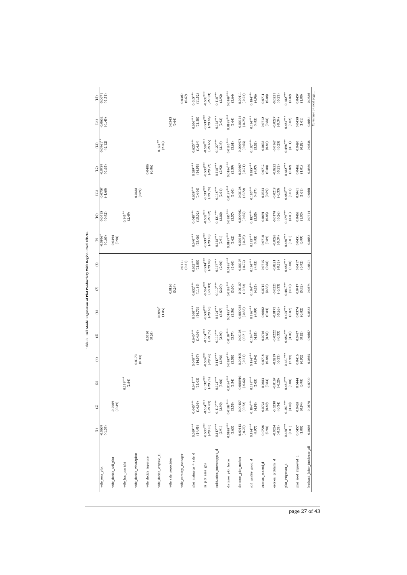| $\boxed{5}$<br>(FL) | $\frac{0.0671}{(-1.51)}$<br>$-0.0662$<br>$(-1.49)$ |                        |                      |                        |                      |                                 | 0.0343<br>(0.64)     | 0.0360<br>(0.67)      | $0.615***$<br>(11.52)<br>$0.616***$<br>(11.58) | $0.533***$<br>$(-29.83)$<br>$0.533***$<br>$(-29.86)$ | $0.118***$<br>$\left( 2.92\right)$<br>$0.118***$<br>(2.92) | $0.0189***$<br>(3.64)<br>$0.0189***$<br>(3.64) | $-0.00111$<br>$(-0.74)$<br>$-0.00114$<br>$(-0.76)$ | $0.184***$<br>(4.96)<br>$0.184***$<br>(4.95) | 0.0711<br>(0.88)<br>0.0712<br>(0.88) | $-0.0221$<br>$(-0.33)$<br>$-0.0227$<br>$(-0.34)$ | $0.482***$<br>$(3.02)$<br>$0.481***$<br>(3.02) | 0.0457<br>(1.00)<br>0.0458<br>(1.01) | $-0.0686$<br>$-0.0684$      |
|---------------------|----------------------------------------------------|------------------------|----------------------|------------------------|----------------------|---------------------------------|----------------------|-----------------------|------------------------------------------------|------------------------------------------------------|------------------------------------------------------------|------------------------------------------------|----------------------------------------------------|----------------------------------------------|--------------------------------------|--------------------------------------------------|------------------------------------------------|--------------------------------------|-----------------------------|
| E                   | $^{0.0961}_{(-2.12)}$                              |                        |                      |                        |                      | $0.121***$<br>(2.42)            |                      |                       | $0.625***$<br>(14.64)                          | $0.530***$<br>$(-29.65)$                             | $0.127***$<br>(3.16)                                       | $0.0185***$<br>(3.61)                          | $-0.000975$<br>$(-0.65)$                           | $0.187***$<br>(5.03)                         | 0.0678<br>(0.84)                     | $-0.0167$<br>$(-0.25)$                           | $0.496***$<br>$\left( 3.11\right)$             | 0.0420<br>(0.92)                     | $-0.0636$                   |
| $\frac{2}{2}$       | $-0.0739$<br>$(-1.65)$                             |                        |                      |                        | 0.0406<br>(0.86)     |                                 |                      |                       | $0.639***$<br>(14.95)                          | $0.533***$<br>$(-29.72)$                             | $0.118***$<br>$\left( 2.92\right)$                         | $0.0186***$<br>(3.59)                          | $-0.00107$<br>$(-0.71)$                            | $0.185***$<br>(4.97)                         | 0.0712<br>(0.88)                     | $-0.0222$<br>$(-0.33)$                           | $0.482***$<br>$(3.02)$                         | 0.0462<br>$(1.01)$                   | $-0.0660$                   |
| Ē                   | $-0.0757$<br>$(-1.60)$                             |                        |                      | $0.0488$<br>$(0.89)$   |                      |                                 |                      |                       | $0.639***$<br>(14.96)                          | $0.533***$<br>$(-29.78)$                             | $0.118***$<br>$\left( 2.91\right)$                         | $0.0187***$<br>(3.60)                          | $-0.00108$<br>$(-0.72)$                            | $0.185***$<br>(4.97)                         | 0.0723<br>(0.89)                     | $-0.0219$<br>$(-0.33)$                           | $0.480***$<br>(3.01)                           | 0.0461<br>(1.01)                     | $-0.0661$                   |
| e)                  | $-0.0415$<br>$(-0.92)$                             |                        | $0.145**$<br>(2.49)  |                        |                      |                                 |                      |                       | $0.640***$<br>(15.02)                          | $0.532***$<br>$(-29.82)$                             | $0.121***$<br>$(3.00)$                                     | $0.0185***$<br>$(3.57)$                        | $-0.000962$<br>$(-0.65)$                           | $0.187***$<br>(5.05)                         | 0.0691<br>(0.85)                     | $-0.0178$<br>$(-0.26)$                           | $0.479***$<br>(3.01)                           | 0.0468<br>(1.03)                     | $-0.0714$                   |
| l©                  | (69.1, 69)                                         | 0.0494<br>(0.90)       |                      |                        |                      |                                 |                      |                       | $0.640***$<br>(15.06)                          | $0.533***$<br>$(-29.83)$                             | $0.118***$<br>(2.91)                                       | $0.0187***$<br>(3.62)                          | $-0.00116$<br>$(-0.78)$                            | $0.183***$<br>(4.95)                         | 0.0718<br>(0.89)                     | $-0.0228$<br>$(-0.34)$                           | $0.480***$<br>(3.01)                           | 0.0451<br>(0.99)                     | $-0.0683$                   |
| ම                   |                                                    |                        |                      |                        |                      |                                 |                      | 0.0111<br>(0.21)      | $0.632***$<br>(11.80)                          | $0.534***$<br>$(-29.82)$                             | $0.117***$<br>(2.90)                                       | $0.0188***$<br>(3.60)                          | $-0.00107$<br>$(-0.72)$                            | $0.184***$<br>(4.95)                         | 0.0715<br>(0.88)                     | $-0.0221$<br>$(-0.33)$                           | $0.482***$<br>(3.00)                           | 0.0417<br>(0.92)                     | $-0.0674$                   |
| ΙE                  |                                                    |                        |                      |                        |                      |                                 | $0.0126$<br>$(0.24)$ |                       | $0.632***$<br>(11.89)                          | $0.534***$<br>$(-29.83)$                             | $0.117***$<br>(2.90)                                       | $0.0188***$<br>(3.60)                          | $-0.00107$<br>$(-0.72)$                            | $0.184***$<br>(4.95)                         | 0.0715<br>(0.88)                     | $-0.0223$<br>$(-0.33)$                           | $0.481***$<br>(3.00)                           | 0.0417<br>(0.92)                     | $-0.0674$                   |
| ୲୭                  |                                                    |                        |                      |                        |                      | $0.0892$ <sup>*</sup><br>(1.85) |                      |                       | $0.630***$<br>(14.73)                          | $0.532***$<br>$(-29.65)$                             | $0.124***$<br>$(3.07)$                                     | $0.0185***$<br>(3.56)                          | $-0.000935$<br>$(-0.63)$                           | $0.186***$<br>(4.99)                         | 0.0682<br>(0.84)                     | $-0.0173$<br>$(-0.26)$                           | $0.493***$<br>$(3.07)$                         | 0.0374<br>(0.82)                     | $-0.0633$                   |
| Ι©                  |                                                    |                        |                      |                        | 0.0110<br>(0.24)     |                                 |                      |                       | $0.640***$<br>(14.96)                          | $0.534***$<br>$(-29.75)$                             | $0.117***$<br>(2.90)                                       | $0.0187***$<br>$(3.57)$                        | $-0.00105$<br>$(-0.71)$                            | $0.184***$<br>(4.95)                         | 0.0716<br>(0.88)                     | $-0.0222$<br>$(-0.33)$                           | $0.482***$<br>(3.00)                           | 0.0417<br>(0.92)                     | $-0.0667$                   |
| E                   |                                                    |                        |                      | 0.0173<br>(0.34)       |                      |                                 |                      |                       | $0.640***$<br>(14.97)                          | $0.534***$<br>$(-29.78)$                             | $0.117***$<br>(2.90)                                       | $0.0187***$<br>(3.58)                          | $-0.00105$<br>$(-0.71)$                            | $0.184***$<br>(4.94)                         | 0.0718<br>(0.88)                     | $-0.0219$<br>$(-0.33)$                           | $0.481***$<br>(2.99)                           | 0.0416<br>(0.92)                     | $-0.0665$                   |
| ම                   |                                                    |                        | $0.159***$<br>(2.84) |                        |                      |                                 |                      |                       | $0.641***$<br>(15.03)                          | $0.532***$<br>$(-29.78)$                             | $0.121***$<br>(3.00)                                       | $0.0184***$<br>(3.54)                          | $-0.000910$<br>$(-0.62)$                           | $0.187***$<br>(5.05)                         | 0.0683<br>(0.83)                     | $-0.0167$<br>$(-0.25)$                           | $0.480***$<br>(3.00)                           | 0.0444<br>(0.98)                     | $-0.0710$                   |
| ∣ଷ                  |                                                    | $-0.0169$<br>$(-0.39)$ |                      |                        |                      |                                 |                      |                       | $0.640***$<br>(14.96)                          | $-0.534***$<br>$(-29.83)$                            | $0.117***$<br>$(2.90)$                                     | $0.0188***$<br>(3.59)                          | $-0.00107$<br>$(-0.72)$                            | $0.184***$<br>(4.98)                         | $0.0724$<br>$(0.89)$                 | $-0.0230$<br>$(-0.34)$                           | $0.481***$<br>$\left( 3.00\right)$             | 0.0428<br>(0.94)                     | $-0.0678$                   |
| Э                   | $-0.0609$<br>$(-1.39)$                             |                        |                      |                        |                      |                                 |                      |                       | $0.639***$<br>(14.95)                          | $-0.533***$<br>$(-29.85)$                            | $0.117***$<br>$\left( 2.91\right)$                         | $0.0188***$<br>(3.63)                          | $-0.00113$<br>$(-0.75)$                            | $0.184***$<br>(4.97)                         | 0.0726<br>(0.90)                     | $-0.0234$<br>$(-0.35)$                           | $0.480***$<br>(3.01)                           | $0.0457$<br>(1.00)                   | $-0.0686$                   |
|                     | wife_own_plot                                      | wife_decide_sell_plot  | wife_has_useright    | wife_decide_what2plant | wife_decide_inputuse | wife_decide_cropuse_t1          | wife_sale_negociator | wife_earnings_manager | plot_maincrop_4_sale_d                         | In_plot_area_gps                                     | cultivation_intercropped_d                                 | distance_plot_home                             | distance_plot_market                               | soil_quality_good_d                          | erosion_control_d                    | erosion_problems_d                               | plot_irrigation_d                              | plot_seed_improved_d                 | husband_labor_incidence_all |

ivity With Region Fixed Effects. Table 6: **Full Model Regression of Plot Productivity With Region Fixed Effects.** Table 6: Full Model Regression of Plot Produ

page 27 of 43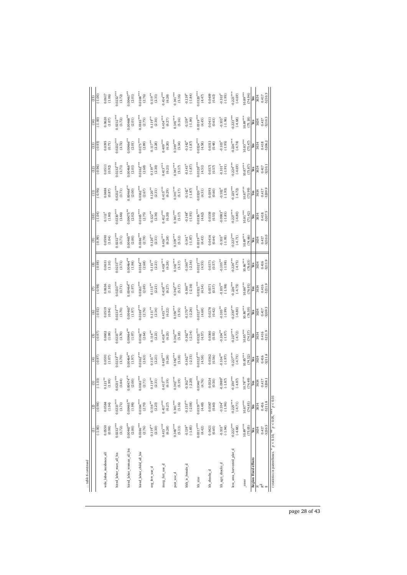| table 6 continued                                                          |                          |                          |                         |                       |                         |                                  |                          |                           |                        |                                  |                                  |                        |                                  |                       |                       |
|----------------------------------------------------------------------------|--------------------------|--------------------------|-------------------------|-----------------------|-------------------------|----------------------------------|--------------------------|---------------------------|------------------------|----------------------------------|----------------------------------|------------------------|----------------------------------|-----------------------|-----------------------|
|                                                                            | Ξ                        | ම                        | $\circ$                 | $\circ$               | $\overline{5}$          | (6)                              | $\overline{C}$           | (8)                       | $\widehat{e}$          | (10)                             | $\left(11\right)$                | (12)                   | (13)                             | (14)                  | e)                    |
|                                                                            | (1.00)                   | $(-0.98)$                | $(-1.03)$               | (0.97)                | (.0.97)                 | $(-0.92)$                        | (96.0)                   | (0.98)                    | (66.0)                 | $(-1.04)$                        | $(-0.96)$                        | $(-0.96)$              | $(-0.93)$                        | $_{00.1}$             | $(-1.00)$             |
| wife labor incidence all                                                   | 0.0550<br>(0.98)         | 0.0584<br>(1.04)         | $0.121***$<br>(1.99)    | 0.0591<br>(1.07)      | $0.0602$<br>(1.09)      | 0.0519<br>(0.94)                 | 0.0636<br>(1.10)         | (1.10)<br>0.0631          | 0.0590<br>(1.04)       | $0.112*$<br>(1.80)               | 0.0488<br>(0.87)                 | 0.0511<br>(0.92)       | 0.0395<br>(0.71)                 | 0.0620<br>(1.07)      | $0.0617$<br>(1.06)    |
| hired labor man all bis                                                    | $0.0232***$<br>(3.72)    | $0.0233***$<br>(3.71)    | $0.0231***$<br>(3.64)   | $0.0233***$<br>(3.70) | $0.0233***$<br>$(3.70)$ | $0.0233***$<br>(3.70)            | $0.0233***$<br>(3.71)    | $0.0233***$<br>(3.71)     | $0.0232***$<br>(3.71)  | $0.0230***$<br>(3.66)            | $0.0232***$<br>(3.71)            | $0.0232***$<br>(3.71)  | $0.0232***$<br>(3.72)            | $0.0232***$<br>(3.72) | $0.0232***$<br>(3.72) |
| hired_labor_woman_all_bis                                                  | $0.00467**$<br>(2.00)    | $0.00465***$<br>(1.98)   | $0.00474**$<br>(2.00)   | $0.00464**$<br>(1.97) | $00464**$<br>$(1.97)$   | $0.00463$ <sup>*</sup><br>(1.97) | $0.00464**$<br>(1.97)    | $0.00464**$<br>(1.98)     | $0.00465**$<br>(2.00)  | $0.00475***$<br>(2.02)           | $0.00468**$                      | $0.00468***$<br>(2.01) | $0.00466***$<br>$(2.01)$         | $0.00468**$<br>(2.01) | $0.00467**$<br>(2.01) |
| hired_labor_child_all_bis                                                  | $0.0166***$<br>(2.76)    | $0.0164***$<br>(2.70)    | $0.0163***$<br>$(2.71)$ | $0.0162***$<br>(2.63) | $0.0162***$<br>(2.64)   | $0.0169***$<br>(2.76)            | $0.0163***$<br>(2.69)    | $0.0164***$<br>(2.68)     | $0.0166***$<br>(2.78)  | $.0165***$<br>(2.75)             | $0.0162***$<br>(2.67)            | $0.0162***$<br>(2.68)  | $0.0175***$                      | $0.0165***$           | $0.0168***$<br>(2.76) |
| org_fert_use_d                                                             | $0.119***$<br>(2.30)     | $0.116**$<br>(2.23)      | $0.119***$<br>(2.31)    | $0.115***$<br>(2.21)  | $0.114***$<br>(2.21)    | $0.111***$<br>(2.16)             | $0.115***$<br>(2.21)     | $0.115***$<br>(2.21)      | $0.120***$<br>(2.31)   | $0.122***$<br>(2.36)             | $0.120^{**}$<br>(2.31)           | $0.119***$<br>(2.30)   | $0.117***$<br>(2.28)             | $0.119**$<br>(2.30)   | $0.119***$<br>(2.31)  |
| inorg_fert_use_d                                                           | $0.415***$<br>(6.28)     | $0.417***$<br>(6.27)     | $0.413***$<br>(6.19)    | $0.418***$<br>(6.28)  | $0.418***$<br>(6.25)    | $0.415***$<br>(6.22)             | $0.418***$<br>(6.27)     | $0.418***$<br>(6.28)      | $0.416***$<br>(6.28)   | $0.412***$<br>(6.20)             | $0.415***$<br>(6.29)             | $0.413***$<br>(6.21)   | $0.409$ <sup>###</sup><br>(6.20) | $0.414***$<br>(6.27)  | $0.414***$<br>(6.28)  |
| pest_use_d                                                                 | $0.340***$<br>(5.13)     | $0.341***$<br>(5.16)     | $0.342***$<br>(5.19)    | $0.342***$<br>(5.18)  | $0.342***$<br>(5.18)    | $0.350***$<br>(5.35)             | $0.342***$<br>(5.17)     | $0.342***$<br>(5.17)      | $0.339***$<br>(5.12)   | $0.341***$<br>(5.17)             | $0.341***$<br>(5.17)             | $0.341***$<br>(5.17)   | $0.349***$<br>(5.34)             | $0.341***$<br>(5.16)  | $0.341***$<br>(5.16)  |
| hhh_is_female_d                                                            | $-0.139*$<br>$(-1.85)$   | $-0.155***$<br>$(-2.08)$ | $-0.162**$<br>(-2.20)   | $-0.162**$<br>(-2.15) | $-0.162**$<br>(-2.14)   | $-0.170**$<br>$(-2.26)$          | $-0.160**$<br>$(-2.16)$  | $-0.160**$<br>$(-2.16)$   | $-0.141*$<br>$(-1.87)$ | $-0.148$ <sup>*</sup><br>(-1.95) | $-0.142$ <sup>*</sup>            | $-0.143$ <sup>*</sup>  | $-0.142$ <sup>*</sup>            | $-0.139$ <sup>*</sup> | $-0.139$ <sup>*</sup> |
| hh_size                                                                    | $0.0317***$<br>(4.42)    | $0.0319***$<br>(4.48)    | $0.0340***$<br>(4.76)   | $0.0322***$<br>(4.58) | $0.0322***$             | $0.0327***$<br>(4.68)            | $0.0321***$<br>(4.54)    | $0.0321***$<br>(4.55)     | $0.0319***$<br>(4.43)  | $0.0336***$<br>(4.62)            | $0.0320***$<br>(4.51)            | $0.0320***$<br>(4.51)  | $0.0324***$<br>(4.58)            | $0.0319***$<br>(4.45) | $0.0320***$<br>(4.47) |
| hh_shocks_d                                                                | 0.0421<br>(0.65)         | 0.0387<br>(0.60)         | $0.0324$<br>$(0.50)$    | 0.0362<br>(0.56)      | $0.0360$<br>$(0.55)$    | $0.0278$<br>$(0.42)$             | 0.0371<br>(0.57)         | $0.0371$<br>$(0.57)$      | 0.0416<br>(0.64)       | $0.0359$<br>$(0.55)$             | $0.0393$<br>$(0.60)$             | $0.0371$<br>$(0.57)$   | $0.0313$<br>$(0.48)$             | $0.0411$<br>$(0.63)$  | $0.0409$<br>$(0.63)$  |
| hh_agri_shocks_d                                                           | $-0.103*$<br>$(-1.94)$   | $-0.104*$<br>$(-1.96)$   | $-0.0989*$<br>$(-1.87)$ | $0.104***$<br>(.1.97) | $0.104***$<br>(-1.97)   | $0.105***$<br>$(-1.99)$          | $-0.105***$<br>$(-1.98)$ | $0.105***$<br>$(-1.98)$   | $-0.103*$<br>$(-1.95)$ | $0.0983$ <sup>*</sup><br>(-1.85) | $-0.102$ <sup>*</sup><br>(-1.93) | $-0.101$ <sup>*</sup>  | $-0.103$ <sup>*</sup><br>(-1.95) | $-0.103$ <sup>*</sup> | $-0.103$ <sup>*</sup> |
| less area harvested plot d                                                 | $-0.222***$<br>$(-4.68)$ | $-0.225***$<br>$(-4.71)$ | $0.230***$<br>(-4.87)   | $0.227***$<br>(4.75)  | $0.227***$<br>(4.72)    | $0.230***$<br>(4.80)             | $0.226***$<br>(4.75)     | $0.226***$<br>$(-4.75)$   | $0.223***$<br>(4.71)   | $0.227***$<br>(4.80)             | $0.225***$<br>(4.72)             | $0.224***$<br>(4.69)   | $0.226***$<br>(4.74)             | $0.223***$<br>(4.68)  | $0.223***$<br>(4.69)  |
| cons                                                                       | $10.89***$<br>(75.05)    | $10.87***$<br>(74.85)    | $10.78***$<br>(74.49)   | $10.85***$<br>(74.32) | $10.85***$<br>(74.37)   | $10.80***$<br>(76.59)            | $10.86***$<br>(76.91)    | $10.86***$<br>(76.63)     | $10.89***$<br>(74.66)  | $10.81***$<br>(71.42)            | $\frac{10.87***}{(73.99)}$       | $10.87***$<br>(73.87)  | $10.83***$<br>(75.47)            | $10.89***$<br>(75.18) | $10.89***$<br>(74.94) |
| <b>Region Fixed effects</b>                                                | Yes                      | Yes                      | <b>Yes</b><br>3634      | Yes<br>3634           | Yes<br>3634             | $\frac{Yes}{3634}$               | Yes                      | $\frac{\text{Yes}}{3634}$ | Yes                    |                                  | Yes<br>3634                      | Yes                    | $\frac{Yes}{3634}$               | $\frac{Yes}{3634}$    | $\frac{Yes}{3634}$    |
| k,<br>z                                                                    | 0.417<br>3634            | 0.416<br>3634            | 0.417                   |                       |                         | 0.417                            | 3634                     | 0.416                     | 0.417<br>3634          | 3634                             |                                  | 0.417<br>3634          |                                  |                       | 0.417                 |
|                                                                            | $-5210.5$                | $-5211.8$                | 5208.1                  | 0.416<br>5211.8       | 0.416<br>5211.9         | 5209.3                           | 0.416<br>5211.9          | 5211.9                    | 5210.0                 | 0.418<br>5207.5                  | 0.417<br>5209.9                  | 5210.1                 | 0.418<br>5206.2                  | 0.417<br>5210.3       | 5210.3                |
| t statistics in parentheses. * $p < 0.10$ , ** $p < 0.05$ , *** $p < 0.01$ |                          |                          |                         |                       |                         |                                  |                          |                           |                        |                                  |                                  |                        |                                  |                       |                       |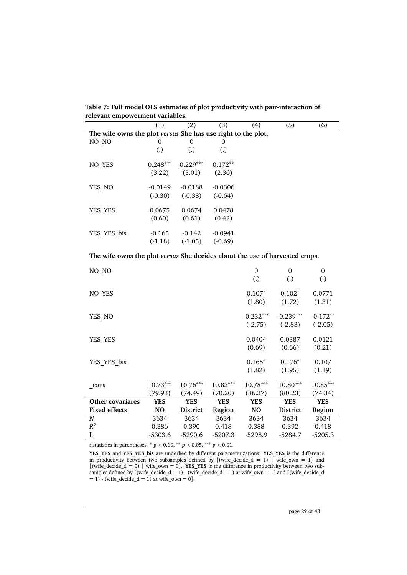|                                                              | (1)               | (2)               | (3)               | (4) | (5) | (6) |
|--------------------------------------------------------------|-------------------|-------------------|-------------------|-----|-----|-----|
| The wife owns the plot versus She has use right to the plot. |                   |                   |                   |     |     |     |
| NO NO                                                        | 0                 | 0                 | 0                 |     |     |     |
|                                                              | $\left( .\right)$ | $\left( .\right)$ | $\left( .\right)$ |     |     |     |
| NO YES                                                       | $0.248***$        | $0.229***$        | $0.172**$         |     |     |     |
|                                                              | (3.22)            | (3.01)            | (2.36)            |     |     |     |
| YES NO                                                       | $-0.0149$         | $-0.0188$         | $-0.0306$         |     |     |     |
|                                                              | $(-0.30)$         | $(-0.38)$         | $(-0.64)$         |     |     |     |
| YES YES                                                      | 0.0675            | 0.0674            | 0.0478            |     |     |     |
|                                                              | (0.60)            | (0.61)            | (0.42)            |     |     |     |
| YES YES bis                                                  | $-0.165$          | $-0.142$          | $-0.0941$         |     |     |     |
|                                                              | $(-1.18)$         | $(-1.05)$         | $(-0.69)$         |     |     |     |

**Table 7: Full model OLS estimates of plot productivity with pair-interaction of relevant empowerment variables.**

**The wife owns the plot** *versus* **She decides about the use of harvested crops.**

| NO_NO                |                       |                       |                       | $\mathbf{0}$<br>$\left( .\right)$ | $\Omega$<br>(.)          | $\overline{0}$<br>(.)   |
|----------------------|-----------------------|-----------------------|-----------------------|-----------------------------------|--------------------------|-------------------------|
| NO_YES               |                       |                       |                       | $0.107*$<br>(1.80)                | $0.102*$<br>(1.72)       | 0.0771<br>(1.31)        |
| YES NO               |                       |                       |                       | $-0.232***$<br>$(-2.75)$          | $-0.239***$<br>$(-2.83)$ | $-0.172**$<br>$(-2.05)$ |
| YES_YES              |                       |                       |                       | 0.0404<br>(0.69)                  | 0.0387<br>(0.66)         | 0.0121<br>(0.21)        |
| YES YES bis          |                       |                       |                       | $0.165*$<br>(1.82)                | $0.176*$<br>(1.95)       | 0.107<br>(1.19)         |
| cons                 | $10.73***$<br>(79.93) | $10.76***$<br>(74.49) | $10.83***$<br>(70.20) | $10.78***$<br>(86.37)             | $10.80***$<br>(80.23)    | 10.85***<br>(74.34)     |
| Other covariares     | <b>YES</b>            | <b>YES</b>            | <b>YES</b>            | <b>YES</b>                        | <b>YES</b>               | <b>YES</b>              |
| <b>Fixed effects</b> | NO                    | <b>District</b>       | Region                | N <sub>O</sub>                    | <b>District</b>          | Region                  |
| $\boldsymbol{N}$     | 3634                  | 3634                  | 3634                  | 3634                              | 3634                     | 3634                    |
| $R^2$                | 0.386                 | 0.390                 | 0.418                 | 0.388                             | 0.392                    | 0.418                   |
| $\mathbf l$          | -5303.6               | $-5290.6$             | $-5207.3$             | $-5298.9$                         | $-5284.7$                | $-5205.3$               |

*t* statistics in parentheses.  $p < 0.10$ ,  $\binom{p}{k} < 0.05$ ,  $\binom{p}{k} < 0.01$ .

**YES\_YES** and **YES\_YES\_bis** are underlied by different parameterizations: **YES\_YES** is the difference in productivity between two subsamples defined by  $\int$  (wife\_decide\_d = 1) | wife\_own = 1] and  $[(\text{write\_decide\_d} = 0) \mid \text{wire\_own} = 0].$  **YES\_YES** is the difference in productivity between two subsamples defined by  $[$  (wife\_decide\_d = 1) - (wife\_decide\_d = 1) at wife\_own = 1] and  $[$  (wife\_decide\_d  $= 1$ ) - (wife\_decide\_d = 1) at wife\_own = 0].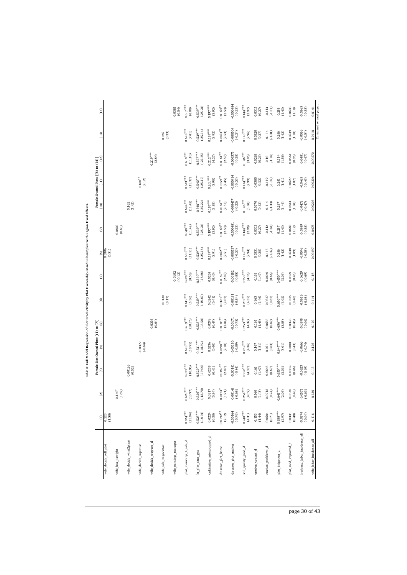|                             | $\widehat{c}$             | ම                         |                        | Female-Not-Owned Plots $[(1)$ to $(7)]$<br>(3) $(6)$ |                           | ම                        | E                         | $^\circledR$              | ම                                   | (10)                                | Female-Owned Plots [(8) to (14)]<br>$\left(11\right)$ | $(12)$                    | $(13)$                    | (14)                     |
|-----------------------------|---------------------------|---------------------------|------------------------|------------------------------------------------------|---------------------------|--------------------------|---------------------------|---------------------------|-------------------------------------|-------------------------------------|-------------------------------------------------------|---------------------------|---------------------------|--------------------------|
| wife_decide_sell_plot       | $\frac{0.223}{(1.58)}$    |                           |                        |                                                      |                           |                          |                           | $\frac{0.306}{(0.51)}$    |                                     |                                     |                                                       |                           |                           |                          |
| wife_has_useright           |                           | $0.140^{*}$<br>(1.69)     |                        |                                                      |                           |                          |                           |                           | $0.0805$<br>$(0.61)$                |                                     |                                                       |                           |                           |                          |
| wife_decide_what2plant      |                           |                           | $0.00126$<br>$(0.02)$  |                                                      |                           |                          |                           |                           |                                     | $0.162$<br>$(1.42)$                 |                                                       |                           |                           |                          |
| wife_decide_inputuse        |                           |                           |                        | $-0.0379$<br>$(-0.64)$                               |                           |                          |                           |                           |                                     |                                     | $0.180***$<br>(2.12)                                  |                           |                           |                          |
| wife_decide_cropuse_t1      |                           |                           |                        |                                                      | 0.0398<br>(0.64)          |                          |                           |                           |                                     |                                     |                                                       | $0.219***$<br>(2.84)      |                           |                          |
| wife_sale_negociator        |                           |                           |                        |                                                      |                           | 0.0140                   |                           |                           |                                     |                                     |                                                       |                           | $0.0261$<br>$(0.33)$      |                          |
| wife_earnings_manager       |                           |                           |                        |                                                      |                           |                          | $-0.0102$<br>$(-0.12)$    |                           |                                     |                                     |                                                       |                           |                           | 0.0385                   |
| plot_maincrop_4_sale_d      | $0.624***$<br>(11.04)     | $0.623***$<br>(10.97)     | $0.623***$<br>(10.96)  | $0.623***$<br>(10.95)                                | $0.619***$<br>(10.75)     | $0.615***$<br>(8.36)     | $0.628***$<br>(8.50)      | $0.650***$<br>(11.51)     | $0.648***$<br>(11.42)               | $0.644***$<br>(11.42)               | $0.643***$<br>(11.37)                                 | $0.618***$<br>(11.10)     | $0.628***$<br>(7.81)      | $0.617***$<br>(8.00)     |
| In_plot_area_gps            | $-0.528***$<br>$(-18.94)$ | $-0.526***$<br>$(-18.70)$ | $0.529***$<br>(-19.00) | $-0.531***$<br>(-18.92)                              | $-0.528***$<br>$(-18.56)$ | $0.529***$<br>$(-18.67)$ | $-0.530***$<br>$(-18.66)$ | $-0.539***$<br>$(-25.18)$ | $-0.539***$<br>$(-25.20)$           | $-0.540***$<br>$(-25.22)$           | $-0.540***$<br>$(-25.17)$                             | $-0.537***$<br>$(-25.35)$ | $-0.539***$<br>$(-25.14)$ | $0.539***$<br>$(-25.20)$ |
| cultivation_intercropped_d  | 0.0224<br>(0.38)          | 0.0317<br>(0.54)          | (0.0239)               | 0.0236<br>(0.40)                                     | 0.0278<br>(0.47)          | 0.0242<br>(0.41)         | 0.0238<br>(0.40)          | $0.197***$<br>(3.91)      | $0.197***$<br>$(3.92)$              | $0.197***$<br>(3.93)                | $0.201***$<br>(3.98)                                  | $0.212***$<br>(4.27)      | $0.197***$<br>$(3.92)$    | $0.197***$               |
| distance_plot_home          | $0.0192***$<br>(2.12)     | $0.0173*$<br>$(1.91)$     | $0.0187***$<br>(2.07)  | $0.0190***$<br>(2.10)                                | $0.0185***$<br>(2.04)     | $0.0187***$<br>$(2.07)$  | $0.0187***$<br>$(2.07)$   | $0.0162***$<br>(2.51)     | $0.0164***$<br>$\left( 2.53\right)$ | $0.0163***$<br>$\left( 2.51\right)$ | $0.0159***$<br>(2.45)                                 | $0.0161***$<br>(2.57)     | $0.0164***$<br>(2.53)     | $0.0164**$<br>(2.53)     |
| distance_plot_market        | $-0.00164$<br>$(-0.76)$   | $-0.00148$<br>$(-0.68)$   | (0.00181)              | $(68.0 - 1)$                                         | $-0.00171$<br>$(-0.78)$   | $-0.00181$<br>$(-0.84)$  | $-0.00182$<br>$(-0.85)$   | 0.000537<br>$(-0.26)$     | $-0.000481$<br>$(-0.23)$            | $-0.000457$<br>$(-0.22)$            | $-0.000414$<br>$(-0.20)$                              | $-0.000575$<br>$(-0.28)$  | $-0.000504$<br>$(-0.24)$  | $-0.000484$<br>$(-0.23)$ |
| soil_quality_good_d         | $0.248***$<br>(4.31)      | $0.254***$<br>(4.39)      | $0.252***$<br>(4.37)   | $0.252***$<br>(4.36)                                 | $0.253***$<br>(4.37)      | $0.252***$<br>(4.35)     | $0.253***$<br>(4.38)      | $0.142***$<br>(2.94)      | $0.144***$<br>(2.98)                | $0.148***$<br>(3.08)                | $0.144***$<br>(2.99)                                  | $0.146***$<br>(3.05)      | $0.143***$<br>(2.96)      | $0.144***$               |
| erosion_control_d           | $0.153$<br>$(1.44)$       | $0.160$<br>$(1.43)$       | 0.163<br>(1.47)        | (1.51)<br>0.167                                      | $0.161$<br>$(1.46)$       | $0.163$<br>$(1.46)$      | $0.163$<br>$(1.47)$       | 0.0331<br>(0.28)          | 0.0313<br>(0.27)                    | $0.0370$<br>$(0.32)$                | 0.0380<br>(0.32)                                      | 0.0263<br>(0.23)          | 0.0320<br>(0.27)          | 0.0315                   |
| erosion_problems_d          | $0.0684$<br>$(0.71)$      | $0.0718$<br>$(0.74)$      | $0.0645$<br>$(0.67)$   | 0.0611<br>(0.63)                                     | 0.0665<br>(0.69)          | $0.0647$<br>$(0.67)$     | 0.0640<br>(0.66)          | $-0.115$<br>(.1.32)       | $-0.112$<br>(.1.28)                 | $-0.114$<br>(.1.33)                 | $-0.119$<br>(.1.37)                                   | (.1.16)<br>$-0.101$       | $-0.114$<br>(.1.31)       | (.1.31)                  |
| plot_irrigation_d           | $0.638***$<br>(2.97)      | $0.643***$<br>(2.96)      | $0.650***$<br>(3.03)   | $0.647***$<br>(3.01)                                 | $0.656***$<br>(3.05)      | $0.650***$<br>(3.02)     | $0.650***$<br>(3.03)      | 0.286<br>(1.42)           | (1.43)<br>0.287                     | (1.44)<br>0.287                     | (1.41)<br>0.281                                       | (1.56)<br>0.314           | (1.42)<br>0.286           | $0.288$<br>$(1.43)$      |
| plot_seed_improved_d        | 0.0345<br>(0.48)          | $0.0340$<br>$(0.48)$      | 0.0332<br>(0.46)       | 0.0308<br>(0.43)                                     | 0.0328<br>(0.46)          | $0.0335$<br>$(0.46)$     | 0.0329<br>(0.45)          | 0.0648<br>(1.09)          | $0.0660$<br>$(1.12)$                | $0.0634$<br>(1.08)                  | $0.0627$<br>(1.07)                                    | 0.0564<br>(0.95)          | $0.0649$<br>$(1.10)$      | $0.0646$<br>$(1.10)$     |
| husband_labor_incidence_all | $-0.0574$<br>$(-0.64)$    | $-0.0571$<br>(.0.63)      | (0.0623)               | $-0.0666$<br>$(-0.74)$                               | 0.0598<br>$(-0.66)$       | 0.0616<br>(.0.68)        | $-0.0629$<br>$(-0.69)$    | $-0.0546$<br>$(-0.53)$    | 0.0589<br>$(-0.58)$                 | 0.0473<br>$(-0.47)$                 | 0.0465<br>$(-0.46)$                                   | 0.0481<br>$(-0.47)$       | $-0.0556$<br>$(-0.54)$    | $-0.0565$                |
| wife_labor_incidence_all    | 0.116                     | 0.120                     | 0.115                  | 0.126                                                | 0.103                     | 0.114                    | 0.116                     | 0.00497                   | 0.0476                              | $-0.00205$                          | 0.00306                                               | $-0.00370$                | 0.0110                    | 0.0144                   |

Table 8: Full Model Regression of Plot Productivity by Plot Ownership-Based Subsamples With Region Fixed Effects. j Table 8: Full Model

page 30 of 43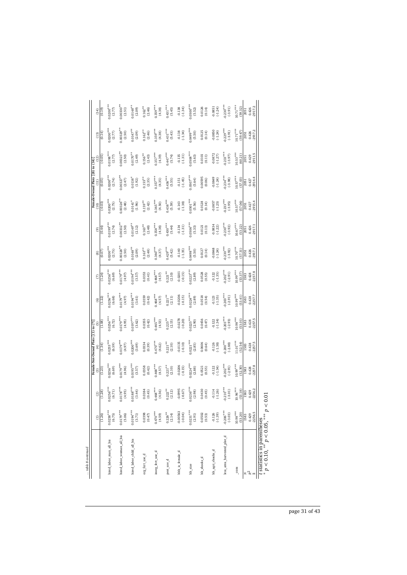| table 8 continued           |                         |                       |                        |                                    |                        |                        |                        |                        |                        |                        |                                 |                        |                       |                        |
|-----------------------------|-------------------------|-----------------------|------------------------|------------------------------------|------------------------|------------------------|------------------------|------------------------|------------------------|------------------------|---------------------------------|------------------------|-----------------------|------------------------|
|                             | а                       | ම                     | ම                      | Female-Not-Owned Plots [(1) to (7) | Θ                      | ම                      | ε                      | 3                      | ම                      | $\frac{10}{2}$         | Female-Owned Plots [(8) to (14) | $(12)$                 | (13)                  | (14)                   |
|                             | (1.26)                  | (1.28)                | (1.23)                 | (1.34)<br>Ð                        | (1.08)                 | (1.22)                 | (1.24)                 | (0.07)                 | (0.44)                 | $(-0.03)$              | (0.05)                          | $(-0.05)$              | (0.14)                | (0.19)                 |
| hired_labor_man_all_bis     | $0.0258***$             | $0.0256***$           | $0.0256***$            | $0.0255***$                        | $.0256***$             | $.0256***$             | $0.0256***$            | $.0200^{***}$          | *** 01.99              | $0.0200***$            | $0.0200^{***}$                  | $0.0198***$            | $0200***$             | $0.0200***$            |
|                             | (6.75)                  | (6.71)                | (6.69)                 | (6.59)                             | (6.72)                 | (6.68)                 | (6.69)                 | (2.75)                 | (2.74)                 | (2.75)                 | (2.74)                          | (2.77)                 | (2.77)                | (2.77)                 |
| hired_labor_woman_all_bis   | $0.0179***$             | $0.0178***$           | $0.0179***$            | $0.0179***$                        | $.0179***$             | $.0179***$             | $0.0179***$            | $.00328***$            | $.00332***$            | $.00326***$            | $0.00327***$                    | $0.00323***$           | $0.00329**$           | $0.00330***$           |
|                             | (5.06)                  | (4.95)                | (4.96)                 | (4.97)                             | (4.95)                 | (4.97)                 | (4.97)                 | (2.50)                 | (2.50)                 | (2.48)                 | (2.47)                          | (2.50)                 | (2.50)                | (2.51)                 |
| hired labor child all bis   | $0.0194***$             | $0.0188***$           | $0.0195***$            | $0.0200***$                        | $0.0197***$            | $0.0194***$            | $0.0194***$            | $0.0148***$            | $0.0149**$             | $0.0141$ <sup>*</sup>  | $0.0138*$                       | $0.0170***$            | $0.0147***$           | $0.0148**$             |
|                             | (3.71)                  | (3.44)                | (3.57)                 | (3.69)                             | (3.62)                 | (3.61)                 | (3.57)                 | (2.09)                 | (2.12)                 | (1.96)                 | (1.92)                          | (2.49)                 | (2.09)                | (2.09)                 |
| b_ser_nsg_c                 | 0.0398                  | 0.0384                | 0.0358                 | 0.0334                             | 0.0355                 | 0.0359                 | 0.0353                 | $0.163***$             | $0.163***$             | $0.159***$             | $0.155***$                      | $0.156***$             | $0.162**$             | $0.162***$             |
|                             | (0.47)                  | (0.45)                | (0.42)                 | (0.39)                             | (0.42)                 | (0.42)                 | (0.41)                 | (2.48)                 | (2.48)                 | (2.42)                 | (2.35)                          | (2.43)                 | (2.46)                | (2.46)                 |
| inorg_fert_use_d            | $0.470***$              | $0.468***$            | $0.468***$             | $0.470***$                         | $0.465***$             | $0.468***$             | $0.468***$             | $0.360***$             | $0.358***$             | $0.365***$             | $0.357***$                      | $0.357***$             | $0.359***$            | $0.359***$             |
|                             | (4.59)                  | (4.56)                | (4.57)                 | (4.62)                             | (4.53)                 | (4.57)                 | (4.57)                 | (4.37)                 | (4.38)                 | (4.50)                 | (4.35)                          | (4.39)                 | (4.38)                | (4.38)                 |
| pest_use_d                  | $0.226***$              | $0.222***$            | $0.221***$             | $0.221***$                         | $0.225***$             | $0.221***$             | $0.221**$              | $0.429***$             | $0.430***$             | $0.438***$             | $0.436***$                      | $0.447***$             | $0.431***$            | $0.431***$             |
|                             | (2.14)                  | (2.12)                | (2.10)                 | (2.10)                             | (2.15)                 | (2.11)                 | (2.10)                 | (5.42)                 | (5.44)                 | (5.59)                 | (5.55)                          | (5.74)                 | (5.43)                | (5.45)                 |
| hhh_is_female_d             | $-0.00563$<br>$(-0.04)$ | 0.0995<br>$(-0.67)$   | $-0.0206$<br>$(-0.15)$ | $-0.0135$<br>$(-0.10)$             | $-0.0278$<br>$(-0.20)$ | $-0.0206$<br>$(-0.15)$ | $-0.0201$<br>$(-0.15)$ | $-0.140$<br>$(-1.35)$  | $-0.134$<br>$(-1.31)$  | $-0.143$<br>$(-1.38)$  | $(-1.45)$<br>$-0.151$           | $(-1.31)$<br>$-0.135$  | $-0.138$<br>$(-1.34)$ | $-0.138$<br>$(-1.34)$  |
| hh_size                     | $0.0231***$             | $0.0236***$           | $0.0224***$            | $0.0221***$                        | $0.0225***$            | $0.0224***$            | $0.0223***$            | $0.0498***$            | $0.0506***$            | $0.0501***$            | $0.0507***$                     | $0.0508***$            | $0.0499^{***}$        | $0.0500***$            |
|                             | (2.91)                  | (2.98)                | (2.88)                 | (2.85)                             | (2.90)                 | (2.89)                 | (2.89)                 | (5.50)                 | (5.33)                 | (5.56)                 | (5.64)                          | (5.63)                 | (5.50)                | (5.52)                 |
| hh_shocks_d                 | $0.0502$<br>$(0.53)$    | 0.0430<br>(0.45)      | 0.0521<br>(0.55)       | 0.0606<br>(0.64)                   | 0.0456<br>(0.47)       | $0.0518$<br>$(0.54)$   | $0.0528$<br>$(0.55)$   | 0.0127<br>(0.14)       | 0.0121<br>(0.13)       | 0.0128<br>(0.14)       | 0.00595<br>(0.06)               | 0.0101<br>(0.11)       | 0.0125<br>(0.14)      | 0.0126<br>(0.14)       |
| hh_agri_shocks_d            | $-0.126$<br>$(-1.39)$   | $(-1.26)$<br>$-0.114$ | $-0.122$<br>$(-1.34)$  | $-0.126$<br>(.1.38)                | (.1.34)<br>$-0.122$    | $-0.123$<br>(.1.35)    | $(-1.35)$<br>$-0.122$  | $-0.0848$<br>$(-1.24)$ | $-0.0834$<br>$(-1.22)$ | $-0.0857$<br>$(-1.25)$ | $-0.0849$<br>$(-1.24)$          | $-0.0872$<br>$(-1.27)$ | 0.0850<br>$(-1.24)$   | $-0.0851$<br>$(-1.24)$ |
| less_area_harvested_plot_d  | $-0.206***$             | $-0.210***$           | $0.202***$             | $0.200^{***}$                      | $0.203***$             | $0.203***$             | $0.202***$             | $0.230***$             | $0.230***$             | $0.233***$             | $0.234***$                      | $-0.233***$            | $0.229***$            | $0.230***$             |
|                             | $(-3.03)$               | $(-3.01)$             | $(-2.91)$              | $(-2.88)$                          | $(-2.93)$              | $(-2.91)$              | $(-2.91)$              | $(-3.92)$              | $(-3.92)$              | $(-3.95)$              | $(-3.98)$                       | $(-3.97)$              | $(-3.91)$             | $(-3.91)$              |
| _cons                       | $10.98***$              | $10.96***$            | $10.99***$             | $11.01^{***}$                      | $10.98***$             | $10.99***$             | $10.99***$             | $10.70***$             | $10.67***$             | $10.57***$             | $10.57***$                      | $10.53***$             | $10.71***$            | $10.71***$             |
|                             | (53.20)                 | (53.18)               | (52.30)                | (52.54)                            | (53.01)                | (53.41)                | (53.37)                | (57.31)                | (53.22)                | (57.06)                | (57.03)                         | (60.21)                | (59.47)               | (59.32)                |
| $\approx \frac{2}{\kappa}$  | $-2256.5$               | $-2256.2$             | 2257.8                 | 2257.5                             | 2257.5                 | 2257.7                 | 2257.8                 | 2917.1                 | 2917.1                 | 2915.4                 | 2914.4                          | 2911.5                 | 2917.2                | 2917.2                 |
|                             | 0.429                   | 0.429                 | 0.428                  | 0.428                              | 0.428                  | 0.428                  | 0.428                  | 0.426                  | 0.426                  | 0.427                  | 0.427                           | 0.429                  | 0.426                 | 0.426                  |
|                             | 1583                    | 1583                  | 1583                   | 1583                               | 1583                   | 1583                   | 1583                   | 2051                   | 2051                   | 2051                   | 2051                            | 2051                   | 2051                  | 2051                   |
| t statistics in parentheses |                         |                       |                        |                                    |                        |                        |                        |                        |                        |                        |                                 |                        |                       |                        |

 statistics in parentheses *p <* 0.10, ∗∗ *p <* 0.05, ∗∗∗ *p <* 0.01

page 31 of 43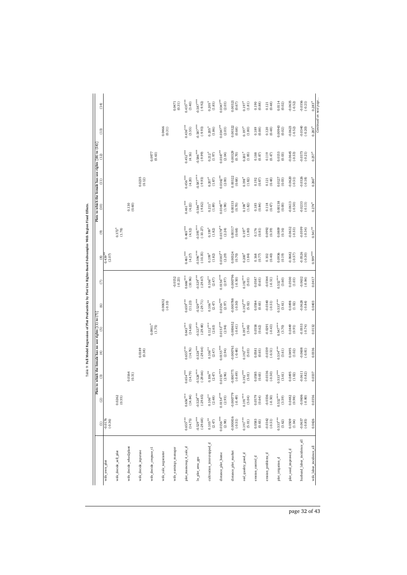|                             | $\widehat{\Xi}$           | $\widehat{\omega}$      | ි                        | Plots to which the female has no use rights $[(1)$ to $(7)$ .<br>$\widehat{f}$ | 0                         | ම                       | ε                        | $^\mathrm{(8)}$           | O)                             | (10)                    | Plots to which the female has use rights $[(8)$ to $(14)]$<br>$\Xi$ | (12)                   | (13)                             | (14)                                |
|-----------------------------|---------------------------|-------------------------|--------------------------|--------------------------------------------------------------------------------|---------------------------|-------------------------|--------------------------|---------------------------|--------------------------------|-------------------------|---------------------------------------------------------------------|------------------------|----------------------------------|-------------------------------------|
| wife_own_plot               | $\frac{92100}{6000}$      |                         |                          |                                                                                |                           |                         |                          | (2.07)<br>$0.439*$        |                                |                         |                                                                     |                        |                                  |                                     |
| wife_decide_sell_plot       |                           | $0.0262$<br>$(0.55)$    |                          |                                                                                |                           |                         |                          |                           | $0.372$ <sup>*</sup><br>(1.78) |                         |                                                                     |                        |                                  |                                     |
| wife_decide_what2plant      |                           |                         | $0.0164$<br>$(0.31)$     |                                                                                |                           |                         |                          |                           |                                | (0.130)                 |                                                                     |                        |                                  |                                     |
| wife_decide_inputuse        |                           |                         |                          | 0.0189                                                                         |                           |                         |                          |                           |                                |                         | $0.0235$<br>$(0.12)$                                                |                        |                                  |                                     |
| wife_decide_cropuse_t1      |                           |                         |                          |                                                                                | $0.0901*$<br>(1.75)       |                         |                          |                           |                                |                         |                                                                     | 0.0977<br>(0.63)       |                                  |                                     |
| wife_sale_negociator        |                           |                         |                          |                                                                                |                           | $-0.00652$<br>$(-0.10)$ |                          |                           |                                |                         |                                                                     |                        | $0.0466$<br>$(0.31)$             |                                     |
| wife_eamings_manager        |                           |                         |                          |                                                                                |                           |                         | $-0.0152$<br>$(-0.23)$   |                           |                                |                         |                                                                     |                        |                                  | 0.0471<br>(0.31)                    |
| plot_maincrop_4_sale_d      | $0.655***$<br>(14.75)     | $0.656***$<br>(14.84)   | $0.654***$<br>(14.79)    | $0.655***$<br>(14.76)                                                          | $0.643***$<br>(14.60)     | $0.659***$<br>(11.23)   | $0.666***$<br>(10.96)    | $0.461***$<br>(4.27)      | $0.465***$<br>(4.32)           | $0.461***$<br>(4.22)    | $0.456***$<br>(4.20)                                                | $0.452***$<br>(4.16)   | $0.436***$<br>(3.55)             | $0.435***$<br>(3.40)                |
| In_plot_area_gps            | $-0.529***$<br>$(-29.68)$ | $-0.528***$<br>(-29.65) | $0.528***$<br>$(-29.66)$ | $0.528***$<br>$(-29.64)$                                                       | $-0.527***$<br>$(-29.48)$ | $0.529***$<br>(-29.71)  | $0.529***$<br>$(-29.67)$ | $-0.596***$<br>$(-10.35)$ | $0.595***$<br>$(-10.27)$       | $0.584***$<br>$(-9.82)$ | $0.587***$<br>$(-9.93)$                                             | $0.586***$<br>(66.6)   | $-0.587***$<br>$(-9.93)$         | $0.587***$<br>$(-9.92)$             |
| cultivation_intercropped_d  | $0.105***$<br>(2.47)      | $0.106**$<br>(2.48)     | $0.106^{**}$<br>(2.47)   | $0.106***$<br>(2.47)                                                           | $0.112***$<br>(2.63)      | $0.106***$<br>(2.47)    | $0.106***$<br>(2.47)     | $0.199*$<br>(1.82)        | $0.199*$<br>(1.82)             | $0.211*$<br>(1.89)      | $0.207*$<br>(1.87)                                                  | $0.212*$<br>(1.97)     | $0.205$ <sup>*</sup><br>$(1.86)$ | $0.205$ <sup>*</sup><br>(1.85)      |
| distance_plot_home          | $0.0156***$<br>(2.98)     | $0.0154***$<br>(2.93)   | $0.0155***$<br>(2.96)    | $0.0155***$<br>(2.94)                                                          | $0.0153***$<br>(2.94)     | $0.0156***$<br>$(2.97)$ | $0.0156***$<br>$(2.97)$  | $0.0383***$<br>(2.29)     | $0.0378***$<br>(2.24)          | $0.0340***$<br>(1.98)   | $0.0342***$<br>$(2.00)$                                             | $0.0347***$<br>(2.04)  | $0.0347***$<br>(2.03)            | $0.0347***$<br>$\left( 2.03\right)$ |
| distance_plot_market        | $-0.000816$<br>$(-0.51)$  | $-0.000779$<br>(0.49)   | $-0.000771$<br>$(-0.49)$ | $-0.000761$<br>$(-0.48)$                                                       | 0.000652<br>$(-0.41)$     | 0.000788<br>$(-0.50)$   | $-0.000796$<br>$(-0.50)$ | $0.00324$<br>$(0.70)$     | 0.00317<br>(0.68)              | 0.00333<br>(0.70)       | 0.00322<br>(0.68)                                                   | 0.00329<br>(0.70)      | 0.00322<br>(0.68)                | 0.00321<br>(0.67)                   |
| soil_quality_good_d         | $0.191***$<br>(5.01)      | $0.191***$<br>(5.04)    | $0.192***$<br>$(5.01)$   | $0.192***$<br>(5.03)                                                           | $0.193***$<br>(5.06)      | $0.192***$<br>(5.02)    | $0.192***$<br>(5.03)     | $0.200*$<br>(1.84)        | $0.197$ <sup>*</sup>           | $0.198*$<br>(1.82)      | $0.198*$<br>(1.82)                                                  | $0.201*$<br>(1.85)     | $0.197*$<br>(1.80)               | $0.197$ <sup>*</sup><br>(1.81)      |
| erosion_control_d           | $0.0583$<br>$(0.65)$      | 0.0579<br>(0.64)        | 0.0585<br>(0.65)         | 0.0581<br>(0.65)                                                               | 0.0558<br>(0.62)          | 0.0584<br>(0.65)        | $0.0587$<br>$(0.65)$     | $0.168$<br>$(0.77)$       | $\frac{0.176}{(0.81)}$         | (0.84)                  | 0.192<br>(0.87)                                                     | 0.188<br>(0.87)        | (0.189)                          | (0.190)                             |
| erosion_problems_d          | $-0.0342$<br>$(-0.51)$    | $-0.0336$<br>$(-0.50)$  | $-0.0336$<br>$(-0.50)$   | $-0.0339$<br>$(-0.51)$                                                         | $-0.0291$<br>$(-0.43)$    | $-0.0340$<br>$(-0.51)$  | $-0.0344$<br>$(-0.51)$   | $0.102$<br>$(0.40)$       | 0.0992<br>(0.39)               | $0.118$<br>$(0.47)$     | (0.48)<br>0.121                                                     | 0.119<br>(0.47)        | $0.120$<br>$(0.48)$              | $0.121$<br>$(0.48)$                 |
| plot_irrigation_d           | $0.533***$<br>(3.62)      | $0.532***$<br>(3.59)    | $0.533***$<br>(3.61)     | $0.534***$<br>(3.61)                                                           | $0.547***$<br>(3.70)      | $0.533***$<br>(3.61)    | $0.532***$<br>(3.60)     | 0.0936<br>(0.19)          | 0.0809<br>(0.16)               | 0.00138<br>$(0.00)$     | 0.0127<br>(0.03)                                                    | 0.0153<br>(0.03)       | 0.00943<br>(0.02)                | 0.0114<br>(0.02)                    |
| plot_seed_improved_d        | $0.0509$<br>(1.04)        | $0.0482$<br>$(0.98)$    | 0.0495<br>(1.02)         | 0.0495<br>(1.02)                                                               | 0.0449<br>(0.91)          | $0.0498$<br>$(1.02)$    | $0.0500$<br>$(1.03)$     | $0.0682$<br>$(-0.57)$     | $-0.0632$<br>$(-0.53)$         | $-0.0613$<br>$(-0.50)$  | $-0.0620$<br>$(-0.51)$                                              | $-0.0645$<br>$(-0.53)$ | $-0.0623$<br>$(-0.52)$           | $-0.0635$<br>$(-0.52)$              |
| husband_labor_incidence_all | $-0.0637$<br>$(-0.85)$    | $-0.0606$<br>$(-0.80)$  | $-0.0611$<br>(.0.82)     | $-0.0608$<br>$(-0.81)$                                                         | $-0.0553$<br>$(-0.74)$    | $-0.0628$<br>(.0.84)    | $-0.0632$<br>(.0.84)     | 0.0526<br>$(-0.30)$       | $-0.0599$<br>$(-0.34)$         | $-0.0233$<br>$(-0.13)$  | $-0.0326$<br>$(-0.18)$                                              | $-0.0373$<br>$(-0.21)$ | $-0.0340$<br>$(-0.20)$           | $-0.0356$<br>$(-0.21)$              |
| wife_labor_incidence_all    | 0.0426                    | 0.0356                  | 0.0337                   | 0.0336                                                                         | 0.0132                    | 0.0403                  | 0.0417                   | $0.599***$                | $0.541***$                     | $0.274*$                | $0.260*$                                                            | $0.257$ <sup>*</sup>   | $0.283*$                         | $0.283*$                            |

Table 9: Pull Model Regression of Plot Productivity by Plot Use Rights-Based Subsamples With Region Fixed Effects.  $0.41 M$ 

page 32 of 43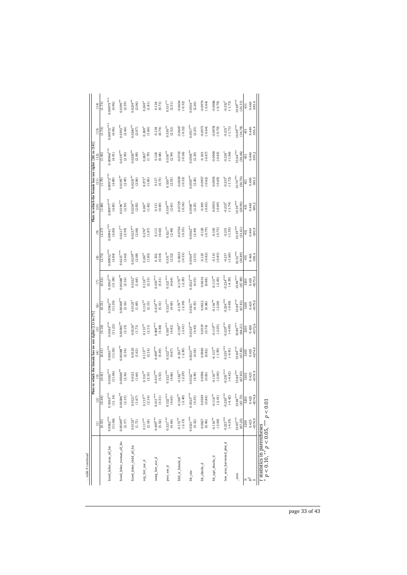| table 9 continued                                                        |                         |                                 | Plots to which the female has no use rights $[(1)$ to $(7)]$ |                          |                                 |                         |                          |                                |                       |                                |                               | Plots to which the female has use rights [(8) to (14) |                      |                        |
|--------------------------------------------------------------------------|-------------------------|---------------------------------|--------------------------------------------------------------|--------------------------|---------------------------------|-------------------------|--------------------------|--------------------------------|-----------------------|--------------------------------|-------------------------------|-------------------------------------------------------|----------------------|------------------------|
|                                                                          | $\widehat{E}$           | $\odot$                         | ම                                                            | €                        | ම                               | ම                       | ε                        | ම                              | ම                     | $\frac{1}{2}$                  | $\left( \frac{11}{2} \right)$ |                                                       | (13)                 | (14)                   |
|                                                                          | (0.53)                  | (0.44)                          | (0.41)                                                       | (0.41)                   | (0.16)                          | (0.51)                  | (0.52)                   | (2.73)                         | (2.57)                | (1.86)                         | (1.79)                        | (1.83)                                                | (1.74)               | (1.73)                 |
| hired_labor_man_all_bis                                                  | $0.0362***$             | $0.0363***$                     | $0.0363***$                                                  | $0.0363***$              | $0.0363***$                     | $.0362***$              | $0.0363***$              | $0.00932***$                   | $+444$ , $14900$      | $0.00977***$                   | $0.00972***$                  | $0.00966***$                                          | $0.00972***$         | $0.00973***$           |
|                                                                          | (11.06)                 | (11.14)                         | (11.06)                                                      | (11.03)                  | (11.22)                         | (11.05)                 | (11.09)                  | (4.84)                         | (4.85)                | (4.85)                         | (4.89)                        | (4.91)                                                | (4.96)               | (4.96)                 |
| hired labor woman all bis                                                | $0.00389**$             | $0.00386***$                    | $0.00388**$                                                  | $0.00388***$             | $00385***$                      | $00388***$              | $0.00388^{***}$          | $.0215***$                     | $0.0211***$           | $0.0196***$                    | $0.0195***$                   | $0.0197***$                                           | $0.0192***$          | $0.0190***$            |
|                                                                          | (2.17)                  | (2.15)                          | (2.16)                                                       | (2.16)                   | (2.15)                          | (2.16)                  | (2.16)                   | (2.62)                         | (2.59)                | (2.53)                         | (2.49)                        | (2.50)                                                | (2.46)               | (2.39)                 |
| hired labor child all bis                                                | $0.0123*$<br>(1.71)     | $0.0121$ <sup>*</sup><br>(1.67) | 0.0121<br>(1.64)                                             | 0.0120<br>(1.63)         | $0.0126$ <sup>*</sup><br>(1.71) | $0.0123*$<br>(1.69)     | $0.0122*$<br>(1.68)      | $0.0239***$<br>(2.08)          | $0.0237***$<br>(2.06) | $0.0234***$<br>(2.05)          | $0.0235***$<br>(2.06)         | $0.0250**$<br>(2.09)                                  | $0.0240**$<br>(2.07) | $0.0239***$<br>(2.06)  |
| org_fert_use_d                                                           | $0.117***$<br>(2.18)    | $0.115**$<br>(2.14)             | $0.116***$<br>(2.15)                                         | $0.115***$<br>(2.14)     | $0.113***$<br>(2.11)            | $0.116***$<br>(2.15)    | $0.116***$<br>(2.15)     | $0.267$ <sup>*</sup><br>(1.83) | $0.274*$<br>(1.87)    | $0.267$ <sup>*</sup><br>(1.82) | $0.273*$<br>(1.85)            | $0.263*$<br>(1.79)                                    | $0.269*$<br>(1.80)   | $0.269*$<br>(1.81)     |
| inorg_fert_use_d                                                         | $0.409***$              | $0.411***$                      | $0.410***$                                                   | $0.409***$               | $0.408***$                      | $0.410***$              | $0.410***$               | (0.54)                         | 0.113                 | (0.69)                         | 0.137                         | 0.128                                                 | 0.138                | 0.138                  |
|                                                                          | (5.52)                  | (5.51)                          | (5.53)                                                       | (5.49)                   | (5.48)                          | (5.51)                  | (5.51)                   | 0.102                          | (0.60)                | 0.131                          | (0.73)                        | (0.68)                                                | (0.74)               | (0.73)                 |
| pest_use_d                                                               | $0.321***$              | $0.322***$                      | $0.322***$                                                   | $0.322***$               | $0.330***$                      | $0.321***$              | $0.321***$               | $0.531***$                     | $0.521***$            | $0.539***$                     | $0.530***$                    | $0.538***$                                            | $0.530***$           | $0.531***$             |
|                                                                          | (4.64)                  | (4.65)                          | (4.66)                                                       | (4.67)                   | (4.81)                          | (4.65)                  | (4.64)                   | (2.52)                         | (2.48)                | (2.61)                         | (2.53)                        | (2.54)                                                | (2.52)               | (2.51)                 |
| hhh_is_female_d                                                          | $-0.172***$             | $-0.188**$                      | $-0.182***$                                                  | $-0.183***$              | $-0.190**$                      | $-0.179**$              | $-0.178***$              | 0.0653                         | $-0.0704$             | $-0.0729$                      | $-0.0659$                     | $-0.0741$                                             | $-0.0647$            | $-0.0654$              |
|                                                                          | $(-2.15)$               | $(-2.40)$                       | $(-2.29)$                                                    | $(-2.30)$                | $(-2.41)$                       | $(-2.30)$               | $(-2.29)$                | $(-0.33)$                      | $(-0.35)$             | $(-0.36)$                      | $(-0.33)$                     | $(-0.36)$                                             | $(-0.32)$            | $(-0.32)$              |
| hh_size                                                                  | $0.0321***$             | $0.0323***$                     | $.0322***$                                                   | $0.0323***$              | $0.0325***$                     | $0.0321***$             | $0.0321***$              | $0.0564***$                    | $0.0562**$            | $0.0508***$                    | $0.0507***$                   | $0.0505***$                                           | $0.0517***$          | $0.0516***$            |
|                                                                          | (4.32)                  | (4.35)                          | (4.38)                                                       | (4.38)                   | (4.45)                          | (4.35)                  | (4.35)                   | (2.51)                         | (2.49)                | (2.25)                         | (2.26)                        | (2.24)                                                | (2.25)               | (2.26)                 |
| hh_shocks_d                                                              | 0.0627                  | 0.0589                          | 0.0596                                                       | 0.0580                   | 0.0519                          | 0.0612                  | 0.0616                   | $-0.125$                       | $-0.120$              | $(-0.65)$                      | $-0.0957$                     | $-0.103$                                              | $-0.0973$            | $-0.0974$              |
|                                                                          | (0.90)                  | (0.84)                          | (0.85)                                                       | (0.82)                   | (0.74)                          | (0.88)                  | (0.88)                   | $(-0.82)$                      | $(-0.79)$             | $-0.100$                       | $(-0.62)$                     | $(-0.67)$                                             | $(-0.64)$            | $(-0.64)$              |
| hh_agri_shocks_d                                                         | $-0.116**$<br>$(-2.00)$ | $-0.116**$<br>$(-2.01)$         | $-0.116***$<br>$(-2.00)$                                     | $-0.115***$<br>$(-1.99)$ | $-0.119**$<br>(-2.05)           | $-0.116**$<br>$(-2.00)$ | $-0.115***$<br>$(-2.00)$ | $-0.115$<br>$(-0.83)$          | $-0.103$<br>$(-0.75)$ | 0.0953<br>$(-0.69)$            | -0.0955<br>$(-0.69)$          | 0.0900<br>(.0.65)                                     | 0.0978<br>$(-0.70)$  | $-0.0986$<br>$(-0.70)$ |
| less_area_harvested_plot_d                                               | $-0.223***$             | $-0.226***$                     | $0.225***$                                                   | $0.225***$               | $-0.229***$                     | $0.224***$              | $0.224***$               | $-0.217$                       | $-0.215$              | $-0.235*$                      | $-0.233*$                     | $0.224*$                                              | $-0.231*$            | $-0.232$ <sup>*</sup>  |
|                                                                          | (4.35)                  | $(-4.42)$                       | $(-4.42)$                                                    | (4.41)                   | $(-4.49)$                       | $(-4.40)$               | $(-4.39)$                | $(-1.60)$                      | $(-1.59)$             | $(-1.74)$                      | $(-1.72)$                     | $(-1.66)$                                             | $(-1.71)$            | $(-1.73)$              |
| $_{\rm cons}$                                                            | $10.85***$              | $10.84***$                      | $10.84***$                                                   | $10.84***$               | $10.80***$                      | $10.84***$              | $10.84***$               | $10.32***$                     | $10.39***$            | $10.59***$                     | $10.70***$                    | $10.64***$                                            | $10.69***$           | $10.69***$             |
|                                                                          | (67.25)                 | (67.73)                         | (67.83)                                                      | (67.83)                  | (68.21)                         | (67.81)                 | (67.89)                  | (30.89)                        | (31.61)               | (06.62)                        | (30.70)                       | (36.46)                                               | 34.78                | (35.31)                |
| z2                                                                       | 4574.9                  | 4574.8                          | 4574.9                                                       | 4574.9                   | 4572.6                          | 4575.0                  | 4575.0                   | -593.4                         | 593.9                 | -595.2                         | -595.5                        | $-595.2$                                              | -595.4               | -595.4                 |
|                                                                          | 0.425                   | 3203                            | 0.425                                                        | 0.425                    | 0.426                           | 0.425                   | 0.425                    | 0.445                          | 0.444                 | 0.440                          | 0.440                         | 0.440                                                 | 0.440                | 0.440                  |
|                                                                          | 3203                    | 0.425                           | 3203                                                         | 3203                     | 3203                            | 3203                    | 3203                     | 431                            | 431                   | 431                            | 431                           | $\frac{1}{43}$                                        | 431                  | 431                    |
| $p < 0.10,$ ** $p < 0.05,$ *** $p < 0.01$<br>t statistics in parentheses |                         |                                 |                                                              |                          |                                 |                         |                          |                                |                       |                                |                               |                                                       |                      |                        |

*p <* 0.10, ∗∗ *p <* 0.05, ∗∗∗ *p <* 0.01

page 33 of 43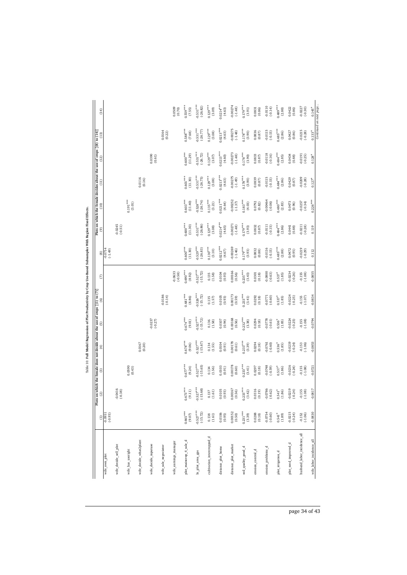| wife_own_plot               | $\widehat{\Xi}$         |                          | Plots on which the female does not decide about the use of crops $[(1)$ to $(7)]$<br>(2) $(2)$ (3) $(4)$ |                        |                        |                          | E                                              | $\circledcirc$           |                          |                          |                      |                         |                         | Plots on which the female decides about the use of crops $[(8) \text{ to } (14)]$<br>(9) (9) |
|-----------------------------|-------------------------|--------------------------|----------------------------------------------------------------------------------------------------------|------------------------|------------------------|--------------------------|------------------------------------------------|--------------------------|--------------------------|--------------------------|----------------------|-------------------------|-------------------------|----------------------------------------------------------------------------------------------|
|                             | $-0.0931$<br>$(-0.93)$  |                          |                                                                                                          |                        |                        |                          |                                                | $-0.0714$<br>(-1.49)     |                          |                          |                      |                         |                         |                                                                                              |
| wife_decide_sell_plot       |                         | $-0.0416$<br>$(-0.38)$   |                                                                                                          |                        |                        |                          |                                                |                          | $-0.0245$<br>$(-0.51)$   |                          |                      |                         |                         |                                                                                              |
| wife_has_useright           |                         |                          | $0.0590$<br>$(0.43)$                                                                                     |                        |                        |                          |                                                |                          |                          |                          | $0.191***$<br>(3.01) |                         |                         |                                                                                              |
| wife_decide_what2plant      |                         |                          |                                                                                                          | $0.0167$<br>$(0.20)$   |                        |                          |                                                |                          |                          |                          |                      | $0.0116$<br>$(0.16)$    |                         |                                                                                              |
| wife_decide_inputuse        |                         |                          |                                                                                                          |                        | $-0.0237$<br>$(-0.27)$ |                          |                                                |                          |                          |                          |                      |                         | $0.0390$<br>$(0.61)$    |                                                                                              |
| wife_sale_negociator        |                         |                          |                                                                                                          |                        |                        | $-0.0186$<br>$(-0.14)$   |                                                |                          |                          |                          |                      |                         |                         | $0.0164$<br>$(0.22)$                                                                         |
| wife_earnings_manager       |                         |                          |                                                                                                          |                        |                        |                          | $-0.0633$<br>$(-0.58)$                         |                          |                          |                          |                      |                         |                         |                                                                                              |
| plot_maincrop_4_sale_d      | $0.665***$<br>(9.07)    | $0.673***$<br>(9.11)     | $0.677***$<br>(9.24)                                                                                     | $0.678***$<br>(9.06)   | $0.674***$<br>(9.01)   | $0.681***$<br>(8.86)     | $0.690***$<br>(8.92)                           | $0.600***$<br>(11.30)    | $0.600***$<br>(11.30)    | $0.603***$<br>(11.40)    |                      | $0.601***$<br>(11.30)   | $0.600***$<br>(11.29)   | $0.588***$<br>(7.68)                                                                         |
| In_plot_area_gps            | $-0.527***$<br>(-15.72) | $0.527***$<br>$(-15.68)$ | $0.527***$<br>(-15.65)                                                                                   | $0.527***$<br>(-15.67) | $0.527***$<br>(-15.72) | $0.526***$<br>$(-15.72)$ | $0.527***$<br>$(-15.72)$                       | $0.529***$<br>$(-26.83)$ | $0.531***$<br>$(-26.86)$ | $0.528***$<br>$(-26.74)$ |                      | $0.531***$<br>(-26.75)  | $0.531***$<br>(-26.72)  | $0.531***$<br>$(-26.77)$                                                                     |
| cultivation_intercropped_d  | 0.138<br>$(1.61)$       | $\frac{0.137}{(1.61)}$   | $0.134$<br>(1.56)                                                                                        | 0.134<br>(1.55)        | 0.136<br>(1.58)        | $0.135$<br>(1.57)        | $\begin{array}{c} 0.135 \\ (1.58) \end{array}$ | $0.130***$<br>(3.10)     | $0.129***$<br>(3.08)     | $0.135***$<br>(3.21)     |                      | $0.129***$<br>(3.08)    | $0.129***$<br>$(3.07)$  | $0.129***$<br>(3.08)                                                                         |
| distance_plot_home          | $0.0106$<br>$(0.95)$    | $0.0105$<br>$(0.93)$     | (0.0103)                                                                                                 | $0.0104$<br>$(0.91)$   | 0.0107<br>(0.94)       | $0.0105$<br>$(0.93)$     | $0.0104$<br>$(0.93)$                           | $0.0212***$<br>(4.67)    | $0.0214***$<br>(4.65)    | $0.0211***$<br>(4.64)    |                      | $0.0213***$<br>(4.63)   | $0.0213***$<br>(4.60)   | $0.0213***$<br>(4.63)                                                                        |
| distance_plot_market        | $0.00152$<br>$(0.50)$   | $0.00167$<br>$(0.56)$    | $0.00178$<br>$(0.60)$                                                                                    | $0.00178$<br>$(0.61)$  | $0.00168$<br>$(0.56)$  | $0.00173$<br>$(0.59)$    | $0.00166$<br>$(0.56)$                          | $-0.00269$<br>$(-1.46)$  | $-0.00271$<br>$(-1.48)$  | $-0.00252$<br>$(-1.37)$  |                      | $-0.00275$<br>$(-1.49)$ | $-0.00273$<br>$(-1.48)$ | $-0.00275$<br>$(-1.48)$                                                                      |
| soil_quality_good_d         | $0.231***$<br>(3.39)    | $0.233***$<br>(3.42)     | $0.233***$<br>(3.41)                                                                                     | $0.233***$<br>(3.39)   | $0.232***$<br>(3.38)   | $0.233***$<br>(3.41)     | $0.235***$<br>(3.43)                           | $0.179***$<br>(3.93)     | $0.179***$<br>(3.93)     | $0.183***$<br>(4.03)     |                      | $0.178***$<br>(3.90)    | $0.178***$<br>(3.90)    | $0.178***$<br>(3.90)                                                                         |
| erosion_control_d           | $0.0288$<br>$(0.18)$    | $0.0316$<br>$(0.19)$     | $0.0297$<br>$(0.18)$                                                                                     | 0.0294<br>(0.18)       | $0.0294$<br>$(0.18)$   | $0.0292$<br>$(0.18)$     | 0.0301<br>$\left(0.18\right)$                  | $0.0832$<br>$(0.88)$     | 0.0832<br>$(0.87)$       | $0.0792$<br>$(0.82)$     |                      | $0.0839$<br>$(0.87)$    | $0.0833$<br>$(0.87)$    | $0.0836$<br>$(0.87)$                                                                         |
| erosion_problems_d          | $-0.0754$<br>$(-0.60)$  | $-0.0786$<br>$(-0.62)$   | $-0.0748$<br>$(-0.59)$                                                                                   | $-0.0761$<br>$(-0.60)$ | $-0.0778$<br>$(-0.61)$ | $-0.0771$<br>$(-0.60)$   | $-0.0800$<br>$(-0.63)$                         | $-0.0116$<br>$(-0.15)$   | $-0.0111$<br>$(-0.15)$   | $-0.00464$<br>$(-0.06)$  |                      | $-0.0115$<br>$(-0.15)$  | $-0.0118$<br>$(-0.16)$  | $-0.0115$<br>$(-0.15)$                                                                       |
| plot_irrigation_d           | $0.541*$<br>(1.89)      | $0.541*$<br>(1.86)       | $0.537*$<br>(1.86)                                                                                       | $0.536*$<br>(1.85)     | $0.536^{*}$<br>(1.85)  | $0.537*$<br>(1.85)       | $0.537*$<br>(1.85)                             | $0.485***$<br>(2.88)     | $0.484***$<br>(2.86)     | $0.480***$<br>(2.83)     |                      | $0.484***$<br>(2.86)    | $0.484***$<br>(2.85)    | $0.485***$<br>(2.86)                                                                         |
| plot_seed_improved_d        | $-0.0215$<br>$(-0.24)$  | 0.0219<br>(.0.24)        | 0.0216<br>$(-0.24)$                                                                                      | $-0.0219$<br>$(-0.24)$ | $-0.0224$<br>$(-0.25)$ | $-0.0224$<br>$(-0.25)$   | $-0.0234$<br>$(-0.26)$                         | 0.0472<br>(0.95)         | 0.0441<br>(0.88)         | $0.0473$<br>$(0.96)$     |                      | 0.0429<br>$(0.87)$      | 0.0434<br>(0.88)        | 0.0427<br>(0.86)                                                                             |
| husband_labor_incidence_all | $-0.152$<br>(.1.06)     | $-0.155$<br>(.1.08)      | $-0.155$<br>(.1.08)                                                                                      | $-0.153$<br>$(-1.06)$  | 0.155<br>(.1.08)       | $-0.155$<br>$(-1.07)$    | $-0.155$<br>$(-1.08)$                          | $-0.0219$<br>$(-0.29)$   | $-0.0211$<br>$(-0.28)$   | $-0.0257$<br>$(-0.34)$   |                      | $-0.0209$<br>$(-0.28)$  | $-0.0191$<br>$(-0.25)$  | $-0.0215$<br>$(-0.28)$                                                                       |
| wife_labor_incidence_all    | $-0.0830$               | $-0.0817$                | $-0.0721$                                                                                                | $-0.0853$              | $-0.0794$              | $-0.0834$                | $-0.0855$                                      | 0.112                    | 0.119                    | $0.226***$               |                      |                         |                         | $0.133*$<br>$0.128*$<br>$0.127*$                                                             |

Table 10: Full Model Regression of Plot Productivity by Crop Use-Based Subsamples With Region Fixed Effects. **Fixed Effects** ana. Table 10: Full Model

page 34 of 43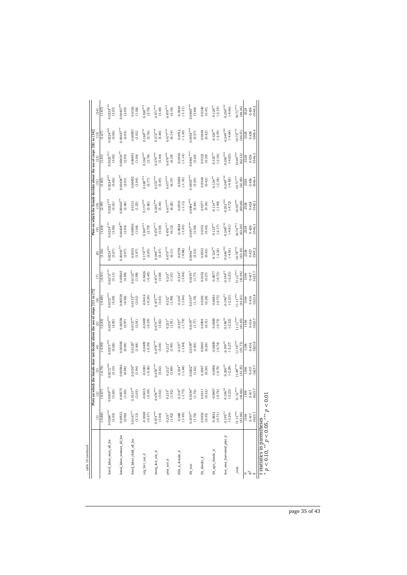| table 10 continued          |                                |                         |                         |                                                                                   |                                    |                         |                                 |                         |                         |                          |                                                                       |                         |                         |                         |
|-----------------------------|--------------------------------|-------------------------|-------------------------|-----------------------------------------------------------------------------------|------------------------------------|-------------------------|---------------------------------|-------------------------|-------------------------|--------------------------|-----------------------------------------------------------------------|-------------------------|-------------------------|-------------------------|
|                             |                                |                         |                         | Plots on which the female does not decide about the use of crops $[(1)$ to $(7)]$ |                                    |                         |                                 |                         |                         |                          | Plots on which the female decides about the use of crops [(8) to (14) |                         |                         |                         |
|                             | $\widehat{c}$                  | Ξ                       | ම                       | E                                                                                 | Θ                                  |                         | ε                               | ම                       | ම                       |                          |                                                                       |                         | $\left(13\right)$       | (14)                    |
|                             | $(-0.88)$                      | (.0.87)                 | $(-0.74)$               | $(-0.90)$                                                                         | $(-0.83)$                          | (.0.89)                 | (0.91)                          | (1.56)                  | (1.64)                  | (2.99)                   | (1.80)                                                                | (1.81)                  | (1.67)                  | (1.87)                  |
| hired_labor_man_all_bis     | $0.0269***$<br>(5.03)          | $0.0269***$<br>(5.00)   | $.0272***$<br>(5.10)    | $0.0273***$<br>(5.08)                                                             | $0.0270***$<br>(4.95)              | $0.0272***$<br>(5.09)   | $0.0272***$<br>(5.11)           | $0224***$<br>(3.07)     | $0.0224***$<br>(3.06)   | $0.0221***$<br>(3.01)    | $0.0224***$<br>(3.06)                                                 | $0.0225***$<br>(3.05)   | $0.0224***$<br>(3.06)   | $0.0224***$<br>(3.07)   |
|                             |                                |                         |                         |                                                                                   |                                    |                         |                                 |                         |                         |                          |                                                                       |                         |                         |                         |
| hired labor woman all bis   | 0.00551<br>(0.96)              | 0.00575<br>(1.00)       | 0.00563<br>(0.98)       | 0.00565<br>(0.98)                                                                 | 0.00558<br>(0.97)                  | 0.0558<br>(0.96)        | 0.00565<br>(0.98)               | $00441***$<br>(2.07)    | $0.00438**$<br>(2.04)   | $0.00450^{**}$<br>(2.06) | $.00436***$<br>(2.03)                                                 | $.00436***$<br>(2.03)   | $.00437**$<br>(2.03)    | $0.00437***$<br>(2.03)  |
| hired labor child all bis   | $0.0141***$<br>(2.13)          | $0.0137***$<br>(2.03)   | $0.0130^{*}$<br>(1.94)  | $0.0129$ <sup>*</sup><br>(1.88)                                                   | $0.0137***$<br>(2.01)              | $0.0133***$<br>(2.01)   | $0.0132***$<br>(1.98)           | 0.0103<br>(1.07)        | 0.00993<br>(1.04)       | 0.0115<br>(1.25)         | 0.00992<br>(1.04)                                                     | 0.00991<br>(1.04)       | 0.00997<br>(1.05)       | 0.0103<br>(1.08)        |
| org_fent_use_d              | (16.0, 0.05)                   | 0.0415<br>$(-0.39)$     | 0.0381<br>$(-0.36)$     | $-0.0409$<br>$(-0.39)$                                                            | $-0.0409$<br>$(-0.39)$             | $-0.0414$<br>$(-0.39)$  | $-0.0426$<br>$(-0.40)$          | $0.174***$<br>(2.85)    | $0.169***$<br>(2.79)    | $0.174***$<br>(2.86)     | $0.168***$<br>(2.77)                                                  | $0.168***$<br>(2.76)    | $0.168***$<br>(2.76)    | $0.168***$<br>(2.76)    |
| inorg_fert_use_d            | $0.474***$<br>(3.04)           | $0.476***$<br>(3.02)    | $0.478***$<br>(3.02)    | $0.478***$<br>(3.04)                                                              | $0.474***$<br>(3.02)               | $0.475***$<br>(3.01)    | $0.473***$<br>(3.00)            | $0.366***$<br>(5.47)    | $0.370***$<br>(5.50)    | $0.363***$<br>(5.34)     | $0.372***$<br>(5.49)                                                  | $0.370***$<br>(5.44)    | $0.372***$<br>(5.48)    | $0.371***$<br>(5.48)    |
| pest_use_d                  | $0.215$ <sup>*</sup><br>(1.92) | $0.215*$<br>(1.92)      | $0.212*$<br>(1.89)      | $0.212*$<br>(1.90)                                                                | $0.213*$<br>(1.91)                 | $0.212*$<br>(1.90)      | $0.213*$<br>(1.91)              | $0.475***$<br>(6.11)    | $0.476***$<br>(6.12)    | $0.477***$<br>(6.20)     | $0.477***$<br>(6.19)                                                  | $0.478***$<br>(6.18)    | $0.477***$<br>(6.14)    | $0.479***$<br>(6.16)    |
| hhh is female d             | $-0.286$<br>$(-1.49)$          | $0.318*$<br>$(-1.73)$   | $0.334*$<br>$(-1.84)$   | $-0.337$ <sup>*</sup><br>$(-1.84)$                                                | $-0.327$ <sup>*</sup><br>$(-1.79)$ | $0.334*$<br>$(-1.84)$   | $-0.334*$<br>$(-1.84)$          | $-0.0738$<br>$(-0.88)$  | $-0.0858$<br>$(-1.03)$  | $-0.0915$<br>(1.11)      | $-0.0920$<br>$(-1.10)$                                                | $-0.0950$<br>$(-1.14)$  | 0.0912<br>$(-1.10)$     | 0.0920<br>$(-1.11)$     |
| hh_size                     | $0.0197*$<br>(1.76)            | $0.0196*$<br>(1.76)     | $0.0202*$<br>(1.82)     | $0.0199*$<br>(1.80)                                                               | $0.0197*$<br>(1.77)                | $0.0197*$<br>(1.78)     | $0.0195$ <sup>*</sup><br>(1.77) | $0.0456***$<br>(5.53)   | $0.0457***$<br>(5.58)   | $0.0484***$<br>(5.84)    | $0.0458***$<br>(5.59)                                                 | $0.0461***$<br>(5.65)   | $0.0458***$<br>(5.57)   | $0.0460***$<br>(5.60)   |
| hh_shocks_d                 | $0.0452$<br>$(0.35)$           | 0.0411<br>(0.32)        | 0.0387<br>(0.30)        | 0.0365<br>(0.28)                                                                  | 0.0403<br>(0.31)                   | 0.0361<br>(0.28)        | 0.0352<br>(0.27)                | 0.0353<br>(0.43)        | 0.0351<br>(0.43)        | 0.0277<br>(0.34)         | 0.0348<br>(0.42)                                                      | 0.0323<br>(0.39)        | 0.0348<br>(0.42)        | 0.0340<br>(0.41)        |
| hh_agri_shocks_d            | $-0.0852$<br>$(-0.71)$         | 0.0907<br>$(-0.76)$     | $-0.0906$<br>$(-0.75)$  | 0.0890<br>$(-0.74)$                                                               | $-0.0889$<br>$(-0.73)$             | 0.0881<br>$(-0.73)$     | $-0.0877$<br>$(-0.72)$          | $-0.124**$<br>$(-2.16)$ | $0.125***$<br>$(-2.17)$ | $0.114**$<br>(4.98)      | $0.126***$<br>$(-2.18)$                                               | $0.125***$<br>$(-2.16)$ | $0.126**$<br>$(-2.19)$  | $0.126***$<br>$(-2.19)$ |
| less_area_harvested_plot_d  | $-0.195***$<br>$(-2.24)$       | $0.196***$<br>$(-2.23)$ | $0.200***$<br>$(-2.29)$ | $0.199**$<br>$(-2.27)$                                                            | $0.196***$<br>$(-2.22)$            | $0.196***$<br>$(-2.23)$ | $0.194***$<br>$(-2.23)$         | $0.246***$<br>$(-4.61)$ | $0.248***$<br>(4.61)    | $0.252***$<br>$(-4.72)$  | $0.249***$<br>$(-4.62)$                                               | $0.250***$<br>$(-4.65)$ | $0.249***$<br>$(-4.64)$ | $0.250***$<br>$(-4.66)$ |
| $\_cons$                    | $11.13***$<br>(41.96)          | $11.12***$<br>(41.66)   | $11.09***$<br>(41.35)   | $11.10***$<br>(41.71)                                                             | $11.11***$<br>(41.85)              | $11.11***$<br>(41.81)   | $11.12***$<br>(41.94)           | $10.78***$<br>(63.10)   | $10.74***$<br>63.30)    | $10.59***$<br>(60.66)    | $10.71***$<br>(61.00)                                                 | $10.69***$<br>(62.12)   | $10.72***$<br>(64.51)   | $10.71***$<br>(64.36)   |
| $\approx \frac{2}{3}$       | 0.417<br><b>Sort</b>           | 0.417<br>1106           | 0.417<br>1106           | 0.416<br>1106                                                                     | 0.416<br>1106                      | 0.416<br>eq<br>E        | 0.417<br>1106                   | 0.427<br>2528           | 0.426<br>2528           | 0.428<br>2528            | 0.426<br>2528                                                         | 0.426<br>2528           | 0.426<br>2528           | 0.426<br>2528           |
|                             | $-1623.1$                      | $-1623.7$               | $-1623.7$               | 1623.8                                                                            | 1623.7                             | 1623.8                  | $-1623.7$                       | $-3545.2$               | 3546.3                  | 3542.1                   | 3546.4                                                                | 3546.3                  | 3546.4                  | 3546.2                  |
| t statistics in parentheses | $2$ $2$ $3$                    | č                       |                         |                                                                                   |                                    |                         |                                 |                         |                         |                          |                                                                       |                         |                         |                         |

 statistics in parentheses *p <* 0.10, ∗∗ *p <* 0.05, ∗∗∗ *p <* 0.01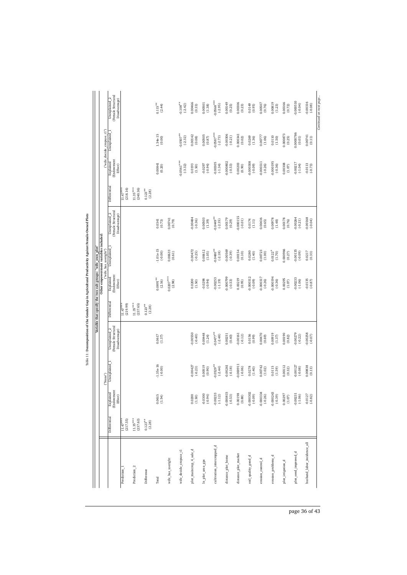|                             |                        |                                                    |                          |                                                      |                        | Variable that specify the two sub-groups: "wife_own_plot" |                                                                |                                                      |                        |                                    |                            |                                                                 |
|-----------------------------|------------------------|----------------------------------------------------|--------------------------|------------------------------------------------------|------------------------|-----------------------------------------------------------|----------------------------------------------------------------|------------------------------------------------------|------------------------|------------------------------------|----------------------------|-----------------------------------------------------------------|
|                             |                        |                                                    | ("None")                 |                                                      |                        |                                                           | Other empowerment variables included:<br>("wife_has_useright") |                                                      |                        |                                    | ("wife_decide_cropuse_t1") |                                                                 |
|                             | Differential           | <b>(Endowment</b><br>Explained<br>$E$ ffe $\alpha$ | Unexplained_1            | (Female Structural<br>Unexplained 2<br>Disadvantage) | Differential           | <b>Endowment</b><br>Explained<br>Effect)                  | Unexplained                                                    | (Female Structural<br>Unexplained 2<br>Disadvantage) | Differentia            | (Endowment<br>Explained<br>Effect) | Unexplained                | (Female Structural<br>Unexplained <sub>2</sub><br>Disadvantage) |
| Prediction 1                | $11.47***$<br>(217.55) |                                                    |                          |                                                      | $11.47***$<br>(219.99) |                                                           |                                                                |                                                      | (218.16)<br>$11.47***$ |                                    |                            |                                                                 |
| Prediction <sub>2</sub>     | $11.35***$<br>(237.63) |                                                    |                          |                                                      | $11.35***$<br>(237.65) |                                                           |                                                                |                                                      | $11.35***$<br>(240.36) |                                    |                            |                                                                 |
| Difference                  | $0.123***$<br>(2.28)   |                                                    |                          |                                                      | $0.123**$<br>(2.28)    |                                                           |                                                                |                                                      | $0.123***$<br>(2.28)   |                                    |                            |                                                                 |
| Total                       |                        | $0.0615$<br>$(1.54)$                               | $-1.35e-16$<br>$(-0.00)$ | 0.0617<br>(1.37)                                     |                        | $0.0891***$<br>(2.16)                                     | $-1.01e-15$<br>$(-0.00)$                                       | 0.0341<br>(0.73)                                     |                        | 0.00841<br>(0.20)                  | $1.34e-15$<br>$(0.00)$     | $0.115***$<br>(2.44)                                            |
| wife_has_useright           |                        |                                                    |                          |                                                      |                        | $0.0207***$<br>(2.98)                                     | 0.00633<br>(0.61)                                              | 0.00741<br>(0.79)                                    |                        |                                    |                            |                                                                 |
| wife_decide_cropuse_t1      |                        |                                                    |                          |                                                      |                        |                                                           |                                                                |                                                      |                        | $-0.0561***$<br>$(-3.32)$          | $0.0507***$<br>$(-2.32)$   | $-0.108$ <sup>**</sup><br>(-2.42)                               |
| plot_maincrop_4_sale_d      |                        | $0.0200$<br>$(1.50)$                               | 0.00427<br>$(-0.23)$     | 0.00550<br>$(-0.40)$                                 |                        | 0.0200<br>(1.50)                                          | 0.00472<br>$(-0.25)$                                           | 0.00484<br>$(-0.36)$                                 |                        | 0.0193<br>(1.50)                   | 0.00142<br>(0.08)          | 0.00466<br>(0.33)                                               |
| In_plot_area_gps            |                        | $-0.0300$<br>$(-0.94)$                             | 0.00519<br>(0.90)        | 0.00448<br>(1.24)                                    |                        | $-0.0298$<br>$(-0.94)$                                    | 0.00612<br>(1.05)                                              | 0.00503<br>(1.39)                                    |                        | $-0.0297$<br>$(-0.94)$             | 0.00505<br>$(0.87)$        | 0.00501<br>(1.38)                                               |
| cultivation_intercropped_d  |                        | $-0.00233$<br>$(-1.12)$                            | $0.0529***$<br>$(-2.44)$ | $0.0477***$<br>$(-2.48)$                             |                        | 0.00253<br>$(-1.19)$                                      | $0.0480**$<br>$(-2.18)$                                        | $0.0449***$<br>$(-2.35)$                             |                        | 0.00305<br>$(-1.34)$               | $0.0587***$<br>$(-2.73)$   | $0.0568***$<br>$(-2.95)$                                        |
| distance_plot_home          |                        | $-0.000815$<br>$(-0.53)$                           | $-0.00261$<br>$(-0.18)$  | 0.00251<br>(0.40)                                    |                        | 0.000799<br>$(-0.53)$                                     | $-0.00569$<br>$(-0.39)$                                        | 0.00179<br>(0.29)                                    |                        | 0.000802<br>$(-0.53)$              | 0.00306<br>$(-0.21)$       | 0.00149<br>(0.25)                                               |
| distance_plot_market        |                        | $0.00198$<br>$(0.88)$                              | 0.000911<br>$(-0.06)$    | $-0.00161$<br>$(-0.12)$                              |                        | 0.00219<br>(0.95)                                         | 0.00154<br>(0.10)                                              | 0.000155<br>$(-0.01)$                                |                        | 0.00203<br>(0.90)                  | 0.000341<br>(0.02)         | 0.00306<br>(0.23)                                               |
| soil_quality_good_d         |                        | $-0.000302$<br>(90.0)                              | 0.0278<br>(1.40)         | 0.0156<br>(0.99)                                     |                        | 0.000312<br>(90.0)                                        | 0.0280<br>(1.40)                                               | 0.0174<br>(1.11)                                     |                        | 0.000308<br>$(-0.09)$              | 0.0269<br>(1.36)           | 0.0149<br>(0.95)                                                |
| erosion_control_d           |                        | $-0.000334$<br>$(-0.26)$                           | 0.00742<br>(1.02)        | 0.00470<br>(0.69)                                    |                        | -0.000317<br>$(-0.26)$                                    | 0.00723<br>(1.00)                                              | 0.00436<br>(0.65)                                    |                        | $-0.000311$<br>$(-0.26)$           | 0.00777<br>(1.06)          | 0.00507<br>(0.76)                                               |
| erosion_problems_d          |                        | $-0.000243$<br>$(-0.39)$                           | 0.0115<br>(1.59)         | 0.00919<br>(1.37)                                    |                        | 0.000194<br>$(-0.36)$                                     | $0.0122*$<br>(1.70)                                            | 0.00978<br>(1.48)                                    |                        | 0.000195<br>$(-0.36)$              | 0.0110<br>(1.50)           | 0.00819<br>(1.23)                                               |
| plot_irrigation_d           |                        | 0.00297<br>$(1.07)$                                | 0.00112<br>(0.32)        | 0.00190<br>(0.82)                                    |                        | 0.00295<br>(1.07)                                         | 0.000966<br>(0.27)                                             | 0.00178<br>(0.76)                                    |                        | 0.00308<br>(1.07)                  | 0.000873<br>(0.25)         | 0.00166<br>(0.72)                                               |
| plot_seed_improved_d        |                        | $-0.00231$<br>$(-1.06)$                            | 0.00127<br>$(-0.08)$     | $-0.00279$<br>$(-0.22)$                              |                        | 0.00233<br>$(-1.06)$                                      | 0.00135<br>(0.09)                                              | 0.00264<br>$(-0.21)$                                 |                        | 0.00217<br>$(-1.04)$               | 0.0000786<br>(0.01)        | 0.000510<br>$(-0.04)$                                           |
| husband_labor_incidence_all |                        | $-0.0127$<br>$(-0.82)$                             | 0.00838<br>(0.13)        | $-0.00258$<br>$(-0.07)$                              |                        | $-0.0135$<br>(.0.87)                                      | 0.0217<br>(0.33)                                               | $-0.00168$<br>$(-0.04)$                              |                        | $-0.0113$<br>$(-0.73)$             | 0.00741<br>(0.11)          | 0.00316<br>$(-0.08)$                                            |

Table 11: Decomposition of the Gender Gap in Agricultural Productivity Against Female-Owned Plots Table 11: Decomposition of the Gender Gap in Agricultural Productivity Against Female-Owned Plots

page 36 of 43

*Continued on next page...*

Continued on next page...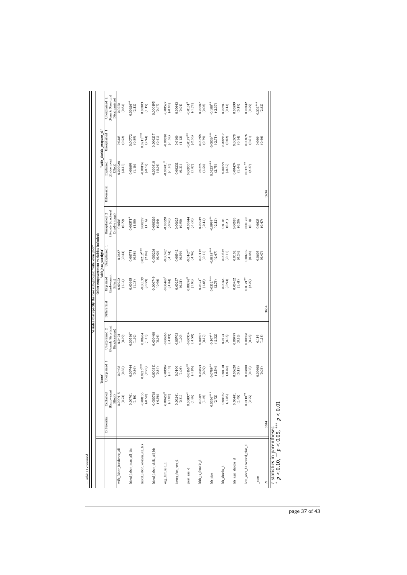|                                   |              |                                            |                          |                                                     |              | Variable that specify the two sub-groups: "wife_own_plot" |                                                              |                                                            |             |                                  |                          |                                                                 |
|-----------------------------------|--------------|--------------------------------------------|--------------------------|-----------------------------------------------------|--------------|-----------------------------------------------------------|--------------------------------------------------------------|------------------------------------------------------------|-------------|----------------------------------|--------------------------|-----------------------------------------------------------------|
|                                   |              |                                            | "None"                   |                                                     |              |                                                           | Other empowerment variables included:<br>"wife has useright" |                                                            |             |                                  | "wife_decide_cropuse_t1" |                                                                 |
|                                   | Differential | (Endowment<br>Explained                    | Unexplained <sub>1</sub> | Female Structural<br>Unexplained 2<br>Disadvantage) | Differential | Endowment<br>Explained<br>Effect)                         | Unexplained                                                  | <b>Female</b> Structural<br>Unexplained 2<br>Disadvantage) | Differentia | Endowmen<br>Explained<br>Effect) | Unexplained              | (Female Structural<br>Unexplained <sub>2</sub><br>Disadvantage) |
| wife_labor_incidence_all          |              | $\frac{\text{Effect}}{0.000415}$<br>(0.23) | 0.0408<br>(0.58)         | 0.0424<br>(0.99)                                    |              | 0.00272<br>(1.14)                                         | $-0.0227$<br>$(-0.33)$                                       | 0.0605<br>(0.72)                                           |             | 0.000228<br>$(-0.13)$            | 0.0385<br>(0.52)         | 0.0270<br>(0.64)                                                |
| hired labor man all bis           |              | 0.00701<br>(1.16)                          | 0.00744<br>(0.56)        | $0.00596*$<br>(1.92)                                |              | 0.00695<br>(1.15)                                         | 0.00771<br>(0.58)                                            | $0.00571*$<br>(1.88)                                       |             | 0.00698<br>(1.16)                | 0.00772<br>(0.59)        | $0.00626**$<br>(2.12)                                           |
| hired_labor_woman_all_bis         |              | $-0.00136$<br>$(-0.59)$                    | $0.0215***$<br>(2.95)    | 0.00284<br>(1.13)                                   |              | 0.00139<br>$(-0.59)$                                      | $.0212***$<br>(2.94)                                         | 0.00297<br>(1.16)                                          |             | 0.00136<br>$(-0.59)$             | $0.0215***$<br>(2.94)    | 0.00303<br>(1.19)                                               |
| hired_labor_child_all_bis         |              | $-0.000763$<br>(.0.96)                     | 0.000311<br>(0.54)       | 0.000400<br>(0.96)                                  |              | 0.000749<br>(.0.96)                                       | 0.000208<br>(0.40)                                           | 0.000326<br>(0.84)                                         |             | 0.000810<br>$(-0.96)$            | 0.000237<br>(0.41)       | 0.000195<br>(0.47)                                              |
| org_fert_use_d                    |              | $-0.00452$ <sup>*</sup><br>$(-1.82)$       | 0.00967<br>$(-1.13)$     | 0.00668<br>$(-1.03)$                                |              | $0.00460*$<br>$(-1.84)$                                   | 0.00967<br>$(-1.14)$                                         | 0.00620<br>$(-0.96)$                                       |             | $0.00431*$<br>$(-1.80)$          | 0.00910<br>$(-1.08)$     | 0.00527<br>$(-0.83)$                                            |
| inorg_fert_use_d                  |              | 0.00241<br>(0.31)                          | 0.0100<br>(1.06)         | 0.00703<br>(1.00)                                   |              | 0.00237<br>(0.31)                                         | 0.00942<br>(0.99)                                            | 0.00625<br>(0.90)                                          |             | 0.00232<br>(0.31)                | 0.0106<br>(1.12)         | 0.00643<br>(0.91)                                               |
| pest_use_d                        |              | $0.00897*$<br>(1.86)                       | $0.0168***$<br>$(-1.96)$ | 0.00934<br>$(-1.58)$                                |              | $0.00898^{*}$<br>(1.86)                                   | $-0.0167$ <sup>*</sup><br>$(-1.96)$                          | 0.00944<br>$(-1.60)$                                       |             | $0.00933*$<br>(1.87)             | $0.0177***$<br>$(-2.06)$ | $0.0101*$<br>$(-1.72)$                                          |
| hhh_is_female_d                   |              | 0.0289<br>(1.49)                           | 0.00854<br>(0.89)        | 0.00307<br>(0.17)                                   |              | $0.0321*$<br>(1.66)                                       | 0.00119<br>$(-0.11)$                                         | 0.00249<br>$(-0.14)$                                       |             | 0.0298<br>(1.54)                 | 0.00768<br>(0.79)        | 0.00107<br>(0.06)                                               |
| hh_size                           |              | $0.0316***$<br>(2.72)                      | $0.0789**$<br>$(-2.54)$  | $0.107***$<br>$(-2.32)$                             |              | $0.0332***$<br>(2.75)                                     | $0.0838***$<br>$(-2.67)$                                     | $0.0999**$<br>$(-2.12)$                                    |             | $0.0323***$<br>(2.75)            | $0.0836***$<br>$(-2.71)$ | $0.108***$<br>$(-2.37)$                                         |
| hh_shocks_d                       |              | $-0.00369$<br>$(-1.05)$                    | 0.00101<br>$(-0.02)$     | 0.0173<br>(0.36)                                    |              | 0.00321<br>$(-0.93)$                                      | 0.00649<br>$(-0.11)$                                         | 0.0104<br>(0.21)                                           |             | 0.00299<br>$(-0.87)$             | 0.000949<br>(0.02)       | 0.00701<br>(0.14)                                               |
| hh_agri_shocks_d                  |              | 0.00481<br>(1.45)                          | 0.00620<br>(0.15)        | 0.00499<br>(0.16)                                   |              | 0.00452<br>(1.41)                                         | 0.0102<br>(0.24)                                             | 0.00893<br>(0.28)                                          |             | 0.00474<br>(1.44)                | 0.00578<br>(0.14)        | 0.00599<br>(0.19)                                               |
| less_area_harvested_plot_d        |              | $0.0118***$<br>(2.25)                      | 0.00800<br>(0.56)        | 0.00308<br>(0.26)                                   |              | $0.0121***$<br>(2.27)                                     | 0.0702<br>(0.48)                                             | 0.00120<br>(0.10)                                          |             | $0.0121**$<br>(2.27)             | 0.00876<br>(0.61)        | 0.00342<br>(0.29)                                               |
| $\frac{\text{cons}}{\text{cons}}$ |              |                                            | 0.00408<br>(0.03)        | 0.119<br>(1.18)                                     |              |                                                           | 0.0605<br>(0.47)                                             | 0.0625<br>(0.47)                                           |             |                                  | 0.0604<br>(0.46)         | $0.302***$<br>(2.82)                                            |
|                                   | 3634         |                                            |                          |                                                     | 3634         |                                                           |                                                              |                                                            | 3634        |                                  |                          |                                                                 |

 $p < 0.10,$  \*\*  $p < 0.05,$  \*\*\*  $p < 0.01$ *p <* 0.10, ∗∗ *p <* 0.05, ∗∗∗ *p <* 0.01

page 37 of 43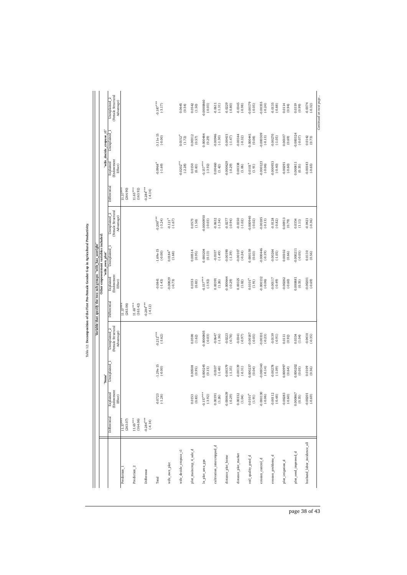|                             |                          |                                                 |                          |                                                   |                          | Variable that specify the two sub-groups: "wife_has_useright" |                                       |                                                              |                          |                                     |                                         |                                                              |
|-----------------------------|--------------------------|-------------------------------------------------|--------------------------|---------------------------------------------------|--------------------------|---------------------------------------------------------------|---------------------------------------|--------------------------------------------------------------|--------------------------|-------------------------------------|-----------------------------------------|--------------------------------------------------------------|
|                             |                          |                                                 |                          |                                                   |                          |                                                               | Other empowerment variables included: |                                                              |                          |                                     |                                         |                                                              |
|                             | Differential             | <b>(Endowment</b><br>Explained<br>$E$ ffe $(t)$ | Unexplained<br>"None"    | (Female Structural<br>Unexplained 2<br>Advantage) | Differential             | (Endowment<br>Explained<br>Effect)                            | Unexplained<br>"wife_own_plot"        | (Female Structural<br>Unexplained <sub>2</sub><br>Advantage) | Differentia              | (Endowment<br>Explained<br>Effect)  | "wife_decide_cropuse_t1"<br>Unexplained | (Female Structural<br>Unexplained <sub>2</sub><br>Advantage) |
| Prediction <sub>1</sub>     | $11.37***$<br>(263.07)   |                                                 |                          |                                                   | $1.37***$<br>(263.06)    |                                                               |                                       |                                                              | $11.37***$<br>(264.90)   |                                     |                                         |                                                              |
| Prediction <sub>2</sub>     | $11.65***$<br>(164.06)   |                                                 |                          |                                                   | $11.65***$<br>(163.42)   |                                                               |                                       |                                                              | $11.65***$<br>(163.92)   |                                     |                                         |                                                              |
| Difference                  | $-0.284***$<br>$(-4.14)$ |                                                 |                          |                                                   | $-0.284***$<br>$(-4.12)$ |                                                               |                                       |                                                              | $-0.284***$<br>$(-4.14)$ |                                     |                                         |                                                              |
| Total                       |                          | $-0.0723$<br>$(-1.28)$                          | $-1.29e-15$<br>$(-0.00)$ | $-0.212***$<br>$(-3.62)$                          |                          | $-0.0841$<br>$(-1.43)$                                        | 1.69e-15<br>(0.00)                    | $-0.200^{***}$<br>$(-3.24)$                                  |                          | $-0.0968$ <sup>*</sup><br>$(-1.69)$ | $-3.11e-15$<br>$(-0.00)$                | $-0.187***$<br>$(-3.17)$                                     |
| wife_own_plot               |                          |                                                 |                          |                                                   |                          | 0.00829<br>$(-0.73)$                                          | $0.0184*$<br>(1.68)                   | $-0.121$ <sup>*</sup><br>$(-1.67)$                           |                          |                                     |                                         |                                                              |
| wife_decide_cropuse_t1      |                          |                                                 |                          |                                                   |                          |                                                               |                                       |                                                              |                          | $0.0202***$<br>$(-2.28)$            | $0.0152*$<br>(1.72)                     | 0.0645<br>(0.54)                                             |
| plot_maincrop_4_sale_d      |                          | $0.0153$<br>$(0.83)$                            | 0.00508<br>(0.95)        | 0.0590<br>(1.62)                                  |                          | 0.0153<br>(0.83)                                              | 0.00514<br>(0.95)                     | 0.0573<br>(1.58)                                             |                          | 0.0150<br>(0.83)                    | 0.00312<br>$(0.57)$                     | 0.0542<br>(1.50)                                             |
| In_plot_area_gps            |                          | $-0.157***$<br>$(-3.92)$                        | 0.000245<br>(0.15)       | 0.0000805<br>$(-0.03)$                            |                          | $0.157***$<br>$(-3.92)$                                       | 0.000204<br>(0.13)                    | -0.0000950<br>$(-0.03)$                                      |                          | $0.157***$<br>$(-3.92)$             | 0.000484<br>(0.29)                      | $-0.0000860$<br>$(-0.03)$                                    |
| cultivation_intercropped_d  |                          | $0.00391$<br>$(1.26)$                           | $-0.0107$<br>$(-1.48)$   | $-0.0647$<br>$(-1.36)$                            |                          | 0.00391<br>(1.26)                                             | $-0.0107$<br>(4.49)                   | $-0.0632$<br>$(-1.34)$                                       |                          | 0.00460<br>(1.42)                   | 0.00946<br>$(-1.30)$                    | $-0.0611$<br>$(-1.31)$                                       |
| distance_plot_home          |                          | -0.000639<br>$(-0.29)$                          | 0.00379<br>$(-1.35)$     | $-0.0223$<br>$(-0.78)$                            |                          | 0.000644<br>$(-0.29)$                                         | 0.00390<br>$(-1.39)$                  | $-0.0277$<br>$(-0.94)$                                       |                          | 0.000629<br>$(-0.29)$               | 0.00415<br>$(-1.47)$                    | $-0.0229$<br>(.0.80)                                         |
| distance_plot_market        |                          | $0.00332$<br>(1.04)                             | 0.00139<br>$(-0.31)$     | 0.0341<br>(0.97)                                  |                          | 0.00325<br>(1.02)                                             | $-0.00107$<br>$(-0.24)$               | $-0.0350$<br>$(-1.02)$                                       |                          | 0.00338<br>(1.06)                   | 0.00144<br>$(-0.32)$                    | $-0.0345$<br>(.0.98)                                         |
| soil_quality_good_d         |                          | $0.0101^{*}$ (1.91)                             | 0.000237<br>(0.04)       | 0.00187<br>$(-0.05)$                              |                          | $0.0101*$<br>(1.91)                                           | 0.000159<br>(0.03)                    | 0.000940<br>$(-0.02)$                                        |                          | $0.0101*$<br>(1.91)                 | 0.000441<br>(0.08)                      | 0.00179<br>$(-0.05)$                                         |
| erosion_control_d           |                          | $-0.000130$<br>$(-0.06)$                        | 0.000340<br>$(-0.14)$    | $-0.00331$<br>$(-0.23)$                           |                          | 0.000132<br>$(-0.06)$                                         | 0.000446<br>$(-0.19)$                 | 0.00185<br>$(-0.13)$                                         |                          | $-0.000123$<br>$(-0.06)$            | 0.000309<br>$(-0.13)$                   | 0.00355<br>$(-0.24)$                                         |
| erosion_problems_d          |                          | $-0.00112$<br>$(-0.48)$                         | -0.00278<br>$(-1.09)$    | $-0.0139$<br>$(-0.91)$                            |                          | $-0.00117$<br>(94.0)                                          | 0.00264<br>$(-1.05)$                  | $-0.0128$<br>$(-0.82)$                                       |                          | 0.000933<br>$(-0.40)$               | 0.00270<br>$(-1.05)$                    | 0.0135<br>$(-0.88)$                                          |
| plot_irrigation_d           |                          | $-0.00283$<br>$(-0.60)$                         | 0.000997<br>(0.64)       | 0.0111<br>(0.92)                                  |                          | $-0.00282$<br>(.0.60)                                         | 0.00102<br>(0.66)                     | 0.00913<br>(0.79)                                            |                          | $-0.00291$<br>$(-0.60)$             | 0.00107<br>(0.69)                       | 0.0114<br>(0.94)                                             |
| plot_seed_improved_d        |                          | 0.000867<br>(0.35)                              | 0.000202<br>(0.05)       | 0.0334<br>(1.04)                                  |                          | 0.000881<br>(0.35)                                            | 0.000211<br>$(-0.05)$                 | 0.0354<br>(1.11)                                             |                          | 0.000811<br>(0.35)                  | 0.000324<br>$(-0.07)$                   | 0.0319<br>(0.99)                                             |
| husband_labor_incidence_all |                          | $-0.00201$<br>$(-0.69)$                         | 0.0109<br>(0.56)         | $-0.0410$<br>$(-0.35)$                            |                          | $-0.00201$<br>$(-0.69)$                                       | 0.0110<br>(0.56)                      | $-0.0421$<br>$(-0.36)$                                       |                          | $-0.00183$<br>$(-0.65)$             | 0.0142<br>(0.73)                        | $-0.0374$<br>$(-0.32)$                                       |

Table 12: Decomposition of the First Pro-Female Gender Gap in Agricultural Productivity. Table 12: **Decomposition of the First Pro-Female Gender Gap in Agricultural Productivity.**

page 38 of 43

*Continued on next page...*

Continued on next page...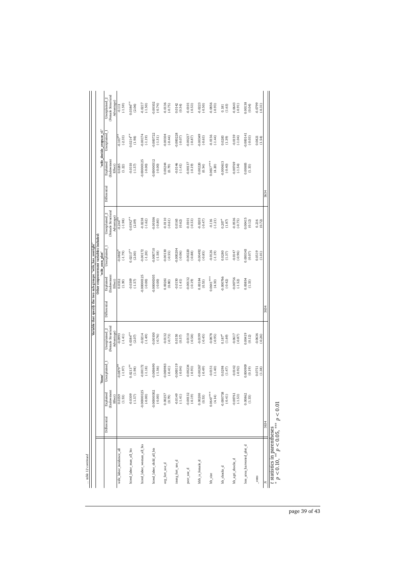|                                                |                                 |                                   |                         |                                                              |              | Variable that specify the two sub-groups: "wife has useright" |                                                          |                                                   |             |                                   |                          |                                                             |
|------------------------------------------------|---------------------------------|-----------------------------------|-------------------------|--------------------------------------------------------------|--------------|---------------------------------------------------------------|----------------------------------------------------------|---------------------------------------------------|-------------|-----------------------------------|--------------------------|-------------------------------------------------------------|
|                                                |                                 |                                   | "None"                  |                                                              |              |                                                               | Other empowerment variables included:<br>"wife_own_plot" |                                                   |             |                                   | "wife_decide_cropuse_t1" |                                                             |
|                                                | Differential                    | (Endowment<br>Explained           | Unexplained             | (Female Structural<br>Unexplained <sub>2</sub><br>Advantage) | Differential | Endowment<br>Explained<br>Effect)                             | Unexplained                                              | (Female Structural<br>Unexplained 2<br>Advantage) | Differentia | Endowment<br>Explained<br>Effect) | Unexplained              | Female Structural<br>Unexplained <sub>2</sub><br>Advantage) |
| wife_labor_incidence_all                       |                                 | $\frac{Effect}{0.0359}$<br>(1.53) | $0.0879*$<br>$(-1.97)$  | $-0.0993$<br>$(-1.41)$                                       |              | 0.0332<br>(1.39)                                              | $-0.0802$<br>$(-1.79)$                                   | $(-1.98)$<br>$-0.244$ <sup>*</sup>                |             | 0.0285<br>(1.22)                  | $(-2.33)$<br>$-0.107*$   | $(-1.59)$<br>$-0.111$                                       |
| hired_labor_man_all_bis                        |                                 | $-0.0309$<br>$(-1.57)$            | $0.0213**$<br>(1.98)    | $0.0384***$<br>(2.07)                                        |              | $-0.0309$<br>$(-1.57)$                                        | $0.0213***$<br>(2.00)                                    | $0.0392***$<br>(2.09)                             |             | $-0.0310$<br>$(-1.57)$            | $0.0214***$<br>(1.98)    | $0.0386***$<br>(2.06)                                       |
| hired_labor_woman_all_bis                      |                                 | $-0.00000125$<br>$(-0.00)$        | $-0.00172$<br>$(-1.18)$ | $-0.0214$<br>$(-1.49)$                                       |              | $-0.00000125$<br>(0.00)                                       | -0.00172<br>$(-1.20)$                                    | $-0.0238$<br>$(-1.62)$                            |             | -0.00000125<br>$(-0.00)$          | $-0.00174$<br>$(-1.19)$  | $-0.0217$<br>$(-1.50)$                                      |
| hired_labor_child_all_bis                      |                                 | $-0.00000302$<br>(0.00)           | 0.000690<br>$(-1.56)$   | $-0.00100$<br>$(-0.76)$                                      |              | -0.00000305<br>(0.00)                                         | 0.000710<br>$(-1.58)$                                    | 0.00106<br>$(-0.80)$                              |             | $-0.00000312$<br>$(-0.00)$        | 0.000722<br>$(-1.51)$    | 0.00102<br>$(-0.74)$                                        |
| org_fert_use_d                                 |                                 | $0.00257$<br>$(0.79)$             | 0.000983<br>$(-0.41)$   | $-0.0132$<br>$(-0.73)$                                       |              | 0.00261<br>(0.80)                                             | 0.00130<br>$(-0.55)$                                     | $-0.0110$<br>$(-0.61)$                            |             | 0.00244<br>(0.79)                 | 0.00104<br>$(-0.44)$     | $-0.0136$<br>$(-0.75)$                                      |
| inorg_fert_use_d                               |                                 | $-0.0149$<br>$(-1.41)$            | 0.000119<br>$(-0.04)$   | 0.0150<br>(0.57)                                             |              | $-0.0150$<br>$(-1.41)$                                        | 0.000204<br>$(-0.06)$                                    | 0.0165<br>(0.62)                                  |             | $-0.0146$<br>$(-1.41)$            | 0.000228<br>$(-0.07)$    | 0.0142<br>(0.54)                                            |
| pest_use_d                                     |                                 | $-0.00132$<br>$(-0.19)$           | 0.00234<br>$(-0.93)$    | $-0.0110$<br>$(-0.58)$                                       |              | $-0.00132$<br>$(-0.19)$                                       | 0.00220<br>$(-0.88)$                                     | 0.0101<br>$(-0.53)$                               |             | 0.00137<br>$(-0.19)$              | 0.00217<br>$(-0.87)$     | $-0.0101$<br>$(-0.53)$                                      |
| hhh_is_female_d                                |                                 | 0.00200<br>(0.53)                 | 0.00267<br>$(-0.49)$    | $-0.0199$<br>$(-0.45)$                                       |              | 0.00184<br>(0.53)                                             | 0.00492<br>$(-0.85)$                                     | $-0.0203$<br>$(-0.47)$                            |             | 0.00220<br>(0.54)                 | 0.00349<br>$(-0.63)$     | $-0.0223$<br>$(-0.50)$                                      |
| hh_size                                        |                                 | $0.0647***$<br>(4.14)             | 0.0151<br>$(-1.40)$     | $-0.0878$<br>$(-0.95)$                                       |              | $0.0641***$<br>(4.10)                                         | $-0.0126$<br>$(-1.19)$                                   | $-0.116$<br>$(-1.21)$                             |             | $0.0657***$<br>(4.20)             | $-0.0156$<br>$(-1.44)$   | $-0.0856$<br>$(-0.93)$                                      |
| hh_shocks_d                                    |                                 | $-0.000738$<br>$(-0.41)$          | 0.0298<br>(1.47)        | $0.187*$<br>(1.69)                                           |              | 0.000766<br>$(-0.42)$                                         | 0.0280<br>(1.37)                                         | $0.207*$<br>(1.87)                                |             | 0.000613<br>$(-0.40)$             | 0.0283<br>(1.39)         | (1.63)<br>0.181                                             |
| hh_agri_shocks_d                               |                                 | $-0.00761$<br>$(-1.53)$           | 0.0142<br>$(-0.92)$     | $-0.0617$<br>$(-0.87)$                                       |              | $-0.00756$<br>$(-1.52)$                                       | $-0.0147$<br>$(-0.96)$                                   | $-0.0536$<br>(.0.75)                              |             | 0.00769<br>$(-1.54)$              | $-0.0159$<br>$(-1.04)$   | $-0.0643$<br>(.0.91)                                        |
| less_area_harvested_plot_d                     |                                 | 0.00862<br>(1.33)                 | 0.000909<br>(0.19)      | 0.00419<br>(0.12)                                            |              | 0.00854<br>(1.33)                                             | 0.000343<br>(0.07)                                       | 0.00415<br>(0.12)                                 |             | 0.00885<br>(1.33)                 | 0.000141<br>$(-0.03)$    | 0.00138<br>(0.04)                                           |
| _cons                                          |                                 |                                   | 0.0751<br>(1.38)        | $-0.0636$<br>$(-0.26)$                                       |              |                                                               | 0.0519<br>(1.01)                                         | 0.216<br>(0.72)                                   |             |                                   | 0.0821<br>(1.54)         | $-0.0799$<br>$(-0.31)$                                      |
|                                                | 3634                            |                                   |                         |                                                              | 3634         |                                                               |                                                          |                                                   | 3634        |                                   |                          |                                                             |
| t statistics in parentheses<br>$m = 0.10$<br>× | $\sim$ $\sim$ 0.7<br>*** DO O V |                                   |                         |                                                              |              |                                                               |                                                          |                                                   |             |                                   |                          |                                                             |

 $p < 0.10, ** p < 0.05, ** p < 0.01$ *p <* 0.10, ∗∗ *p <* 0.05, ∗∗∗ *p <* 0.01

page 39 of 43

 $\ldots$ table 12 continued *... table 12 continued*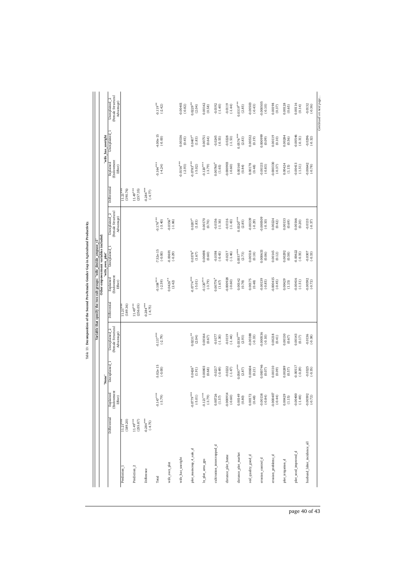|                             |                          |                                                                       |                          |                                                   |                          |                                          | Variable that specify the two sub-groups: "wife_decide_cropuse_t1" |                                                   |                        |                                          |                                               |                                                   |
|-----------------------------|--------------------------|-----------------------------------------------------------------------|--------------------------|---------------------------------------------------|--------------------------|------------------------------------------|--------------------------------------------------------------------|---------------------------------------------------|------------------------|------------------------------------------|-----------------------------------------------|---------------------------------------------------|
|                             |                          |                                                                       | "None"                   |                                                   |                          |                                          | Other empowerment variables included:<br>"wife_own_plot"           |                                                   |                        |                                          | "wife_has_useright                            |                                                   |
|                             | Differential             | (Endowment<br>Explained<br>Effect)                                    | Unexplained <sub>1</sub> | (Female Structural<br>Unexplained 2<br>Advantage) | Differential             | <b>Endowment</b><br>Explained<br>Effect) | Unexplained_1                                                      | (Female Structural<br>Unexplained 2<br>Advantage) | Differential           | <b>Endowment</b><br>Explained<br>Effect) | Unexplained                                   | (Female Structural<br>Unexplained 2<br>Advantage) |
| Prediction <sub>1</sub>     | (189.20)<br>$11.21***$   |                                                                       |                          |                                                   | $11.21***$<br>(189.36)   |                                          |                                                                    |                                                   | $11.21***$<br>(190.76) |                                          |                                               |                                                   |
| Prediction <sub>2</sub>     | $11.49***$<br>(255.87)   |                                                                       |                          |                                                   | $11.49***$<br>(256.05)   |                                          |                                                                    |                                                   | $11.49***$<br>(257.35) |                                          |                                               |                                                   |
| Difference                  | $-0.284***$<br>$(-4.75)$ |                                                                       |                          |                                                   | $-0.284***$<br>$(-4.75)$ |                                          |                                                                    |                                                   | $-0.284***$<br>(4.77)  |                                          |                                               |                                                   |
| Total                       |                          | $-0.147***$<br>$(-3.79)$                                              | 5.02e-15<br>$(-0.00)$    | $-0.137***$<br>$(-2.79)$                          |                          | $0.108***$<br>$(-2.59)$                  | 7.52e-15<br>(0.00)                                                 | $0.176***$<br>$(-3.40)$                           |                        | $-0.164***$<br>$(-4.24)$                 | 4.00e-15<br>(0.00)                            | $0.119**$<br>$(-2.42)$                            |
| wife_own_plot               |                          |                                                                       |                          |                                                   |                          | $0.0426***$<br>(2.42)                    | 0.00691<br>$(-0.29)$                                               | $0.0356*$<br>$(-1.86)$                            |                        |                                          |                                               |                                                   |
| wife_has_useright           |                          |                                                                       |                          |                                                   |                          |                                          |                                                                    |                                                   |                        | $0.0156***$<br>$(-2.93)$                 | 0.0336<br>(0.45)                              | $-0.00401$<br>$(-0.82)$                           |
| plot_maincrop_4_sale_d      |                          | $-0.0779***$<br>$(-5.01)$                                             | $0.0426*$<br>(1.91)      | $0.0231***$<br>(2.04)                             |                          | $-0.0774***$<br>$(-5.01)$                | $0.0378^{4}$<br>$(1.67)$                                           | $0.0207$ <sup>*</sup><br>$\left( 1.83\right)$     |                        | $0.0783***$<br>$(-5.02)$                 | $0.0407$ <sup>*</sup><br>$\left( 1.83\right)$ | $0.0229***$<br>(2.04)                             |
| In_plot_area_gps            |                          | $-0.121***$<br>$(-3.79)$                                              | 0.00803<br>(0.68)        | 0.00164<br>(0.67)                                 |                          | $0.120***$<br>$(-3.79)$                  | 0.00698<br>(0.60)                                                  | 0.00170<br>(0.70)                                 |                        | $-0.120***$<br>$(-3.79)$                 | 0.00751<br>(0.64)                             | 0.00142<br>(0.58)                                 |
| cultivation_intercropped_d  |                          | 0.00726<br>$(1.57)$                                                   | $-0.0217$<br>$(-0.49)$   | $-0.0177$<br>$(-1.30)$                            |                          | 0.00776<br>$(1.67)$                      | $-0.0198$<br>$(-0.45)$                                             | $-0.0156$<br>(.1.16)                              |                        | 0.00760 <sup>*</sup><br>(1.65)           | $-0.0245$<br>$(-0.55)$                        | $-0.0192$<br>$(-1.40)$                            |
| distance plot home          |                          | $-0.000914$<br>$(-0.60)$                                              | $-0.0222$<br>$(-1.47)$   | 0.0119<br>$(-1.44)$                               |                          | 0.000928<br>$(-0.60)$                    | $-0.0217$<br>$(-1.46)$                                             | $-0.0116$<br>$(-1.43)$                            |                        | 0.000903<br>$(-0.60)$                    | $-0.0228$<br>$(-1.53)$                        | $-0.0119$<br>$(-1.44)$                            |
| distance_plot_market        |                          |                                                                       | $0.0587***$<br>(2.87)    | $0.0330***$<br>(2.93)                             |                          | 0.00142<br>(0.78)                        | $0.0557***$<br>(2.73)                                              | $0.0320***$<br>(2.85)                             |                        | 0.00160<br>(0.84)                        | $0.0576***$<br>(2.83)                         | $0.0319***$<br>(2.85)                             |
| soil_quality_good_d         |                          | $\begin{array}{c} 0.00149 \\ (0.80) \\ 0.00172 \\ (0.48) \end{array}$ | 0.00604<br>(0.21)        | 0.00388<br>$(-0.33)$                              |                          | 0.00175<br>(0.48)                        | 0.00518<br>(0.18)                                                  | 0.00339<br>$(-0.29)$                              |                        | 0.00178<br>(0.48)                        | 0.00532<br>(0.19)                             | 0.00503<br>$(-0.43)$                              |
| erosion_control_d           |                          | $-0.00138$<br>$(-0.84)$                                               | 0.000746<br>$(0.07)$     | -0.000536<br>$(-0.10)$                            |                          | $-0.00139$<br>$(-0.85)$                  | 0.000633<br>(0.06)                                                 | $-0.000509$<br>$(-0.10)$                          |                        | $-0.00133$<br>$(-0.83)$                  | 0.000999<br>(0.09)                            | 0.000505<br>$(-0.10)$                             |
| erosion_problems_d          |                          | $-0.000407$<br>$(-0.44)$                                              | 0.00110<br>(0.09)        | 0.00218<br>(0.41)                                 |                          | 0.000415<br>$(-0.45)$                    | 0.00145<br>(0.12)                                                  | 0.00224<br>(0.42)                                 |                        | 0.000330<br>$(-0.37)$                    | 0.00119<br>(0.10)                             | 0.00198<br>(0.37)                                 |
| plot_irrigation_d           |                          | 0.00429<br>(1.15)                                                     | 0.00289<br>(0.57)        | 0.00130<br>(0.67)                                 |                          | 0.00429<br>(1.15)                        | 0.00292<br>(0.58)                                                  | 0.00133<br>(0.69)                                 |                        | 0.00424<br>(1.15)                        | 0.00284<br>(0.56)                             | 0.00128<br>(0.65)                                 |
| plot_seed_improved_d        |                          | $-0.00400$<br>$(-1.48)$                                               | 0.00517<br>$(-0.29)$     | 0.00143<br>(0.17)                                 |                          | 0.00416<br>$(-1.51)$                     | 0.00622<br>$(-0.35)$                                               | 0.00166<br>(0.20)                                 |                        | 0.00413<br>$(-1.51)$                     | 0.00546<br>$(-0.31)$                          | 0.00116<br>(0.14)                                 |
| husband_labor_incidence_all |                          | $-0.00592$<br>$(-0.72)$                                               | $-0.0325$<br>$(-0.35)$   | $-0.0136$<br>$(-0.38)$                            |                          | 0.00592<br>$(-0.72)$                     | $-0.0307$<br>$(-0.33)$                                             | $-0.0133$<br>$(-0.37)$                            |                        | $-0.00642$<br>$(-0.78)$                  | $-0.0296$<br>$(-0.32)$                        | $-0.0132$<br>$(-0.36)$                            |

Table 13: Decomposition of the Second Pro-Female Gender Gap in Agricultural Productivity. Table 13: **Decomposition of the Second Pro-Female Gender Gap in Agricultural Productivity.**

page 40 of 43

*Continued on next page...*

Continued on next page...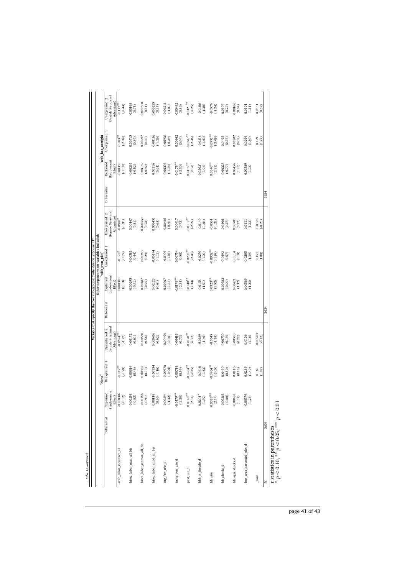|                                   |                                         |                           |                                                             |              |                                   | Variable that specify the two sub-groups: "wife decide cropuse t1" |                                                   |              |                                   |                          |                                                   |
|-----------------------------------|-----------------------------------------|---------------------------|-------------------------------------------------------------|--------------|-----------------------------------|--------------------------------------------------------------------|---------------------------------------------------|--------------|-----------------------------------|--------------------------|---------------------------------------------------|
|                                   |                                         | "None"                    |                                                             |              |                                   | Other empowerment variables included<br>"wife own plot"            |                                                   |              |                                   | "wife has useright       |                                                   |
|                                   | (Endowment<br>Explained<br>Differential | Unexplained 1             | Female Structural<br>Unexplained <sub>2</sub><br>Advantage) | Differential | Endowment<br>Explained<br>Effect) | Unexplained 1                                                      | (Female Structural<br>Unexplained 2<br>Advantage) | Differential | Endowment<br>Explained<br>Effect) | Unexplained              | (Female Structural<br>Unexplained 2<br>Advantage) |
| wife labor incidence al           | $\frac{\text{Effect}}{-0.000302}$       | $(-1.98)$<br>$0.135*$     | $0.0824***$<br>$(-1.97)$                                    |              | 0.000340<br>(0.13)                | $(-1.77)$<br>$-0.123$ <sup>2</sup>                                 | $-0.0843$<br>$(-1.95)$                            |              | 0.00350<br>$(-1.10)$              | $0.163*$<br>$(-2.34)$    | $-0.117$ <sup>**</sup><br>$(-2.44)$               |
| hired_labor_man_all_bis           | $-0.00298$<br>(.0.52)                   | 0.00614<br>(0.46)         | 0.00172<br>(0.61)                                           |              | 0.00295<br>$(-0.52)$              | 0.00581<br>(0.44)                                                  | 0.00147<br>(0.51)                                 |              | 0.00295<br>$(-0.52)$              | 0.00715<br>(0.54)        | 0.00198<br>(0.71)                                 |
| hired_labor_woman_all_bis         | $-0.00186$<br>$(-0.91)$                 | 0.00325<br>(0.33)         | 0.000550<br>(0.56)                                          |              | 0.00187<br>$(-0.92)$              | 0.00283<br>(0.29)                                                  | 0.000550<br>(0.58)                                |              | 0.00189<br>$(-0.92)$              | 0.0297<br>(0.30)         | 0.000500<br>(0.51)                                |
| hired_labor_child_all_bis         | 0.00118<br>(0.60)                       | 0.00154<br>$(-1.16)$      | 0.000416<br>(0.62)                                          |              | 0.00123<br>(0.61)                 | 0.00144<br>$(-1.12)$                                               | 0.000455<br>(0.68)                                |              | 0.00116<br>(0.61)                 | 0.00168<br>$(-1.26)$     | 0.000225<br>(0.35)                                |
| org_fert_use_d                    | $-0.00294$<br>$(-1.32)$                 | 0.00978<br>$(-0.94)$      | 0.00494<br>$(-0.98)$                                        |              | 0.00307<br>$(-1.34)$              | $-0.0106$<br>$(-1.03)$                                             | 0.00466<br>$(-0.93)$                              |              | 0.00306<br>(.1.34)                | 0.00938<br>(.0.89)       | 0.00511<br>$(-1.01)$                              |
| inorg_fert_use_d                  | $-0.0179**$<br>$(-2.30)$                | 0.00718<br>(0.55)         | 0.00419<br>(0.73)                                           |              | $0.0178***$<br>$(-2.31)$          | 0.00754<br>(0.58)                                                  | 0.00417<br>(0.73)                                 |              | $0.0178***$<br>$(-2.30)$          | 0.00842<br>(0.64)        | 0.00492<br>(0.86)                                 |
| pest_use_d                        | $0.0140**$<br>(2.34)                    | $0.0284***$<br>$(-2.45)$  | $0.0120***$<br>$(-2.22)$                                    |              | $0.0140**$<br>(2.34)              | $0.0278***$<br>$(-2.40)$                                           | $0.0119***$<br>$(-2.22)$                          |              | $0.0139***$<br>(2.34)             | $0.0287***$<br>$(-2.46)$ | $0.0121***$<br>$(-2.25)$                          |
| hhh_is_female_d                   | $0.0201*$<br>(1.92)                     | $-0.0318$<br>$(-1.63)$    | $-0.0189$<br>$(-1.40)$                                      |              | 0.0158<br>(1.51)                  | $-0.0270$<br>$(-1.30)$                                             | $-0.0140$<br>$(-1.04)$                            |              | $0.0203*$<br>(1.94)               | $-0.0318$<br>$(-1.63)$   | $-0.0186$<br>$(-1.38)$                            |
| hh size                           | $0.0328***$<br>(2.54)                   | $-0.0964***$<br>$(-2.05)$ | $-0.0545$<br>$(-1.18)$                                      |              | $0.0323***$<br>(2.52)             | $0.0932***$<br>$(-1.98)$                                           | $-0.0561$<br>$(-1.22)$                            |              | $0.0340***$<br>(2.55)             | $0.0991***$<br>$(-2.09)$ | $-0.0576$<br>$(-1.24)$                            |
| hh_shocks_d                       | $-0.00365$<br>$(-0.86)$                 | 0.0430<br>(0.50)          | 0.00770<br>(0.19)                                           |              | 0.00382<br>(.0.90)                | 0.0492<br>(0.57)                                                   | 0.0106<br>(0.27)                                  |              | 0.00328<br>$(-0.77)$              | 0.0495<br>(0.57)         | 0.0107<br>(0.27)                                  |
| hh_agri_shocks_d                  | $0.00488$<br>$(1.39)$                   | 0.0116<br>(0.18)          | 0.00580<br>(0.22)                                           |              | 0.00471<br>(1.37)                 | 0.0114<br>(0.18)                                                   | 0.00701<br>(0.27)                                 |              | 0.00456<br>(1.35)                 | 0.00202<br>(0.03)        | 0.00106<br>(0.04)                                 |
| less_area_harvested_plot_d        | 0.00579<br>(1.23)                       | 0.0289<br>(1.40)          | 0.0106<br>(1.16)                                            |              | 0.00569<br>(1.23)                 | 0.0285<br>(1.39)                                                   | 0.0111<br>(1.22)                                  |              | 0.00589<br>(1.23)                 | 0.0269<br>(1.30)         | 0.0101<br>(1.11)                                  |
| $\frac{\text{cons}}{\text{cons}}$ |                                         | 0.165<br>(1.07)           | 0.00983<br>$(-0.12)$                                        |              |                                   | 0.153<br>(1.00)                                                    | $-0.0196$<br>$(-0.23)$                            |              |                                   | 0.199<br>(1.27)          | 0.0551<br>(0.59)                                  |
|                                   | 3634                                    |                           |                                                             | 3634         |                                   |                                                                    |                                                   | 3634         |                                   |                          |                                                   |

page 41 of 43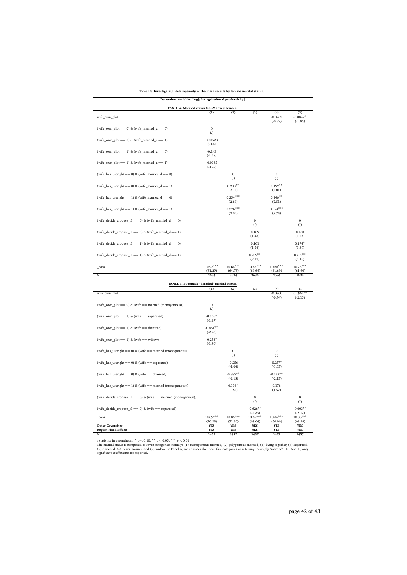#### Table 14: **Investigating Heterogeneity of the main results by female marital status.**

| Dependent variable: Log[plot agricultural productivity]        |                          |                          |                          |                          |                          |
|----------------------------------------------------------------|--------------------------|--------------------------|--------------------------|--------------------------|--------------------------|
| PANEL A. Married versus Not-Married Female.                    | (1)                      | (2)                      | (3)                      | (4)                      | (5)                      |
| wife_own_plot                                                  |                          |                          |                          | $-0.0262$                | $-0.0847$                |
|                                                                |                          |                          |                          | $(-0.57)$                | $(-1.86)$                |
| (wife_own_plot == 0) & (wife_married_d == 0)                   | $\mathbf 0$              |                          |                          |                          |                          |
|                                                                | (.)                      |                          |                          |                          |                          |
| (wife_own_plot == 0) & (wife_married_d == 1)                   | 0.00528<br>(0.04)        |                          |                          |                          |                          |
| (wife_own_plot == 1) & (wife_married_d == 0)                   | $-0.143$                 |                          |                          |                          |                          |
|                                                                | $(-1.38)$                |                          |                          |                          |                          |
| (wife_own_plot == 1) & (wife_married_d == 1)                   | $-0.0365$                |                          |                          |                          |                          |
|                                                                | $(-0.29)$                |                          |                          |                          |                          |
| (wife_has_useright == 0) & (wife_married_d == 0)               |                          | $\mathbf{0}$             |                          | $\boldsymbol{0}$         |                          |
|                                                                |                          | (.)                      |                          | (.)                      |                          |
| (wife has useright $== 0$ ) & (wife married $d == 1$ )         |                          | $0.208**$                |                          | $0.199**$                |                          |
|                                                                |                          | (2.11)                   |                          | (2.01)                   |                          |
| (wife has useright == 1) & (wife married $d = = 0$ )           |                          | $0.254***$<br>(2.63)     |                          | $0.246**$<br>(2.51)      |                          |
|                                                                |                          | $0.376***$               |                          | $0.354***$               |                          |
| (wife_has_useright == 1) & (wife_married_ $d = = 1$ )          |                          | (3.02)                   |                          | (2.74)                   |                          |
| (wife_decide_cropuse_t1 == 0) & (wife_married_d == 0)          |                          |                          | $\mathbf 0$              |                          | $\mathbf 0$              |
|                                                                |                          |                          | (.)                      |                          | (.)                      |
| (wife_decide_cropuse_t1 == 0) & (wife_married_d == 1)          |                          |                          | 0.189                    |                          | 0.160                    |
|                                                                |                          |                          | (1.48)                   |                          | (1.23)                   |
| (wife_decide_cropuse_t1 = = 1) & (wife_married_d = = 0)        |                          |                          | 0.161                    |                          | $0.174*$                 |
|                                                                |                          |                          | (1.56)                   |                          | (1.69)                   |
| (wife_decide_cropuse_t1 == 1) & (wife_married_d == 1)          |                          |                          | $0.259***$               |                          | $0.259***$               |
|                                                                |                          |                          | (2.17)                   |                          | (2.16)                   |
| _cons                                                          | $10.93***$<br>(61.29)    | $10.64***$<br>(64.76)    | $10.68***$<br>(63.64)    | $10.66***$<br>(61.69)    | $10.73***$<br>(61.60)    |
| $\cal N$                                                       | 3634                     | 3634                     | 3634                     | 3634                     | 3634                     |
| PANEL B. By female "detailed" marital status.                  |                          |                          |                          |                          |                          |
|                                                                | (1)                      | (2)                      | (3)                      | (4)                      | (5)                      |
| wife_own_plot                                                  |                          |                          |                          | $-0.0360$<br>$(-0.74)$   | $-0.0961$<br>$(-2.10)$   |
|                                                                |                          |                          |                          |                          |                          |
| (wife_own_plot == 0) & (wife == married (monogamous))          | $\bf{0}$<br>(.)          |                          |                          |                          |                          |
|                                                                | $-0.306*$                |                          |                          |                          |                          |
| (wife_own_plot == $1$ ) & (wife == separated)                  | $(-1.87)$                |                          |                          |                          |                          |
| (wife_own_plot == $1$ ) & (wife == divorced)                   | $-0.451**$               |                          |                          |                          |                          |
|                                                                | $(-2.43)$                |                          |                          |                          |                          |
| (wife_own_plot == $1)$ & (wife == widow)                       | $-0.256*$                |                          |                          |                          |                          |
|                                                                | $(-1.96)$                |                          |                          |                          |                          |
| (wife_has_useright == 0) & (wife == married (monogamous))      |                          | $\mathbf 0$              |                          | $\,0\,$                  |                          |
|                                                                |                          | (.)                      |                          | (.)                      |                          |
| (wife_has_useright == $0$ ) & (wife == separated)              |                          | $-0.256$<br>$(-1.64)$    |                          | $-0.257*$<br>$(-1.65)$   |                          |
|                                                                |                          |                          |                          |                          |                          |
| (wife has useright $== 0$ ) & (wife $==$ divorced)             |                          | $-0.382**$<br>$(-2.15)$  |                          | $-0.382**$<br>$(-2.15)$  |                          |
| (wife_has_useright == 1) & (wife == married (monogamous))      |                          | $0.196*$                 |                          | 0.176                    |                          |
|                                                                |                          | (1.81)                   |                          | (1.57)                   |                          |
| (wife_decide_cropuse_t1 == 0) & (wife == married (monogamous)) |                          |                          | $\bf{0}$                 |                          | $\pmb{0}$                |
|                                                                |                          |                          | (.)                      |                          | (.)                      |
| (wife_decide_cropuse_t1 == 0) & (wife == separated)            |                          |                          | $-0.626**$               |                          | $-0.603**$               |
|                                                                | 10.89***                 | $10.85***$               | $(-2.23)$<br>$10.85***$  | $10.86***$               | $(-2.12)$<br>$10.86***$  |
| cons                                                           |                          |                          |                          |                          |                          |
| <b>Other Covaraites</b>                                        | (70.28)                  | (71.36)                  | (69.64)                  | (70.06)                  | (68.98)                  |
| <b>Region Fixed Effects</b>                                    | <b>YES</b><br><b>YES</b> | <b>YES</b><br><b>YES</b> | <b>YES</b><br><b>YES</b> | <b>YES</b><br><b>YES</b> | <b>YES</b><br><b>YES</b> |

**Region Fixed Effects YES YES YES YES YES** *N* 3457 3457 3457 3457 3457 *<sup>t</sup>* statistics in parentheses. <sup>∗</sup> *<sup>p</sup> <sup>&</sup>lt;* 0.10, ∗∗ *<sup>p</sup> <sup>&</sup>lt;* 0.05, ∗∗∗ *<sup>p</sup> <sup>&</sup>lt;* 0.01 The marital status is composed of seven categories, namely: (1) monogamous married, (2) polygamous married, (3) living together, (4) separated, (5) divorced, (6) never married and (7) widow. In Panel A, we consider the three first categories as referring to simply "married". In Panel B, only significant coefficients are reported.